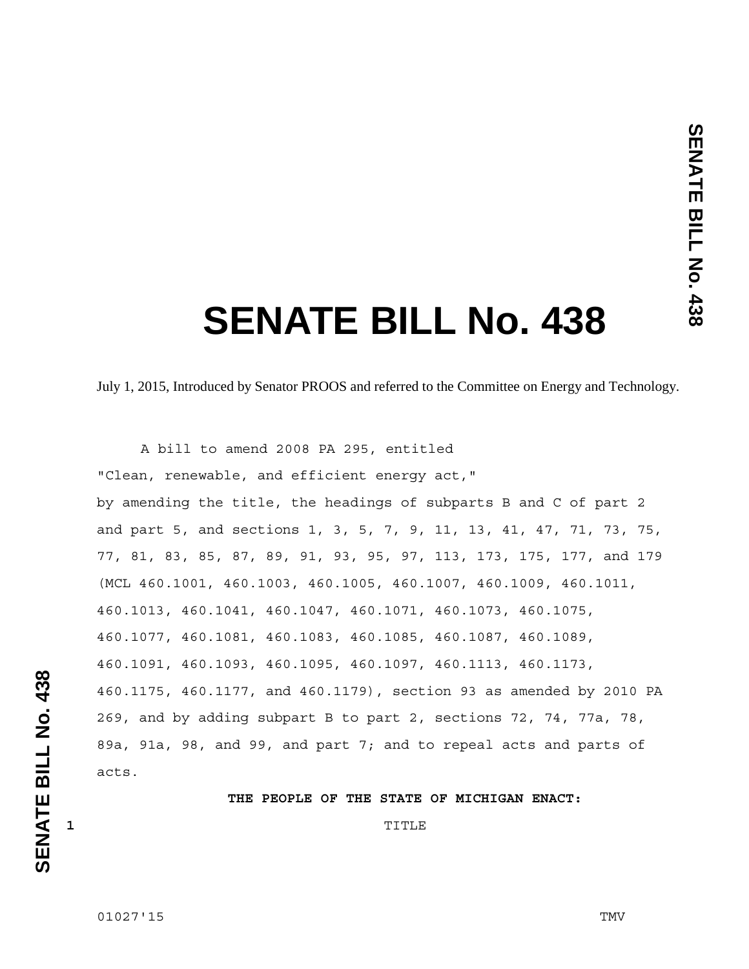# **SENATE BILL No. 438**

July 1, 2015, Introduced by Senator PROOS and referred to the Committee on Energy and Technology.

 A bill to amend 2008 PA 295, entitled "Clean, renewable, and efficient energy act," by amending the title, the headings of subparts B and C of part 2 and part 5, and sections 1, 3, 5, 7, 9, 11, 13, 41, 47, 71, 73, 75, 77, 81, 83, 85, 87, 89, 91, 93, 95, 97, 113, 173, 175, 177, and 179 (MCL 460.1001, 460.1003, 460.1005, 460.1007, 460.1009, 460.1011, 460.1013, 460.1041, 460.1047, 460.1071, 460.1073, 460.1075, 460.1077, 460.1081, 460.1083, 460.1085, 460.1087, 460.1089, 460.1091, 460.1093, 460.1095, 460.1097, 460.1113, 460.1173, 460.1175, 460.1177, and 460.1179), section 93 as amended by 2010 PA 269, and by adding subpart B to part 2, sections 72, 74, 77a, 78, 89a, 91a, 98, and 99, and part 7; and to repeal acts and parts of acts.

### **THE PEOPLE OF THE STATE OF MICHIGAN ENACT:**

**1** TITLE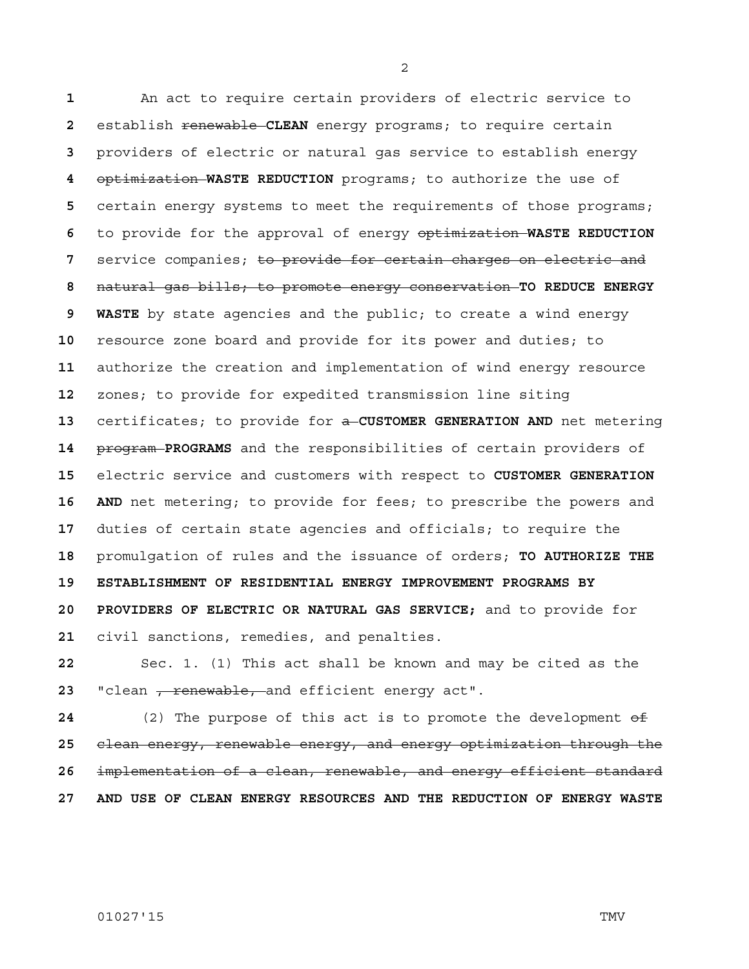An act to require certain providers of electric service to establish renewable **CLEAN** energy programs; to require certain providers of electric or natural gas service to establish energy optimization **WASTE REDUCTION** programs; to authorize the use of certain energy systems to meet the requirements of those programs; to provide for the approval of energy optimization **WASTE REDUCTION**  service companies; to provide for certain charges on electric and natural gas bills; to promote energy conservation **TO REDUCE ENERGY 9 WASTE** by state agencies and the public; to create a wind energy resource zone board and provide for its power and duties; to authorize the creation and implementation of wind energy resource zones; to provide for expedited transmission line siting certificates; to provide for a **CUSTOMER GENERATION AND** net metering program **PROGRAMS** and the responsibilities of certain providers of electric service and customers with respect to **CUSTOMER GENERATION 16 AND** net metering; to provide for fees; to prescribe the powers and duties of certain state agencies and officials; to require the promulgation of rules and the issuance of orders; **TO AUTHORIZE THE 19 ESTABLISHMENT OF RESIDENTIAL ENERGY IMPROVEMENT PROGRAMS BY 20 PROVIDERS OF ELECTRIC OR NATURAL GAS SERVICE;** and to provide for civil sanctions, remedies, and penalties.

Sec. 1. (1) This act shall be known and may be cited as the 23 "clean <del>, renewable, a</del>nd efficient energy act".

(2) The purpose of this act is to promote the development of clean energy, renewable energy, and energy optimization through the implementation of a clean, renewable, and energy efficient standard **27 AND USE OF CLEAN ENERGY RESOURCES AND THE REDUCTION OF ENERGY WASTE** 

01027'15 TMV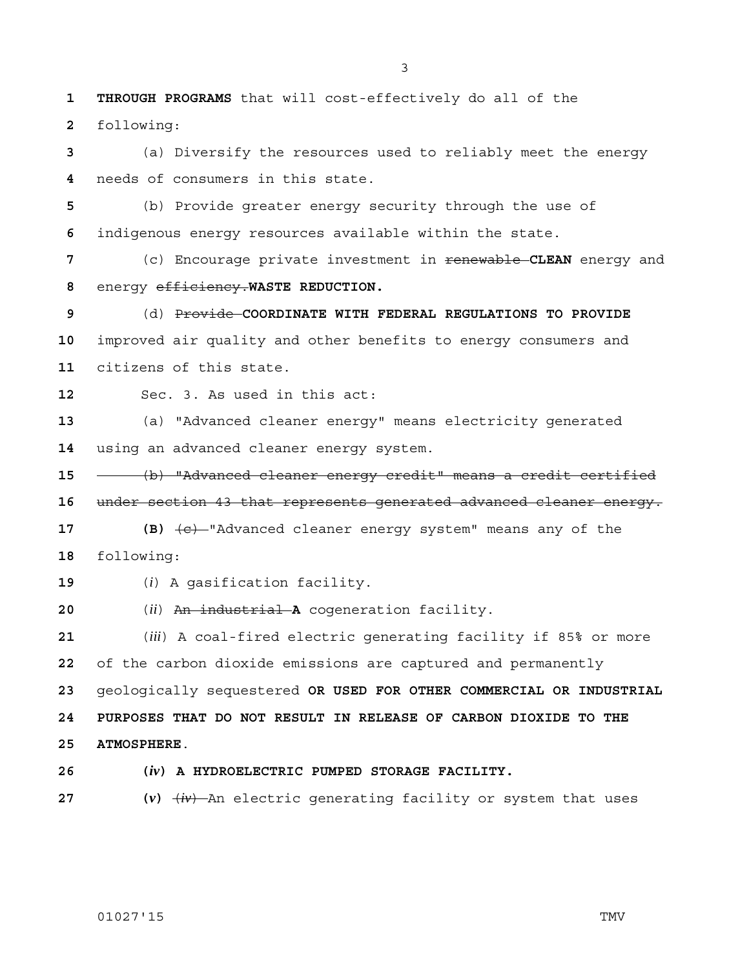**1 THROUGH PROGRAMS** that will cost-effectively do all of the following:

(a) Diversify the resources used to reliably meet the energy needs of consumers in this state.

(b) Provide greater energy security through the use of indigenous energy resources available within the state.

(c) Encourage private investment in renewable **CLEAN** energy and energy efficiency.**WASTE REDUCTION.**

(d) Provide **COORDINATE WITH FEDERAL REGULATIONS TO PROVIDE**  improved air quality and other benefits to energy consumers and citizens of this state.

Sec. 3. As used in this act:

(a) "Advanced cleaner energy" means electricity generated using an advanced cleaner energy system.

(b) "Advanced cleaner energy credit" means a credit certified under section 43 that represents generated advanced cleaner energy.

17 **(B)**  $\left\lbrace e \right\rbrace$  "Advanced cleaner energy system" means any of the following:

(*i*) A gasification facility.

(*ii*) An industrial **A** cogeneration facility.

(*iii*) A coal-fired electric generating facility if 85% or more of the carbon dioxide emissions are captured and permanently geologically sequestered **OR USED FOR OTHER COMMERCIAL OR INDUSTRIAL 24 PURPOSES THAT DO NOT RESULT IN RELEASE OF CARBON DIOXIDE TO THE 25 ATMOSPHERE**.

**26 (***iv***) A HYDROELECTRIC PUMPED STORAGE FACILITY.**

**27 (***v***)** (*iv*) An electric generating facility or system that uses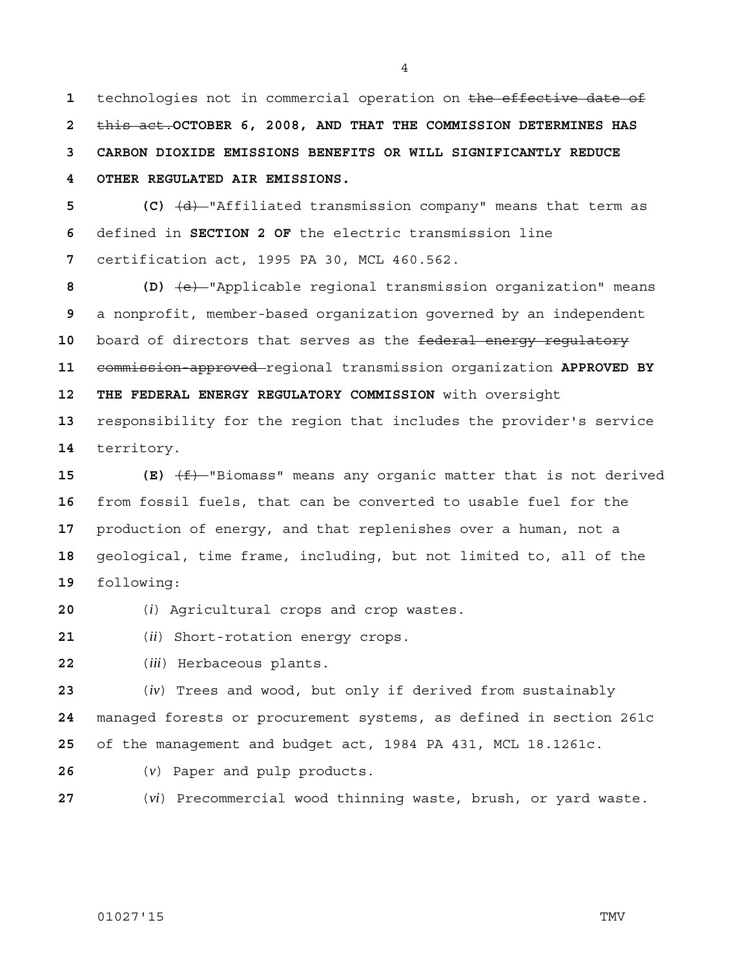technologies not in commercial operation on the effective date of this act.**OCTOBER 6, 2008, AND THAT THE COMMISSION DETERMINES HAS 3 CARBON DIOXIDE EMISSIONS BENEFITS OR WILL SIGNIFICANTLY REDUCE 4 OTHER REGULATED AIR EMISSIONS.**

**5 (C)** (d) "Affiliated transmission company" means that term as defined in **SECTION 2 OF** the electric transmission line certification act, 1995 PA 30, MCL 460.562.

**8 (D)** (e) "Applicable regional transmission organization" means a nonprofit, member-based organization governed by an independent 10 board of directors that serves as the federal energy regulatory commission-approved regional transmission organization **APPROVED BY 12 THE FEDERAL ENERGY REGULATORY COMMISSION** with oversight responsibility for the region that includes the provider's service territory.

**(E)**  $\left(\frac{f}{f}\right)$  "Biomass" means any organic matter that is not derived from fossil fuels, that can be converted to usable fuel for the production of energy, and that replenishes over a human, not a geological, time frame, including, but not limited to, all of the following:

(*i*) Agricultural crops and crop wastes.

(*ii*) Short-rotation energy crops.

(*iii*) Herbaceous plants.

(*iv*) Trees and wood, but only if derived from sustainably managed forests or procurement systems, as defined in section 261c of the management and budget act, 1984 PA 431, MCL 18.1261c.

- (*v*) Paper and pulp products.
- 

(*vi*) Precommercial wood thinning waste, brush, or yard waste.

## 01027'15 TMV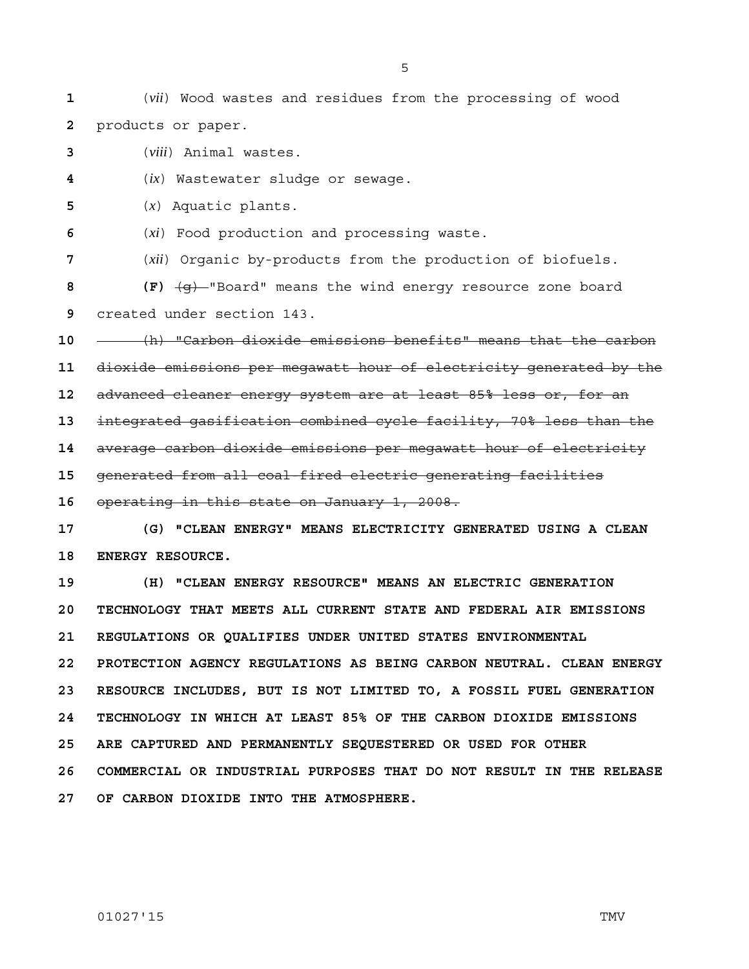**1** (*vii*) Wood wastes and residues from the processing of wood **2** products or paper.

**3** (*viii*) Animal wastes.

**4** (*ix*) Wastewater sludge or sewage.

**5** (*x*) Aquatic plants.

**6** (*xi*) Food production and processing waste.

**7** (*xii*) Organic by-products from the production of biofuels.

**8 (F)** (g) "Board" means the wind energy resource zone board **9** created under section 143.

**10** (h) "Carbon dioxide emissions benefits" means that the carbon

**11** dioxide emissions per megawatt hour of electricity generated by the

**12** advanced cleaner energy system are at least 85% less or, for an

**13** integrated gasification combined cycle facility, 70% less than the

**14** average carbon dioxide emissions per megawatt hour of electricity

**15** generated from all coal-fired electric generating facilities

**16** operating in this state on January 1, 2008.

**17 (G) "CLEAN ENERGY" MEANS ELECTRICITY GENERATED USING A CLEAN 18 ENERGY RESOURCE.**

**19 (H) "CLEAN ENERGY RESOURCE" MEANS AN ELECTRIC GENERATION 20 TECHNOLOGY THAT MEETS ALL CURRENT STATE AND FEDERAL AIR EMISSIONS 21 REGULATIONS OR QUALIFIES UNDER UNITED STATES ENVIRONMENTAL 22 PROTECTION AGENCY REGULATIONS AS BEING CARBON NEUTRAL. CLEAN ENERGY 23 RESOURCE INCLUDES, BUT IS NOT LIMITED TO, A FOSSIL FUEL GENERATION 24 TECHNOLOGY IN WHICH AT LEAST 85% OF THE CARBON DIOXIDE EMISSIONS 25 ARE CAPTURED AND PERMANENTLY SEQUESTERED OR USED FOR OTHER 26 COMMERCIAL OR INDUSTRIAL PURPOSES THAT DO NOT RESULT IN THE RELEASE 27 OF CARBON DIOXIDE INTO THE ATMOSPHERE.**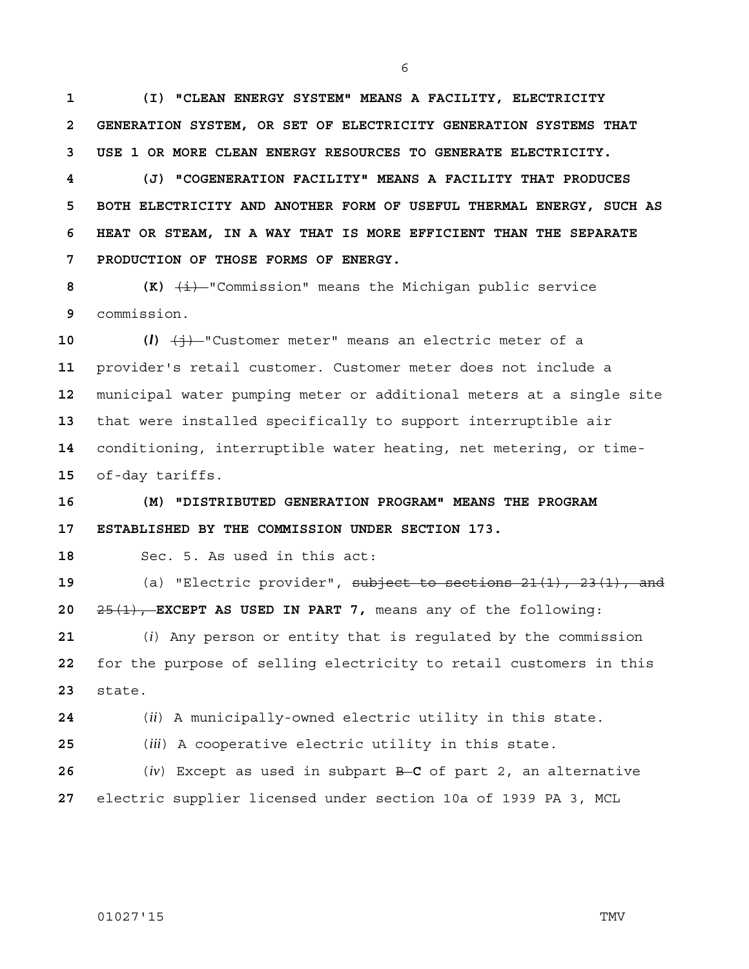**1 (I) "CLEAN ENERGY SYSTEM" MEANS A FACILITY, ELECTRICITY 2 GENERATION SYSTEM, OR SET OF ELECTRICITY GENERATION SYSTEMS THAT 3 USE 1 OR MORE CLEAN ENERGY RESOURCES TO GENERATE ELECTRICITY.**

**4 (J) "COGENERATION FACILITY" MEANS A FACILITY THAT PRODUCES 5 BOTH ELECTRICITY AND ANOTHER FORM OF USEFUL THERMAL ENERGY, SUCH AS 6 HEAT OR STEAM, IN A WAY THAT IS MORE EFFICIENT THAN THE SEPARATE 7 PRODUCTION OF THOSE FORMS OF ENERGY.**

**8 (K)**  $\overline{\textbf{(i)}}$  **(K)**  $\overline{\textbf{(ii)}}$  "Commission" means the Michigan public service **9** commission.

10 (*l*)  $\left(\frac{1}{2}\right)$  "Customer meter" means an electric meter of a provider's retail customer. Customer meter does not include a municipal water pumping meter or additional meters at a single site that were installed specifically to support interruptible air conditioning, interruptible water heating, net metering, or time-of-day tariffs.

**16 (M) "DISTRIBUTED GENERATION PROGRAM" MEANS THE PROGRAM 17 ESTABLISHED BY THE COMMISSION UNDER SECTION 173.**

**18** Sec. 5. As used in this act:

**19** (a) "Electric provider", subject to sections 21(1), 23(1), and **20** 25(1), **EXCEPT AS USED IN PART 7,** means any of the following:

**21** (*i*) Any person or entity that is regulated by the commission **22** for the purpose of selling electricity to retail customers in this **23** state.

**24** (*ii*) A municipally-owned electric utility in this state.

**25** (*iii*) A cooperative electric utility in this state.

**26** (*iv*) Except as used in subpart B **C** of part 2, an alternative **27** electric supplier licensed under section 10a of 1939 PA 3, MCL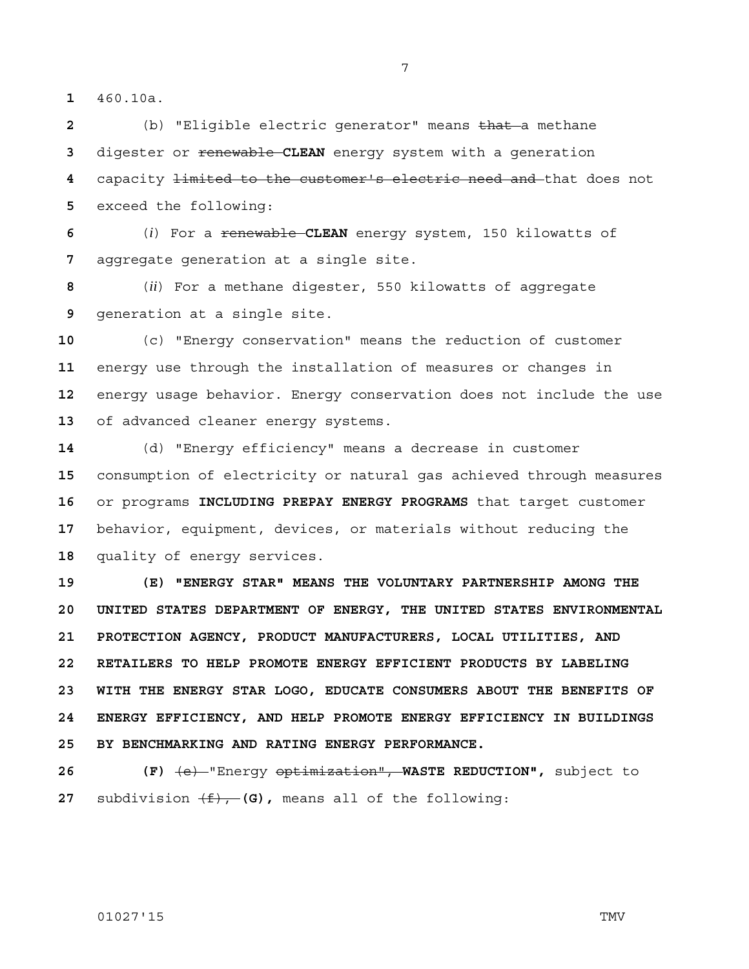460.10a.

(b) "Eligible electric generator" means that a methane digester or **renewable CLEAN** energy system with a generation capacity limited to the customer's electric need and that does not exceed the following:

(*i*) For a renewable **CLEAN** energy system, 150 kilowatts of aggregate generation at a single site.

(*ii*) For a methane digester, 550 kilowatts of aggregate generation at a single site.

(c) "Energy conservation" means the reduction of customer energy use through the installation of measures or changes in energy usage behavior. Energy conservation does not include the use of advanced cleaner energy systems.

(d) "Energy efficiency" means a decrease in customer consumption of electricity or natural gas achieved through measures or programs **INCLUDING PREPAY ENERGY PROGRAMS** that target customer behavior, equipment, devices, or materials without reducing the quality of energy services.

**19 (E) "ENERGY STAR" MEANS THE VOLUNTARY PARTNERSHIP AMONG THE 20 UNITED STATES DEPARTMENT OF ENERGY, THE UNITED STATES ENVIRONMENTAL 21 PROTECTION AGENCY, PRODUCT MANUFACTURERS, LOCAL UTILITIES, AND 22 RETAILERS TO HELP PROMOTE ENERGY EFFICIENT PRODUCTS BY LABELING 23 WITH THE ENERGY STAR LOGO, EDUCATE CONSUMERS ABOUT THE BENEFITS OF 24 ENERGY EFFICIENCY, AND HELP PROMOTE ENERGY EFFICIENCY IN BUILDINGS 25 BY BENCHMARKING AND RATING ENERGY PERFORMANCE.**

**26 (F)** (e) "Energy optimization", **WASTE REDUCTION",** subject to **27** subdivision  $(f)$ , **(G)**, means all of the following: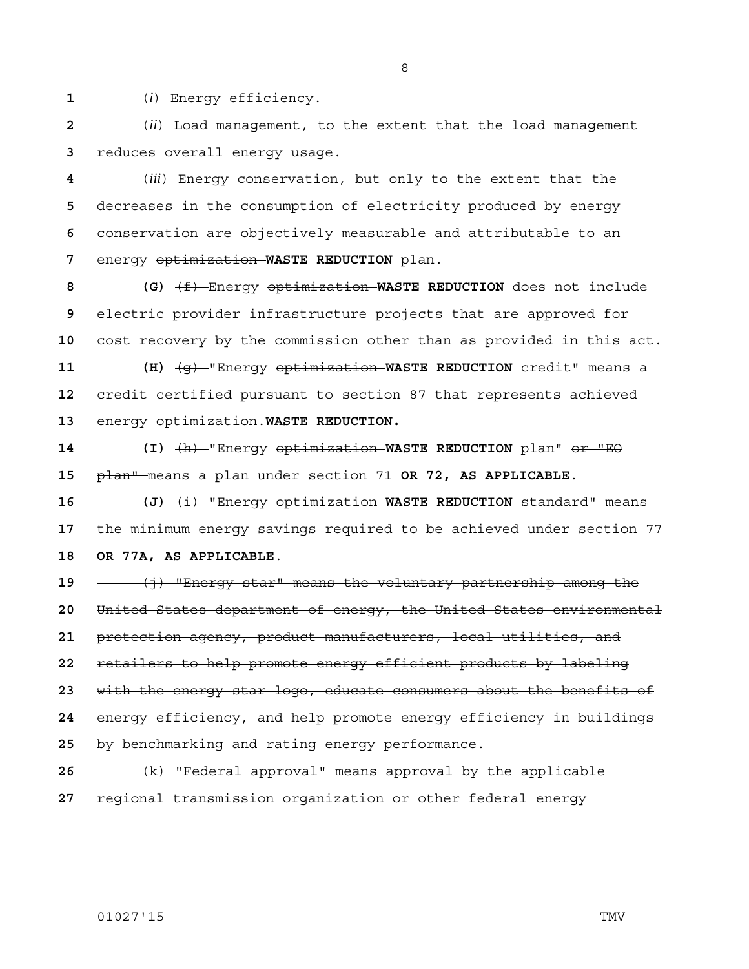(*i*) Energy efficiency.

(*ii*) Load management, to the extent that the load management reduces overall energy usage.

(*iii*) Energy conservation, but only to the extent that the decreases in the consumption of electricity produced by energy conservation are objectively measurable and attributable to an energy optimization **WASTE REDUCTION** plan.

**8 (G)** (f) Energy optimization **WASTE REDUCTION** does not include electric provider infrastructure projects that are approved for cost recovery by the commission other than as provided in this act.

**11 (H)** (g) "Energy optimization **WASTE REDUCTION** credit" means a credit certified pursuant to section 87 that represents achieved energy optimization.**WASTE REDUCTION.**

**14 (I)** (h) "Energy optimization **WASTE REDUCTION** plan" or "EO plan" means a plan under section 71 **OR 72, AS APPLICABLE**.

**16 (J)** (i) "Energy optimization **WASTE REDUCTION** standard" means the minimum energy savings required to be achieved under section 77 **18 OR 77A, AS APPLICABLE**.

(j) "Energy star" means the voluntary partnership among the United States department of energy, the United States environmental protection agency, product manufacturers, local utilities, and retailers to help promote energy efficient products by labeling with the energy star logo, educate consumers about the benefits of energy efficiency, and help promote energy efficiency in buildings by benchmarking and rating energy performance.

(k) "Federal approval" means approval by the applicable regional transmission organization or other federal energy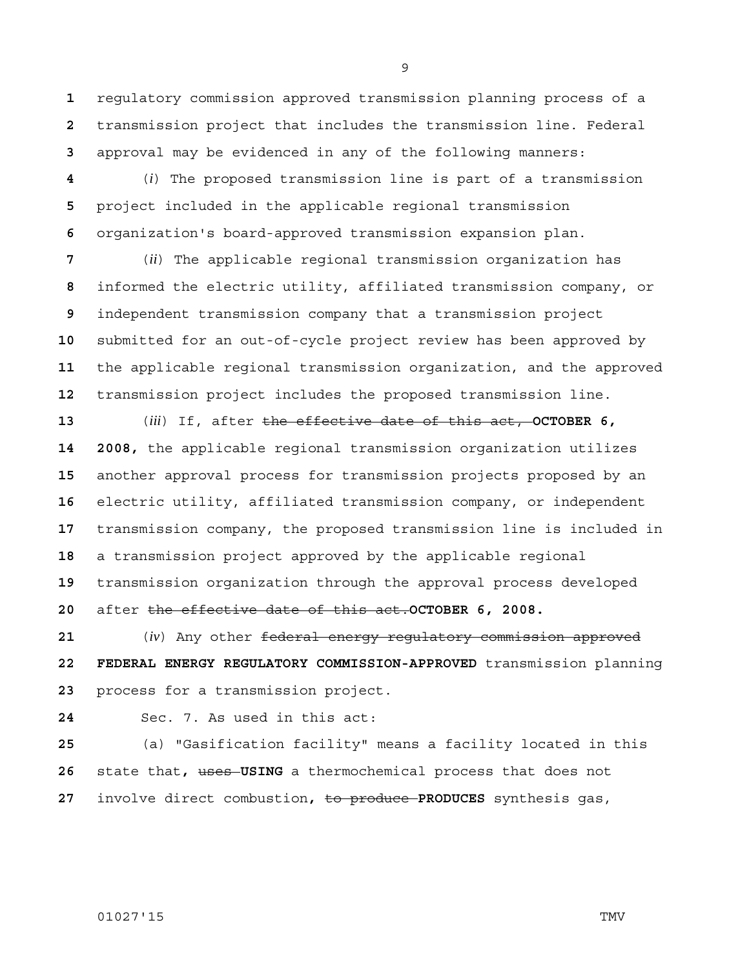regulatory commission approved transmission planning process of a transmission project that includes the transmission line. Federal approval may be evidenced in any of the following manners:

(*i*) The proposed transmission line is part of a transmission project included in the applicable regional transmission organization's board-approved transmission expansion plan.

(*ii*) The applicable regional transmission organization has informed the electric utility, affiliated transmission company, or independent transmission company that a transmission project submitted for an out-of-cycle project review has been approved by the applicable regional transmission organization, and the approved transmission project includes the proposed transmission line.

(*iii*) If, after the effective date of this act, **OCTOBER 6, 14 2008,** the applicable regional transmission organization utilizes another approval process for transmission projects proposed by an electric utility, affiliated transmission company, or independent transmission company, the proposed transmission line is included in a transmission project approved by the applicable regional transmission organization through the approval process developed after the effective date of this act.**OCTOBER 6, 2008.**

(*iv*) Any other federal energy regulatory commission approved **22 FEDERAL ENERGY REGULATORY COMMISSION-APPROVED** transmission planning process for a transmission project.

Sec. 7. As used in this act:

(a) "Gasification facility" means a facility located in this state that**,** uses **USING** a thermochemical process that does not involve direct combustion**,** to produce **PRODUCES** synthesis gas,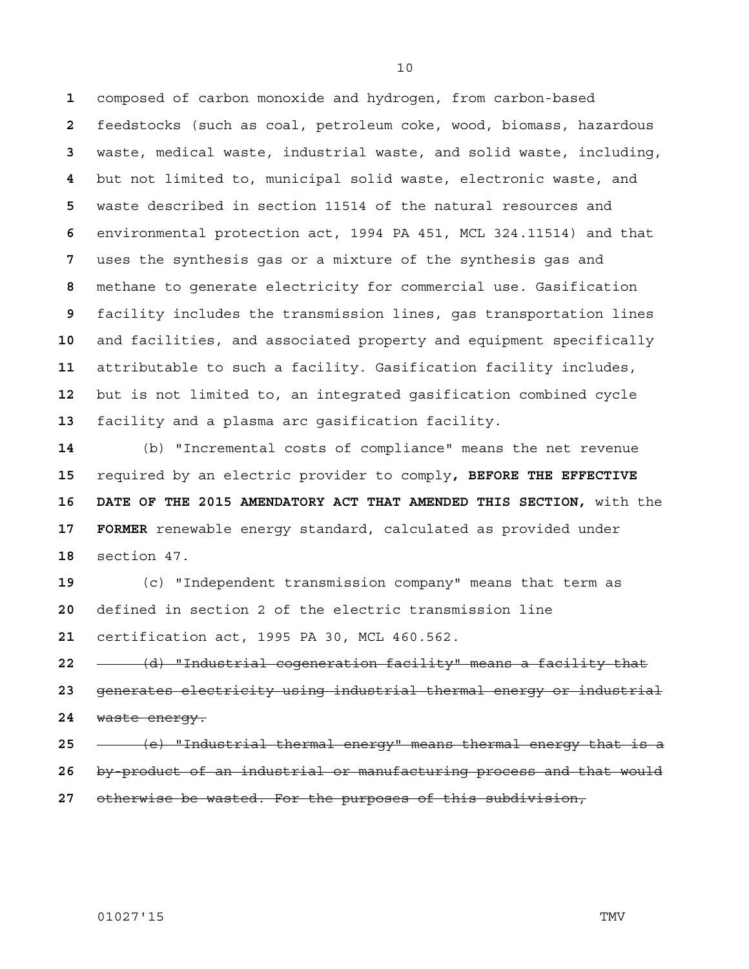composed of carbon monoxide and hydrogen, from carbon-based feedstocks (such as coal, petroleum coke, wood, biomass, hazardous waste, medical waste, industrial waste, and solid waste, including, but not limited to, municipal solid waste, electronic waste, and waste described in section 11514 of the natural resources and environmental protection act, 1994 PA 451, MCL 324.11514) and that uses the synthesis gas or a mixture of the synthesis gas and methane to generate electricity for commercial use. Gasification facility includes the transmission lines, gas transportation lines and facilities, and associated property and equipment specifically attributable to such a facility. Gasification facility includes, but is not limited to, an integrated gasification combined cycle facility and a plasma arc gasification facility.

(b) "Incremental costs of compliance" means the net revenue required by an electric provider to comply**, BEFORE THE EFFECTIVE 16 DATE OF THE 2015 AMENDATORY ACT THAT AMENDED THIS SECTION,** with the **17 FORMER** renewable energy standard, calculated as provided under section 47.

(c) "Independent transmission company" means that term as defined in section 2 of the electric transmission line certification act, 1995 PA 30, MCL 460.562.

(d) "Industrial cogeneration facility" means a facility that

generates electricity using industrial thermal energy or industrial waste energy.

- (e) "Industrial thermal energy" means thermal energy that is a
- by-product of an industrial or manufacturing process and that would
- otherwise be wasted. For the purposes of this subdivision,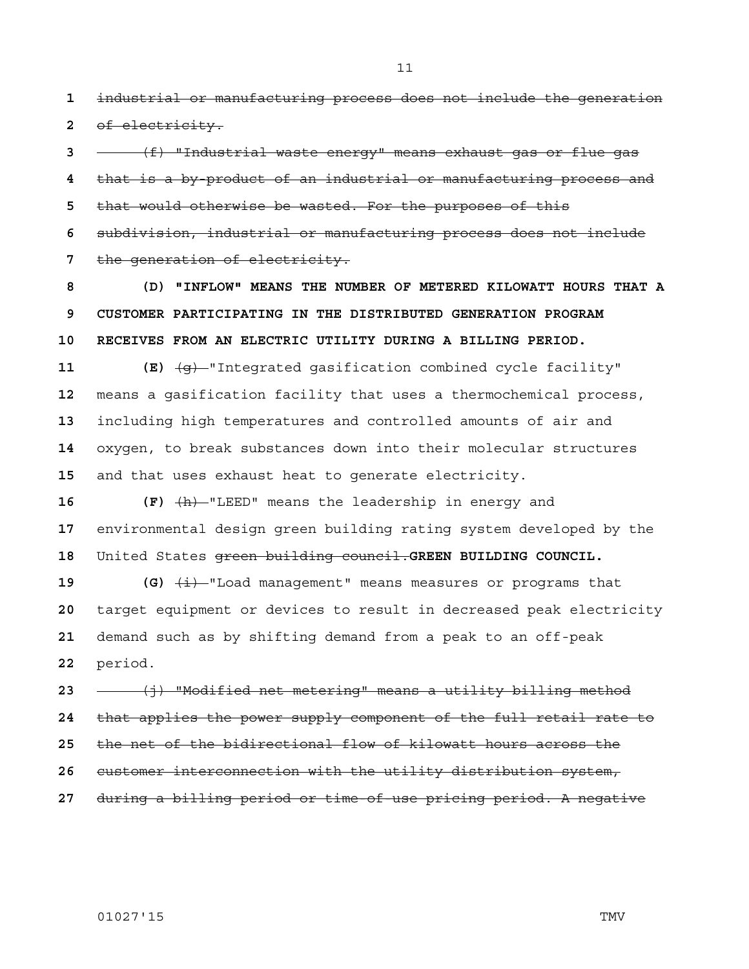industrial or manufacturing process does not include the generation of electricity.

(f) "Industrial waste energy" means exhaust gas or flue gas that is a by-product of an industrial or manufacturing process and that would otherwise be wasted. For the purposes of this subdivision, industrial or manufacturing process does not include the generation of electricity.

**8 (D) "INFLOW" MEANS THE NUMBER OF METERED KILOWATT HOURS THAT A 9 CUSTOMER PARTICIPATING IN THE DISTRIBUTED GENERATION PROGRAM 10 RECEIVES FROM AN ELECTRIC UTILITY DURING A BILLING PERIOD.**

**11 (E)** (g) "Integrated gasification combined cycle facility" means a gasification facility that uses a thermochemical process, including high temperatures and controlled amounts of air and oxygen, to break substances down into their molecular structures and that uses exhaust heat to generate electricity.

16 **(F)**  $\frac{h}{h}$  "LEED" means the leadership in energy and environmental design green building rating system developed by the United States green building council.**GREEN BUILDING COUNCIL.**

**(G)**  $\overline{\textbf{(d)}}$   $\overline{\textbf{(i)}}$  "Load management" means measures or programs that target equipment or devices to result in decreased peak electricity demand such as by shifting demand from a peak to an off-peak period.

(j) "Modified net metering" means a utility billing method that applies the power supply component of the full retail rate to the net of the bidirectional flow of kilowatt hours across the customer interconnection with the utility distribution system, during a billing period or time-of-use pricing period. A negative

01027'15 TMV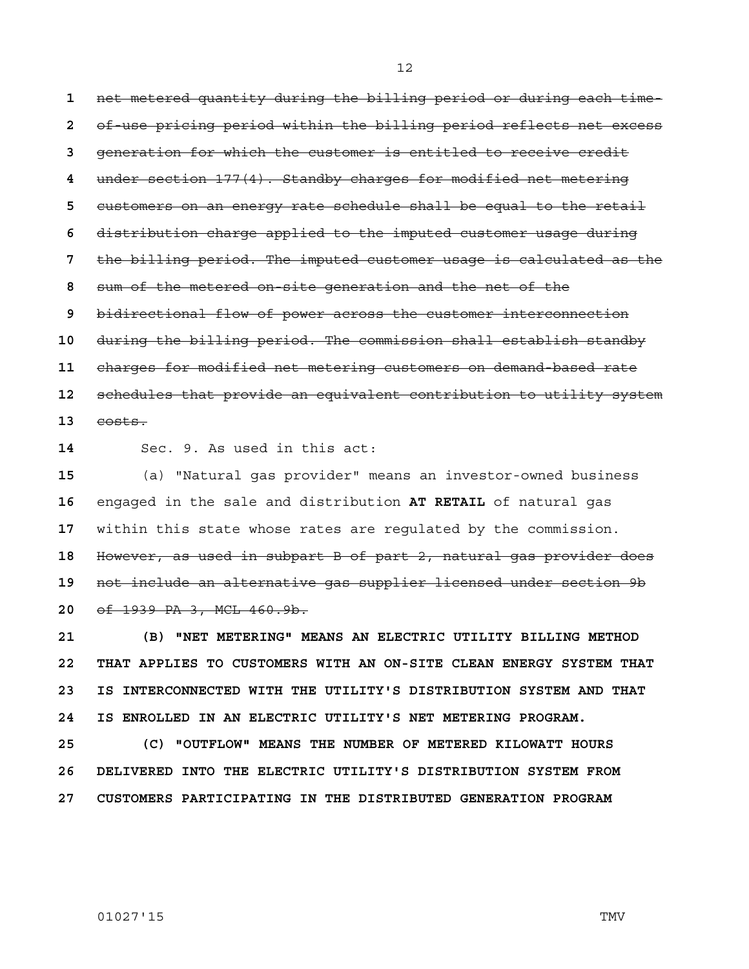net metered quantity during the billing period or during each time-of-use pricing period within the billing period reflects net excess generation for which the customer is entitled to receive credit under section 177(4). Standby charges for modified net metering customers on an energy rate schedule shall be equal to the retail distribution charge applied to the imputed customer usage during the billing period. The imputed customer usage is calculated as the sum of the metered on-site generation and the net of the bidirectional flow of power across the customer interconnection during the billing period. The commission shall establish standby charges for modified net metering customers on demand-based rate schedules that provide an equivalent contribution to utility system costs.

Sec. 9. As used in this act:

(a) "Natural gas provider" means an investor-owned business engaged in the sale and distribution **AT RETAIL** of natural gas within this state whose rates are regulated by the commission. However, as used in subpart B of part 2, natural gas provider does not include an alternative gas supplier licensed under section 9b of 1939 PA 3, MCL 460.9b.

**21 (B) "NET METERING" MEANS AN ELECTRIC UTILITY BILLING METHOD 22 THAT APPLIES TO CUSTOMERS WITH AN ON-SITE CLEAN ENERGY SYSTEM THAT 23 IS INTERCONNECTED WITH THE UTILITY'S DISTRIBUTION SYSTEM AND THAT 24 IS ENROLLED IN AN ELECTRIC UTILITY'S NET METERING PROGRAM.**

**25 (C) "OUTFLOW" MEANS THE NUMBER OF METERED KILOWATT HOURS 26 DELIVERED INTO THE ELECTRIC UTILITY'S DISTRIBUTION SYSTEM FROM 27 CUSTOMERS PARTICIPATING IN THE DISTRIBUTED GENERATION PROGRAM**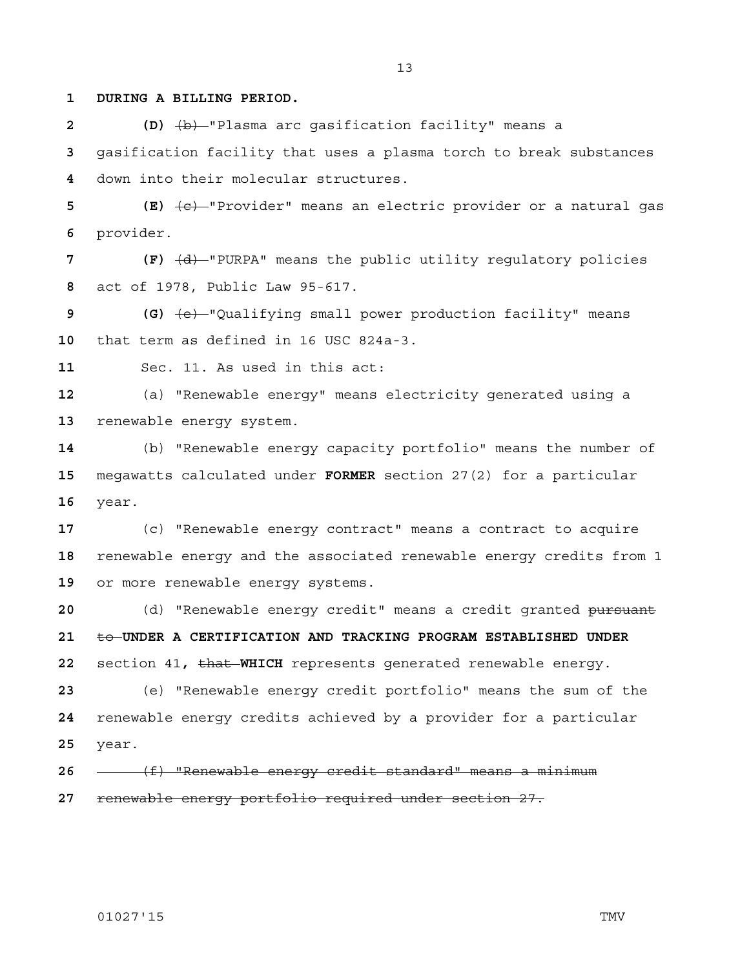**1 DURING A BILLING PERIOD.**

**2 (D)** (b) "Plasma arc gasification facility" means a gasification facility that uses a plasma torch to break substances down into their molecular structures.

**5 (E)** (c) "Provider" means an electric provider or a natural gas provider.

7 **(F)**  $\left(\frac{d}{dt}\right)$  "PURPA" means the public utility regulatory policies act of 1978, Public Law 95-617.

**9 (G)** (e) "Qualifying small power production facility" means that term as defined in 16 USC 824a-3.

Sec. 11. As used in this act:

(a) "Renewable energy" means electricity generated using a renewable energy system.

(b) "Renewable energy capacity portfolio" means the number of megawatts calculated under **FORMER** section 27(2) for a particular year.

(c) "Renewable energy contract" means a contract to acquire renewable energy and the associated renewable energy credits from 1 or more renewable energy systems.

(d) "Renewable energy credit" means a credit granted pursuant to **UNDER A CERTIFICATION AND TRACKING PROGRAM ESTABLISHED UNDER**  section 41**,** that **WHICH** represents generated renewable energy.

(e) "Renewable energy credit portfolio" means the sum of the renewable energy credits achieved by a provider for a particular year.

(f) "Renewable energy credit standard" means a minimum renewable energy portfolio required under section 27.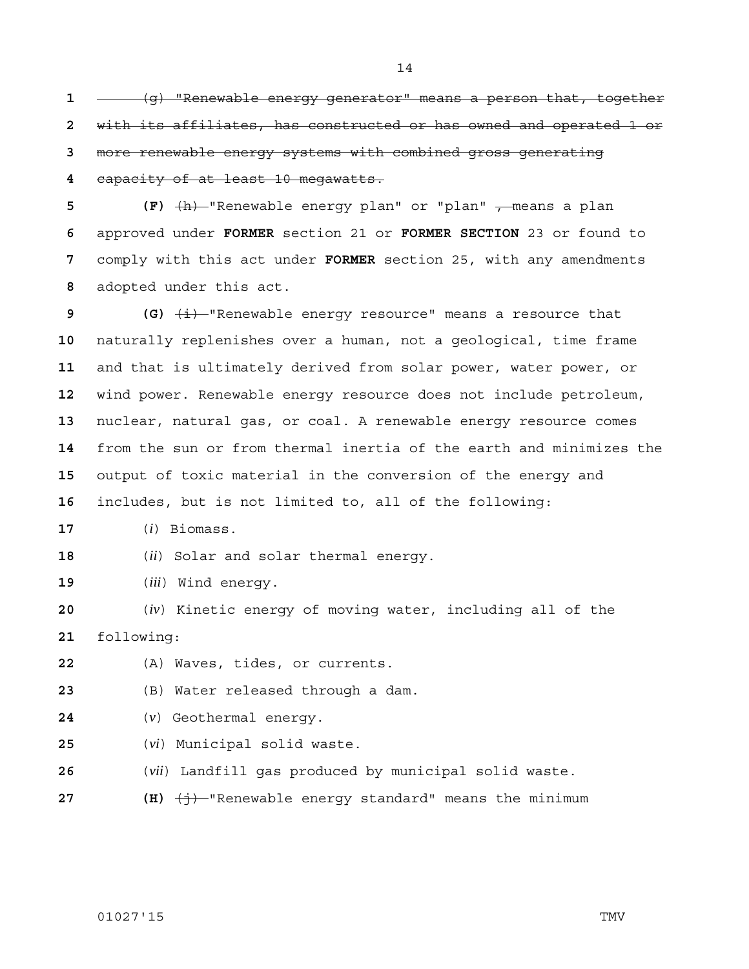**- (g)** "Renewable energy generator" means a person that, together with its affiliates, has constructed or has owned and operated 1 or more renewable energy systems with combined gross generating

capacity of at least 10 megawatts.

**(F)**  $\frac{h}{h}$  "Renewable energy plan" or "plan" , means a plan approved under **FORMER** section 21 or **FORMER SECTION** 23 or found to comply with this act under **FORMER** section 25, with any amendments adopted under this act.

 **(G)**  $\frac{1}{1}$  "Renewable energy resource" means a resource that naturally replenishes over a human, not a geological, time frame and that is ultimately derived from solar power, water power, or wind power. Renewable energy resource does not include petroleum, nuclear, natural gas, or coal. A renewable energy resource comes from the sun or from thermal inertia of the earth and minimizes the output of toxic material in the conversion of the energy and includes, but is not limited to, all of the following:

(*i*) Biomass.

(*ii*) Solar and solar thermal energy.

(*iii*) Wind energy.

(*iv*) Kinetic energy of moving water, including all of the following:

(A) Waves, tides, or currents.

(B) Water released through a dam.

(*v*) Geothermal energy.

- (*vi*) Municipal solid waste.
- (*vii*) Landfill gas produced by municipal solid waste.
- **27 (H)**  $\left(\frac{1}{1}\right)$ -"Renewable energy standard" means the minimum

01027'15 TMV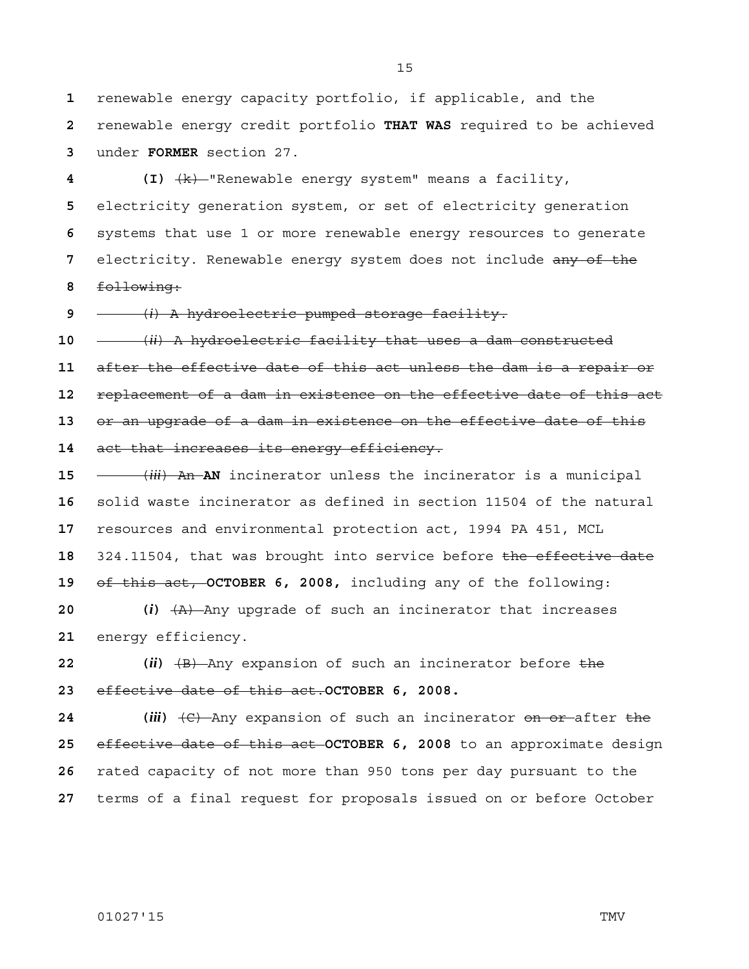renewable energy capacity portfolio, if applicable, and the renewable energy credit portfolio **THAT WAS** required to be achieved under **FORMER** section 27.

**4 (I)** (k) "Renewable energy system" means a facility, electricity generation system, or set of electricity generation systems that use 1 or more renewable energy resources to generate electricity. Renewable energy system does not include any of the following:

(*i*) A hydroelectric pumped storage facility.

 $-$  (*ii*) A hydroelectric facility that uses a dam constructed after the effective date of this act unless the dam is a repair or replacement of a dam in existence on the effective date of this act or an upgrade of a dam in existence on the effective date of this act that increases its energy efficiency.

(*iii*) An **AN** incinerator unless the incinerator is a municipal solid waste incinerator as defined in section 11504 of the natural resources and environmental protection act, 1994 PA 451, MCL 324.11504, that was brought into service before the effective date of this act, **OCTOBER 6, 2008,** including any of the following:

**20 (***i***)** (A) Any upgrade of such an incinerator that increases energy efficiency.

**22** (*ii*)  $\overline{AB}$  Any expansion of such an incinerator before the effective date of this act.**OCTOBER 6, 2008.**

**24 (***iii***)** (C) Any expansion of such an incinerator on or after the effective date of this act **OCTOBER 6, 2008** to an approximate design rated capacity of not more than 950 tons per day pursuant to the terms of a final request for proposals issued on or before October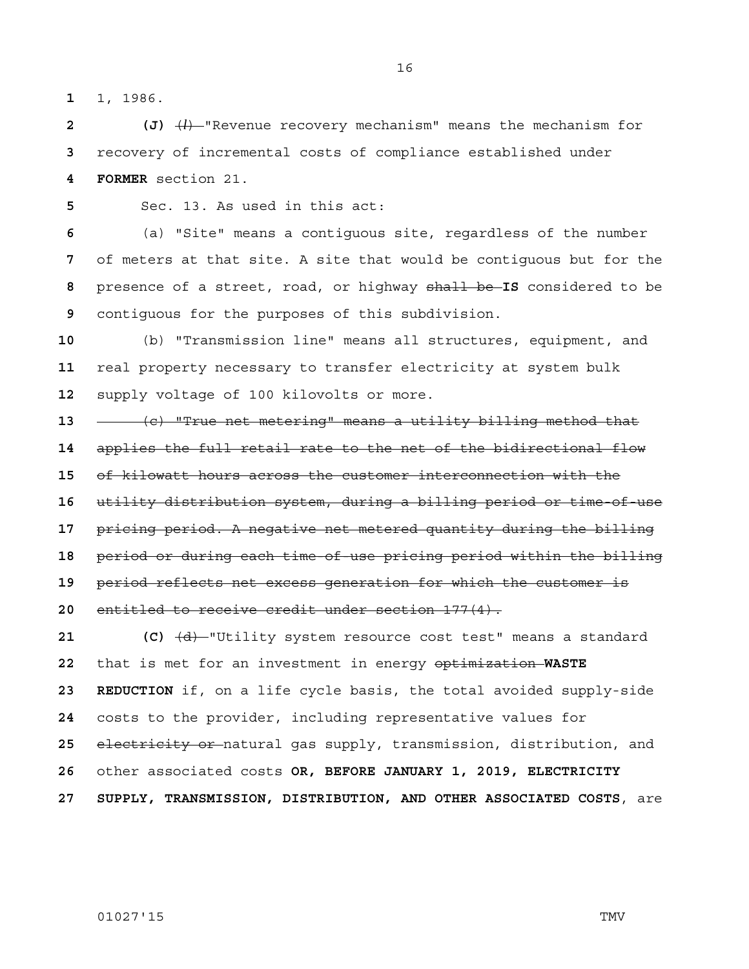1, 1986.

**2 (J)** (*l*) "Revenue recovery mechanism" means the mechanism for recovery of incremental costs of compliance established under **4 FORMER** section 21.

Sec. 13. As used in this act:

(a) "Site" means a contiguous site, regardless of the number of meters at that site. A site that would be contiguous but for the presence of a street, road, or highway shall be **IS** considered to be contiguous for the purposes of this subdivision.

(b) "Transmission line" means all structures, equipment, and real property necessary to transfer electricity at system bulk supply voltage of 100 kilovolts or more.

(c) "True net metering" means a utility billing method that applies the full retail rate to the net of the bidirectional flow of kilowatt hours across the customer interconnection with the utility distribution system, during a billing period or time-of-use pricing period. A negative net metered quantity during the billing period or during each time-of-use pricing period within the billing period reflects net excess generation for which the customer is entitled to receive credit under section 177(4).

**21 (C)** (d) "Utility system resource cost test" means a standard that is met for an investment in energy optimization **WASTE 23 REDUCTION** if, on a life cycle basis, the total avoided supply-side costs to the provider, including representative values for electricity or natural gas supply, transmission, distribution, and other associated costs **OR, BEFORE JANUARY 1, 2019, ELECTRICITY 27 SUPPLY, TRANSMISSION, DISTRIBUTION, AND OTHER ASSOCIATED COSTS**, are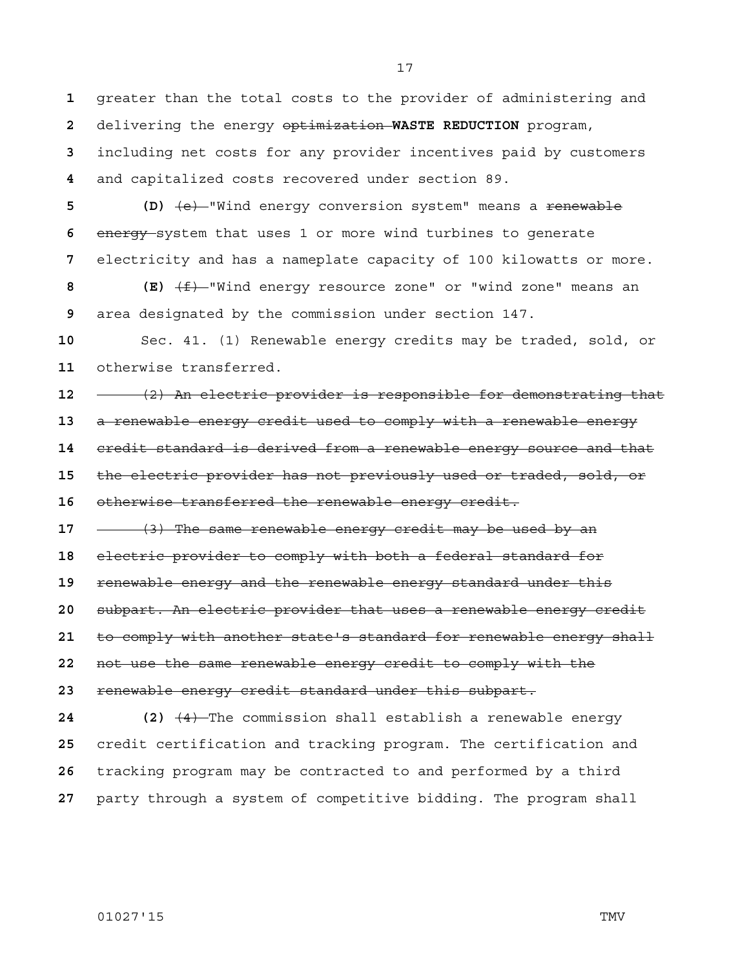greater than the total costs to the provider of administering and delivering the energy optimization **WASTE REDUCTION** program, including net costs for any provider incentives paid by customers and capitalized costs recovered under section 89.

**5** (D)  $\left\lbrace e \right\rbrace$ -"Wind energy conversion system" means a <del>renewable</del> energy system that uses 1 or more wind turbines to generate electricity and has a nameplate capacity of 100 kilowatts or more.

**8 (E)** (f) "Wind energy resource zone" or "wind zone" means an area designated by the commission under section 147.

Sec. 41. (1) Renewable energy credits may be traded, sold, or otherwise transferred.

**- (2)** An electric provider is responsible for demonstrating that a renewable energy credit used to comply with a renewable energy credit standard is derived from a renewable energy source and that

the electric provider has not previously used or traded, sold, or

otherwise transferred the renewable energy credit.

(3) The same renewable energy credit may be used by an

electric provider to comply with both a federal standard for

renewable energy and the renewable energy standard under this

subpart. An electric provider that uses a renewable energy credit

to comply with another state's standard for renewable energy shall

not use the same renewable energy credit to comply with the

renewable energy credit standard under this subpart.

**24 (2)** (4) The commission shall establish a renewable energy credit certification and tracking program. The certification and tracking program may be contracted to and performed by a third party through a system of competitive bidding. The program shall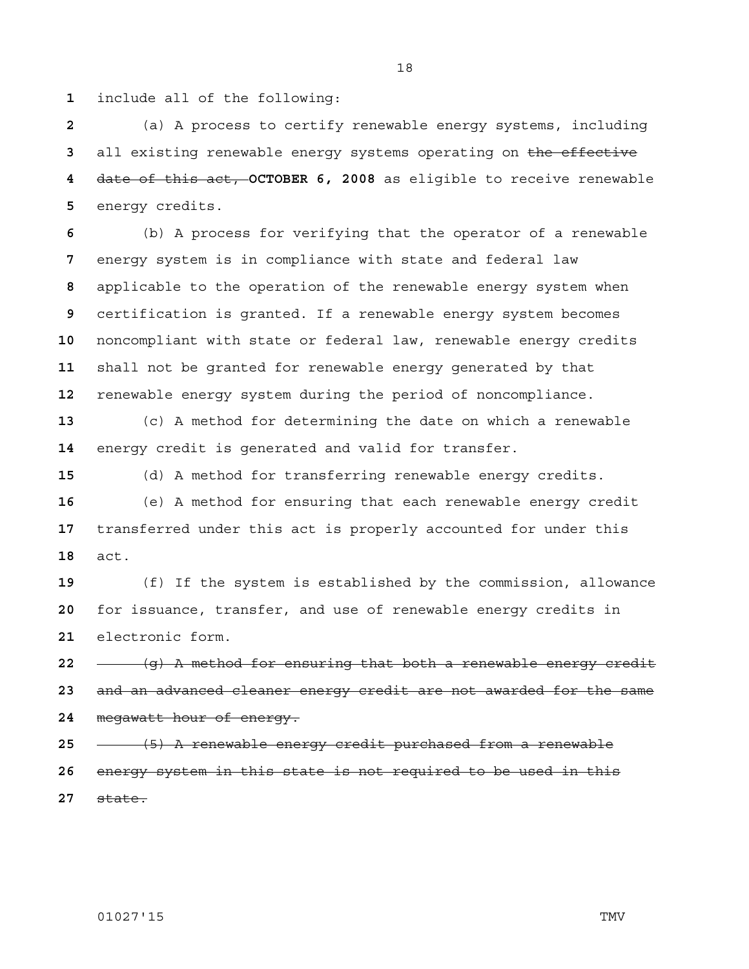include all of the following:

(a) A process to certify renewable energy systems, including all existing renewable energy systems operating on the effective date of this act, **OCTOBER 6, 2008** as eligible to receive renewable energy credits.

(b) A process for verifying that the operator of a renewable energy system is in compliance with state and federal law applicable to the operation of the renewable energy system when certification is granted. If a renewable energy system becomes noncompliant with state or federal law, renewable energy credits shall not be granted for renewable energy generated by that renewable energy system during the period of noncompliance.

(c) A method for determining the date on which a renewable energy credit is generated and valid for transfer.

(d) A method for transferring renewable energy credits. (e) A method for ensuring that each renewable energy credit transferred under this act is properly accounted for under this act.

(f) If the system is established by the commission, allowance for issuance, transfer, and use of renewable energy credits in electronic form.

(g) A method for ensuring that both a renewable energy credit and an advanced cleaner energy credit are not awarded for the same megawatt hour of energy.

(5) A renewable energy credit purchased from a renewable energy system in this state is not required to be used in this

state.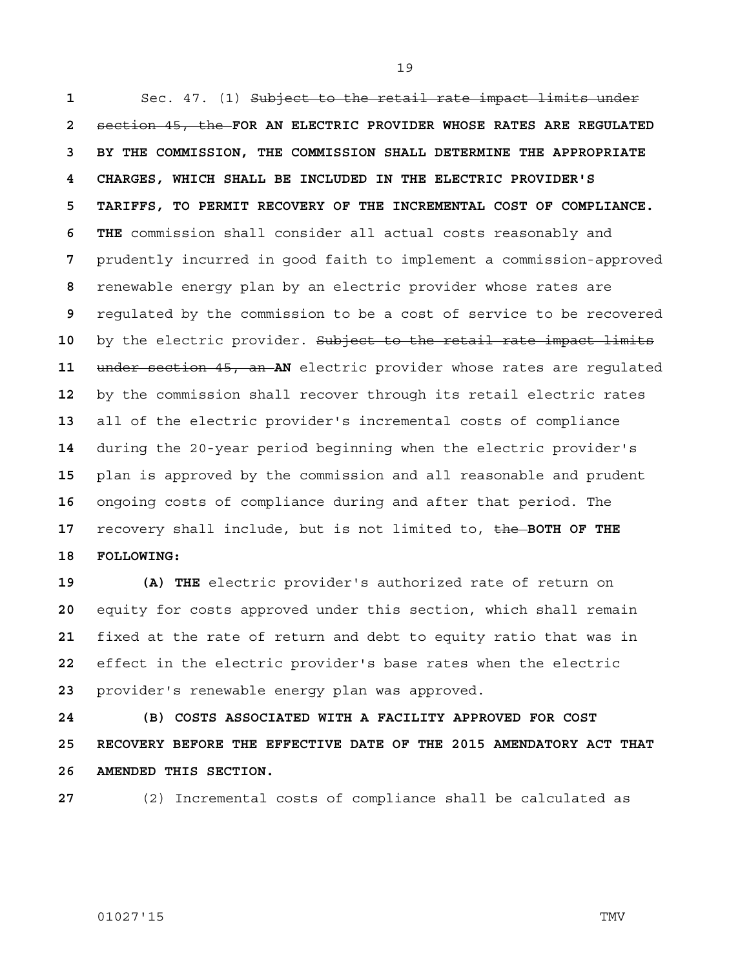1 Sec. 47. (1) Subject to the retail rate impact limits under section 45, the **FOR AN ELECTRIC PROVIDER WHOSE RATES ARE REGULATED 3 BY THE COMMISSION, THE COMMISSION SHALL DETERMINE THE APPROPRIATE 4 CHARGES, WHICH SHALL BE INCLUDED IN THE ELECTRIC PROVIDER'S 5 TARIFFS, TO PERMIT RECOVERY OF THE INCREMENTAL COST OF COMPLIANCE. 6 THE** commission shall consider all actual costs reasonably and prudently incurred in good faith to implement a commission-approved renewable energy plan by an electric provider whose rates are regulated by the commission to be a cost of service to be recovered by the electric provider. Subject to the retail rate impact limits under section 45, an **AN** electric provider whose rates are regulated by the commission shall recover through its retail electric rates all of the electric provider's incremental costs of compliance during the 20-year period beginning when the electric provider's plan is approved by the commission and all reasonable and prudent ongoing costs of compliance during and after that period. The recovery shall include, but is not limited to, the **BOTH OF THE 18 FOLLOWING:**

**19 (A) THE** electric provider's authorized rate of return on equity for costs approved under this section, which shall remain fixed at the rate of return and debt to equity ratio that was in effect in the electric provider's base rates when the electric provider's renewable energy plan was approved.

**24 (B) COSTS ASSOCIATED WITH A FACILITY APPROVED FOR COST 25 RECOVERY BEFORE THE EFFECTIVE DATE OF THE 2015 AMENDATORY ACT THAT 26 AMENDED THIS SECTION.**



(2) Incremental costs of compliance shall be calculated as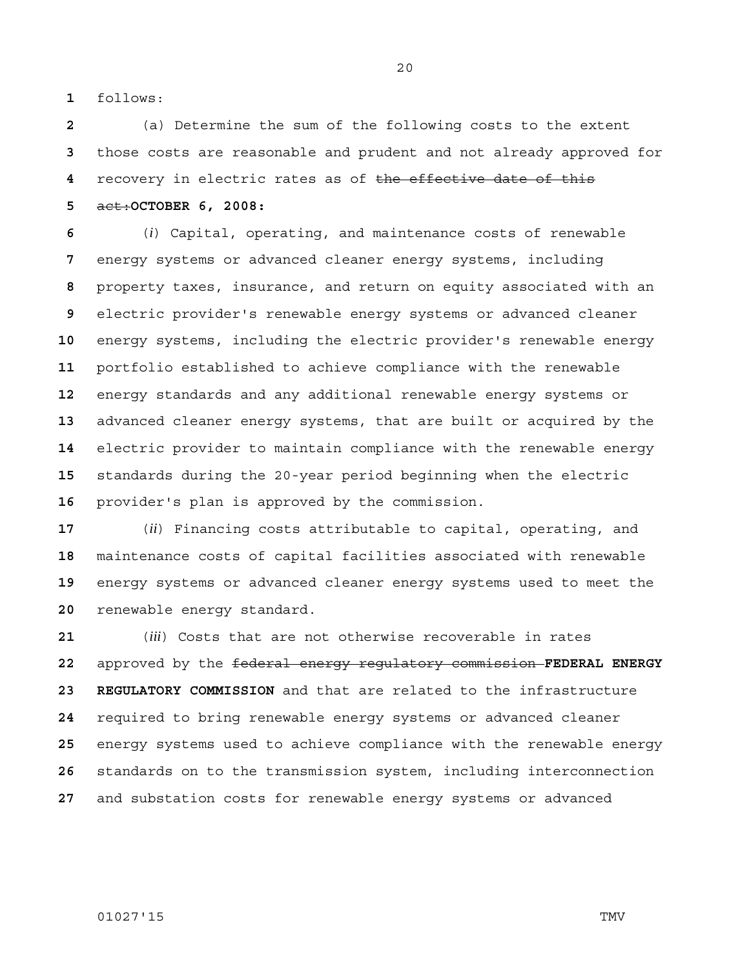follows:

(a) Determine the sum of the following costs to the extent those costs are reasonable and prudent and not already approved for recovery in electric rates as of the effective date of this act:**OCTOBER 6, 2008:** 

(*i*) Capital, operating, and maintenance costs of renewable energy systems or advanced cleaner energy systems, including property taxes, insurance, and return on equity associated with an electric provider's renewable energy systems or advanced cleaner energy systems, including the electric provider's renewable energy portfolio established to achieve compliance with the renewable energy standards and any additional renewable energy systems or advanced cleaner energy systems, that are built or acquired by the electric provider to maintain compliance with the renewable energy standards during the 20-year period beginning when the electric provider's plan is approved by the commission.

(*ii*) Financing costs attributable to capital, operating, and maintenance costs of capital facilities associated with renewable energy systems or advanced cleaner energy systems used to meet the renewable energy standard.

(*iii*) Costs that are not otherwise recoverable in rates approved by the federal energy regulatory commission **FEDERAL ENERGY 23 REGULATORY COMMISSION** and that are related to the infrastructure required to bring renewable energy systems or advanced cleaner energy systems used to achieve compliance with the renewable energy standards on to the transmission system, including interconnection and substation costs for renewable energy systems or advanced

01027'15 TMV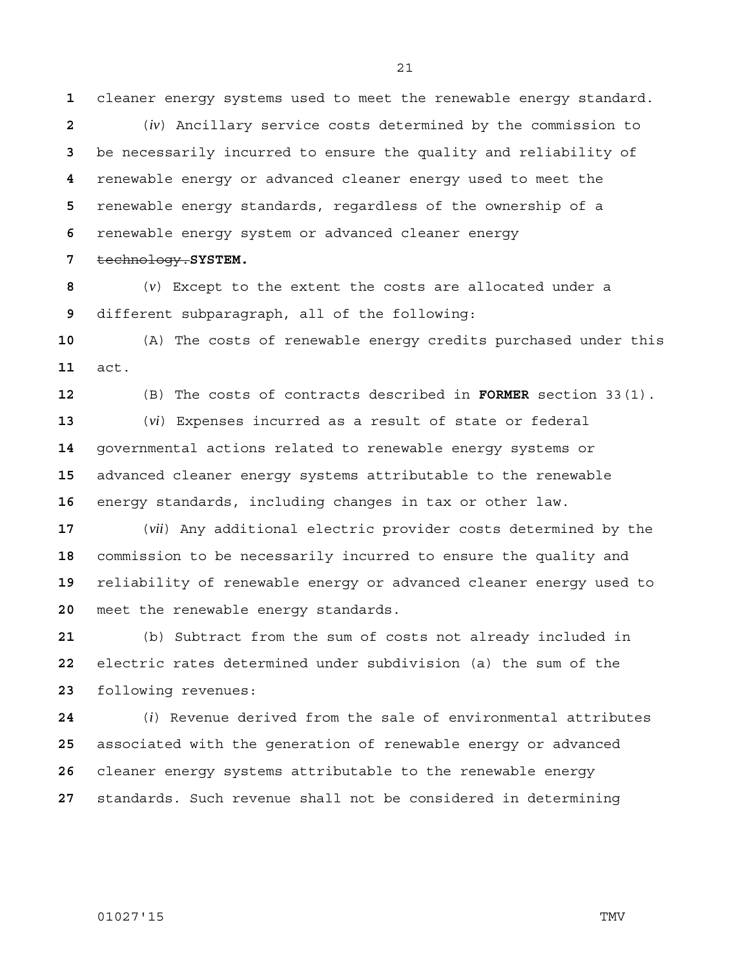cleaner energy systems used to meet the renewable energy standard.

(*iv*) Ancillary service costs determined by the commission to be necessarily incurred to ensure the quality and reliability of renewable energy or advanced cleaner energy used to meet the renewable energy standards, regardless of the ownership of a renewable energy system or advanced cleaner energy

technology.**SYSTEM.**

(*v*) Except to the extent the costs are allocated under a different subparagraph, all of the following:

(A) The costs of renewable energy credits purchased under this act.

(B) The costs of contracts described in **FORMER** section 33(1).

(*vi*) Expenses incurred as a result of state or federal governmental actions related to renewable energy systems or advanced cleaner energy systems attributable to the renewable energy standards, including changes in tax or other law.

(*vii*) Any additional electric provider costs determined by the commission to be necessarily incurred to ensure the quality and reliability of renewable energy or advanced cleaner energy used to meet the renewable energy standards.

(b) Subtract from the sum of costs not already included in electric rates determined under subdivision (a) the sum of the following revenues:

(*i*) Revenue derived from the sale of environmental attributes associated with the generation of renewable energy or advanced cleaner energy systems attributable to the renewable energy standards. Such revenue shall not be considered in determining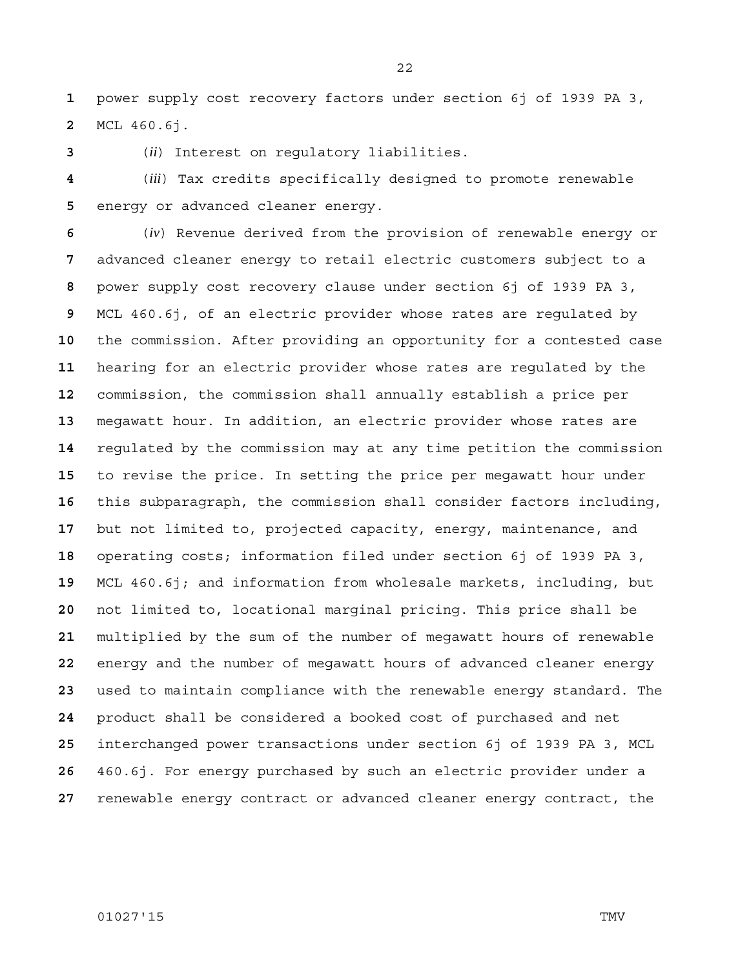power supply cost recovery factors under section 6j of 1939 PA 3, MCL 460.6j.

(*ii*) Interest on regulatory liabilities.

(*iii*) Tax credits specifically designed to promote renewable energy or advanced cleaner energy.

(*iv*) Revenue derived from the provision of renewable energy or advanced cleaner energy to retail electric customers subject to a power supply cost recovery clause under section 6j of 1939 PA 3, MCL 460.6j, of an electric provider whose rates are regulated by the commission. After providing an opportunity for a contested case hearing for an electric provider whose rates are regulated by the commission, the commission shall annually establish a price per megawatt hour. In addition, an electric provider whose rates are regulated by the commission may at any time petition the commission to revise the price. In setting the price per megawatt hour under this subparagraph, the commission shall consider factors including, but not limited to, projected capacity, energy, maintenance, and operating costs; information filed under section 6j of 1939 PA 3, MCL 460.6j; and information from wholesale markets, including, but not limited to, locational marginal pricing. This price shall be multiplied by the sum of the number of megawatt hours of renewable energy and the number of megawatt hours of advanced cleaner energy used to maintain compliance with the renewable energy standard. The product shall be considered a booked cost of purchased and net interchanged power transactions under section 6j of 1939 PA 3, MCL 460.6j. For energy purchased by such an electric provider under a renewable energy contract or advanced cleaner energy contract, the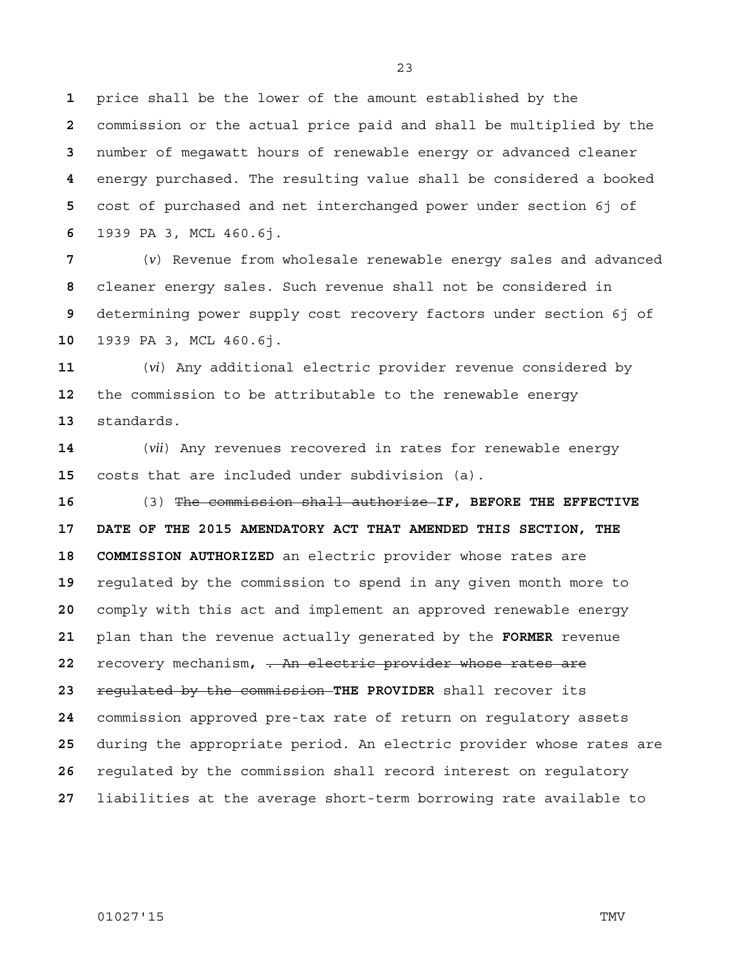price shall be the lower of the amount established by the commission or the actual price paid and shall be multiplied by the number of megawatt hours of renewable energy or advanced cleaner energy purchased. The resulting value shall be considered a booked cost of purchased and net interchanged power under section 6j of 1939 PA 3, MCL 460.6j.

(*v*) Revenue from wholesale renewable energy sales and advanced cleaner energy sales. Such revenue shall not be considered in determining power supply cost recovery factors under section 6j of 1939 PA 3, MCL 460.6j.

(*vi*) Any additional electric provider revenue considered by the commission to be attributable to the renewable energy standards.

(*vii*) Any revenues recovered in rates for renewable energy costs that are included under subdivision (a).

(3) The commission shall authorize **IF, BEFORE THE EFFECTIVE 17 DATE OF THE 2015 AMENDATORY ACT THAT AMENDED THIS SECTION, THE 18 COMMISSION AUTHORIZED** an electric provider whose rates are regulated by the commission to spend in any given month more to comply with this act and implement an approved renewable energy plan than the revenue actually generated by the **FORMER** revenue recovery mechanism**,** . An electric provider whose rates are regulated by the commission **THE PROVIDER** shall recover its commission approved pre-tax rate of return on regulatory assets during the appropriate period. An electric provider whose rates are regulated by the commission shall record interest on regulatory liabilities at the average short-term borrowing rate available to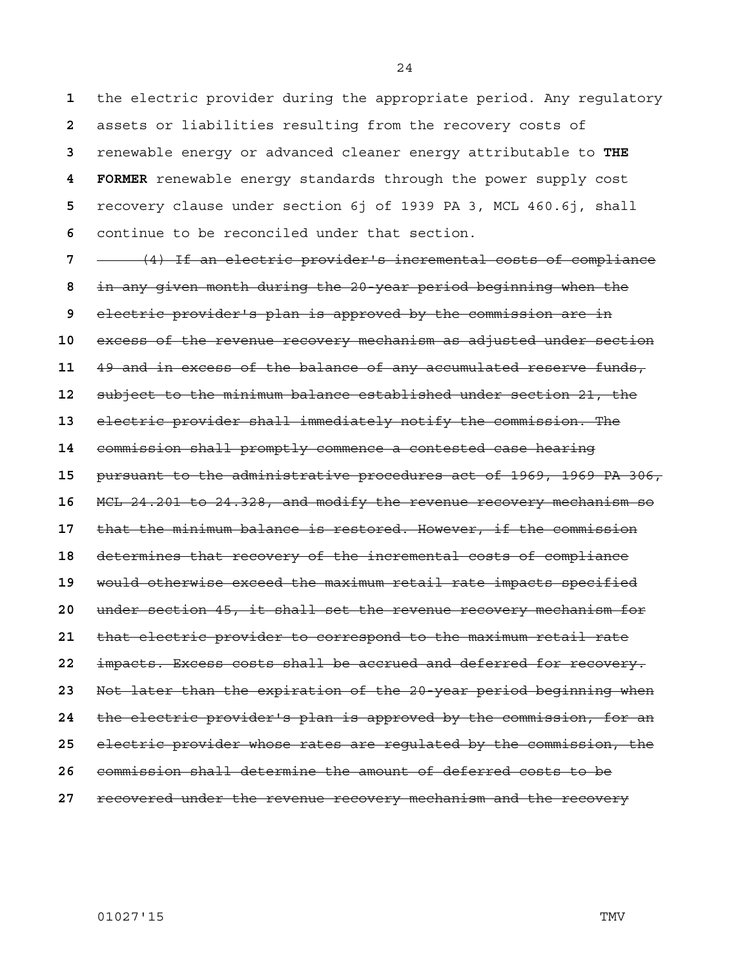the electric provider during the appropriate period. Any regulatory assets or liabilities resulting from the recovery costs of renewable energy or advanced cleaner energy attributable to **THE 4 FORMER** renewable energy standards through the power supply cost recovery clause under section 6j of 1939 PA 3, MCL 460.6j, shall continue to be reconciled under that section.

(4) If an electric provider's incremental costs of compliance in any given month during the 20-year period beginning when the electric provider's plan is approved by the commission are in excess of the revenue recovery mechanism as adjusted under section 49 and in excess of the balance of any accumulated reserve funds, subject to the minimum balance established under section 21, the electric provider shall immediately notify the commission. The commission shall promptly commence a contested case hearing pursuant to the administrative procedures act of 1969, 1969 PA 306, MCL 24.201 to 24.328, and modify the revenue recovery mechanism so that the minimum balance is restored. However, if the commission determines that recovery of the incremental costs of compliance would otherwise exceed the maximum retail rate impacts specified under section 45, it shall set the revenue recovery mechanism for that electric provider to correspond to the maximum retail rate impacts. Excess costs shall be accrued and deferred for recovery. Not later than the expiration of the 20-year period beginning when the electric provider's plan is approved by the commission, for an electric provider whose rates are regulated by the commission, the commission shall determine the amount of deferred costs to be recovered under the revenue recovery mechanism and the recovery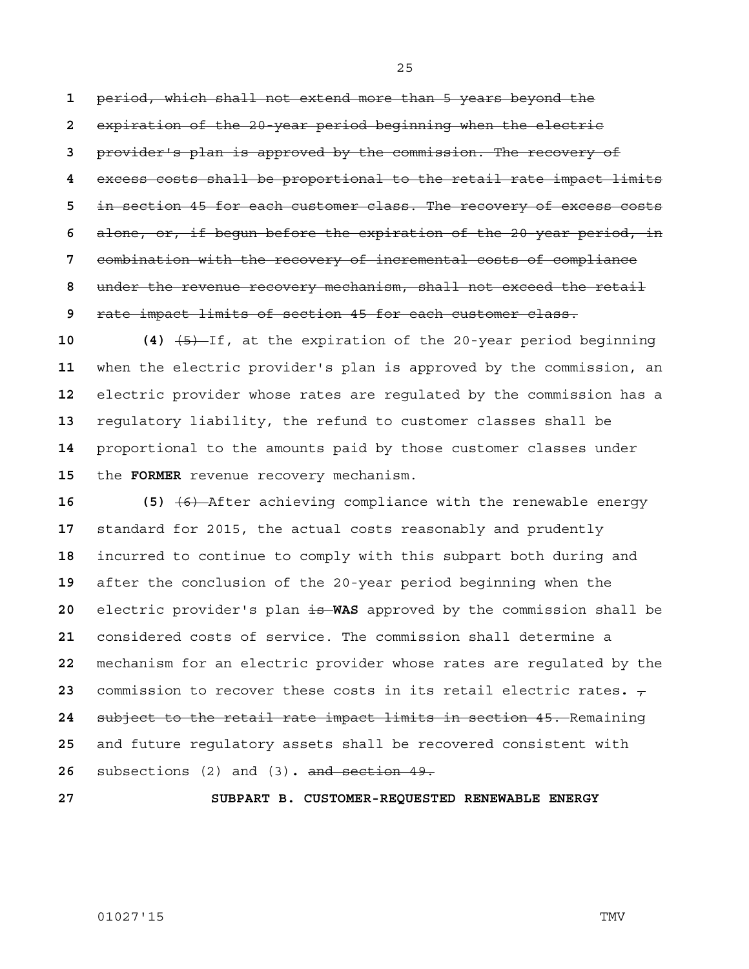period, which shall not extend more than 5 years beyond the expiration of the 20-year period beginning when the electric provider's plan is approved by the commission. The recovery of excess costs shall be proportional to the retail rate impact limits in section 45 for each customer class. The recovery of excess costs alone, or, if begun before the expiration of the 20-year period, in combination with the recovery of incremental costs of compliance under the revenue recovery mechanism, shall not exceed the retail rate impact limits of section 45 for each customer class.

**10 (4)** (5) If, at the expiration of the 20-year period beginning when the electric provider's plan is approved by the commission, an electric provider whose rates are regulated by the commission has a regulatory liability, the refund to customer classes shall be proportional to the amounts paid by those customer classes under the **FORMER** revenue recovery mechanism.

**16 (5)** (6) After achieving compliance with the renewable energy standard for 2015, the actual costs reasonably and prudently incurred to continue to comply with this subpart both during and after the conclusion of the 20-year period beginning when the 20 electric provider's plan is WAS approved by the commission shall be considered costs of service. The commission shall determine a mechanism for an electric provider whose rates are regulated by the commission to recover these costs in its retail electric rates.  $\tau$ subject to the retail rate impact limits in section 45. Remaining and future regulatory assets shall be recovered consistent with subsections (2) and (3)**.** and section 49.

**27 SUBPART B. CUSTOMER-REQUESTED RENEWABLE ENERGY**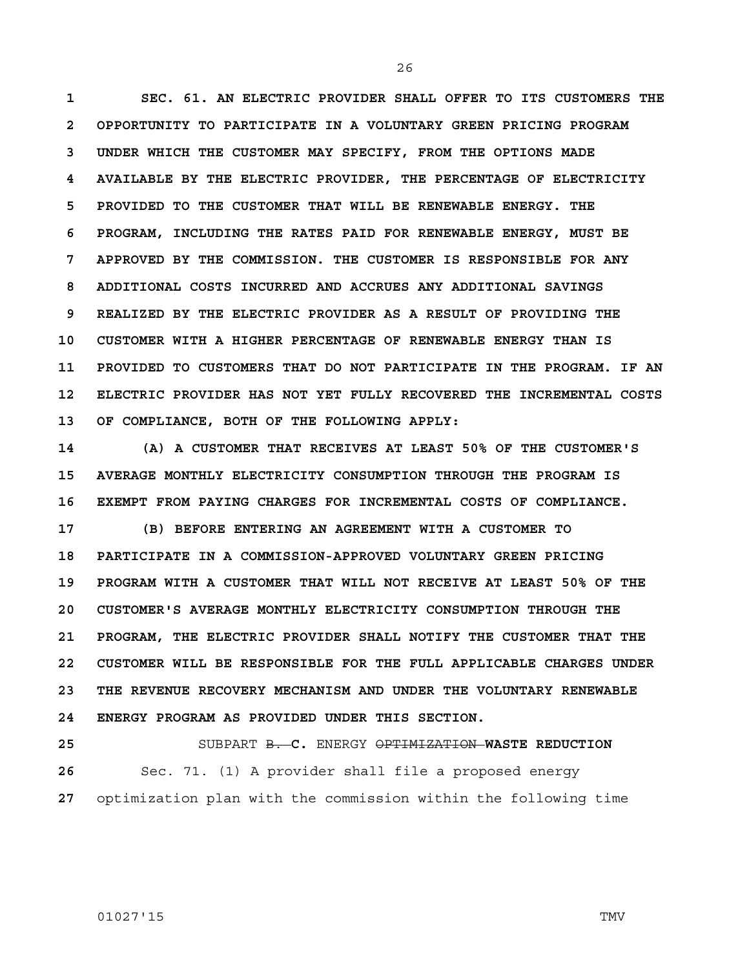**1 SEC. 61. AN ELECTRIC PROVIDER SHALL OFFER TO ITS CUSTOMERS THE 2 OPPORTUNITY TO PARTICIPATE IN A VOLUNTARY GREEN PRICING PROGRAM 3 UNDER WHICH THE CUSTOMER MAY SPECIFY, FROM THE OPTIONS MADE 4 AVAILABLE BY THE ELECTRIC PROVIDER, THE PERCENTAGE OF ELECTRICITY 5 PROVIDED TO THE CUSTOMER THAT WILL BE RENEWABLE ENERGY. THE 6 PROGRAM, INCLUDING THE RATES PAID FOR RENEWABLE ENERGY, MUST BE 7 APPROVED BY THE COMMISSION. THE CUSTOMER IS RESPONSIBLE FOR ANY 8 ADDITIONAL COSTS INCURRED AND ACCRUES ANY ADDITIONAL SAVINGS 9 REALIZED BY THE ELECTRIC PROVIDER AS A RESULT OF PROVIDING THE 10 CUSTOMER WITH A HIGHER PERCENTAGE OF RENEWABLE ENERGY THAN IS 11 PROVIDED TO CUSTOMERS THAT DO NOT PARTICIPATE IN THE PROGRAM. IF AN 12 ELECTRIC PROVIDER HAS NOT YET FULLY RECOVERED THE INCREMENTAL COSTS 13 OF COMPLIANCE, BOTH OF THE FOLLOWING APPLY:**

**14 (A) A CUSTOMER THAT RECEIVES AT LEAST 50% OF THE CUSTOMER'S 15 AVERAGE MONTHLY ELECTRICITY CONSUMPTION THROUGH THE PROGRAM IS 16 EXEMPT FROM PAYING CHARGES FOR INCREMENTAL COSTS OF COMPLIANCE.**

**17 (B) BEFORE ENTERING AN AGREEMENT WITH A CUSTOMER TO 18 PARTICIPATE IN A COMMISSION-APPROVED VOLUNTARY GREEN PRICING 19 PROGRAM WITH A CUSTOMER THAT WILL NOT RECEIVE AT LEAST 50% OF THE 20 CUSTOMER'S AVERAGE MONTHLY ELECTRICITY CONSUMPTION THROUGH THE 21 PROGRAM, THE ELECTRIC PROVIDER SHALL NOTIFY THE CUSTOMER THAT THE 22 CUSTOMER WILL BE RESPONSIBLE FOR THE FULL APPLICABLE CHARGES UNDER 23 THE REVENUE RECOVERY MECHANISM AND UNDER THE VOLUNTARY RENEWABLE 24 ENERGY PROGRAM AS PROVIDED UNDER THIS SECTION.**

**25** SUBPART B. **C.** ENERGY OPTIMIZATION **WASTE REDUCTION 26** Sec. 71. (1) A provider shall file a proposed energy **27** optimization plan with the commission within the following time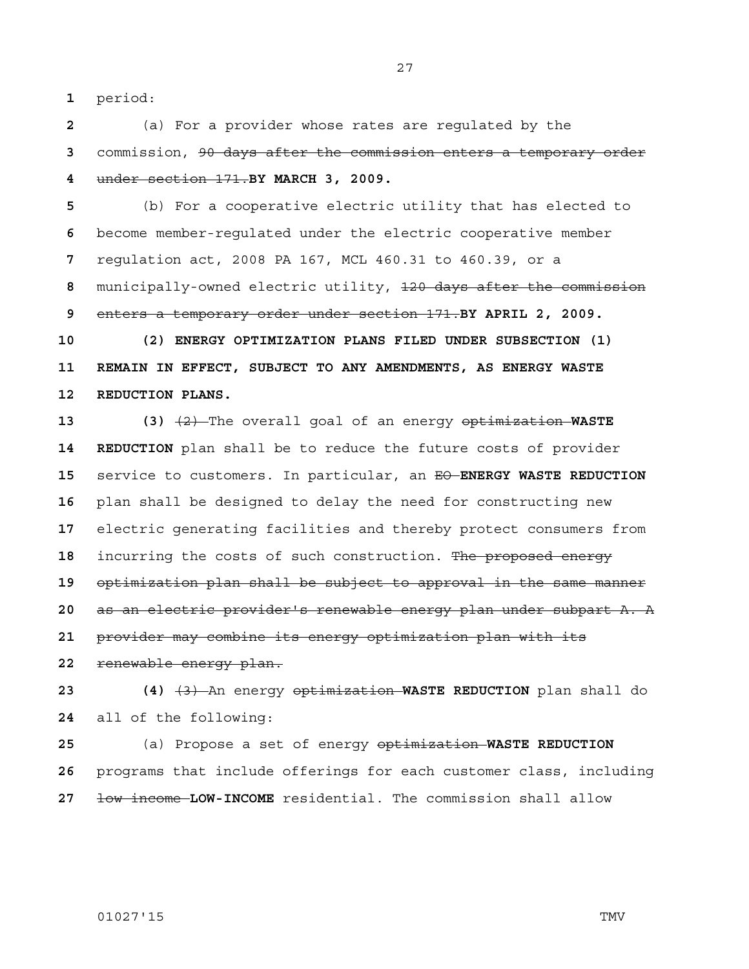period:

(a) For a provider whose rates are regulated by the commission, 90 days after the commission enters a temporary order under section 171.**BY MARCH 3, 2009.**

(b) For a cooperative electric utility that has elected to become member-regulated under the electric cooperative member regulation act, 2008 PA 167, MCL 460.31 to 460.39, or a municipally-owned electric utility, 120 days after the commission enters a temporary order under section 171.**BY APRIL 2, 2009.**

**10 (2) ENERGY OPTIMIZATION PLANS FILED UNDER SUBSECTION (1) 11 REMAIN IN EFFECT, SUBJECT TO ANY AMENDMENTS, AS ENERGY WASTE 12 REDUCTION PLANS.**

**13 (3)** (2) The overall goal of an energy optimization **WASTE 14 REDUCTION** plan shall be to reduce the future costs of provider service to customers. In particular, an EO **ENERGY WASTE REDUCTION**  plan shall be designed to delay the need for constructing new electric generating facilities and thereby protect consumers from incurring the costs of such construction. The proposed energy optimization plan shall be subject to approval in the same manner as an electric provider's renewable energy plan under subpart A. A provider may combine its energy optimization plan with its

renewable energy plan.

**23 (4)** (3) An energy optimization **WASTE REDUCTION** plan shall do all of the following:

(a) Propose a set of energy optimization **WASTE REDUCTION**  programs that include offerings for each customer class, including low income **LOW-INCOME** residential. The commission shall allow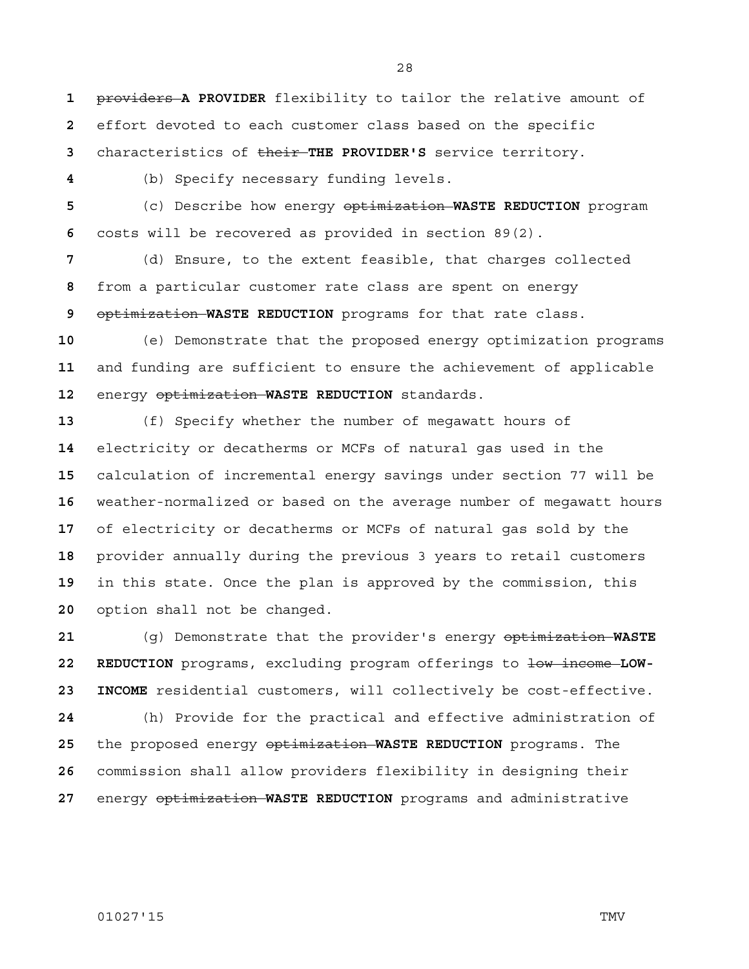providers **A PROVIDER** flexibility to tailor the relative amount of effort devoted to each customer class based on the specific characteristics of their **THE PROVIDER'S** service territory.

(b) Specify necessary funding levels.

(c) Describe how energy optimization **WASTE REDUCTION** program costs will be recovered as provided in section 89(2).

(d) Ensure, to the extent feasible, that charges collected from a particular customer rate class are spent on energy optimization **WASTE REDUCTION** programs for that rate class.

(e) Demonstrate that the proposed energy optimization programs and funding are sufficient to ensure the achievement of applicable energy optimization **WASTE REDUCTION** standards.

(f) Specify whether the number of megawatt hours of electricity or decatherms or MCFs of natural gas used in the calculation of incremental energy savings under section 77 will be weather-normalized or based on the average number of megawatt hours of electricity or decatherms or MCFs of natural gas sold by the provider annually during the previous 3 years to retail customers in this state. Once the plan is approved by the commission, this option shall not be changed.

(g) Demonstrate that the provider's energy optimization **WASTE**  22 REDUCTION programs, excluding program offerings to low income LOW-**23 INCOME** residential customers, will collectively be cost-effective. (h) Provide for the practical and effective administration of the proposed energy optimization **WASTE REDUCTION** programs. The commission shall allow providers flexibility in designing their energy optimization **WASTE REDUCTION** programs and administrative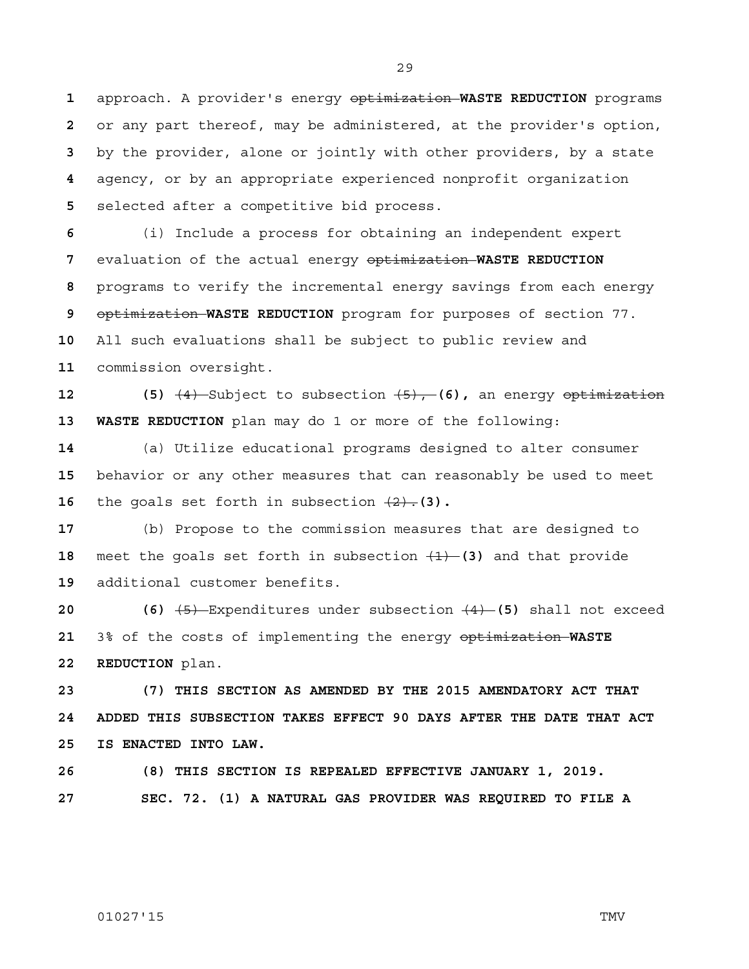approach. A provider's energy optimization **WASTE REDUCTION** programs or any part thereof, may be administered, at the provider's option, by the provider, alone or jointly with other providers, by a state agency, or by an appropriate experienced nonprofit organization selected after a competitive bid process.

(i) Include a process for obtaining an independent expert evaluation of the actual energy optimization **WASTE REDUCTION**  programs to verify the incremental energy savings from each energy optimization **WASTE REDUCTION** program for purposes of section 77. All such evaluations shall be subject to public review and commission oversight.

**12 (5)** (4) Subject to subsection (5), **(6),** an energy optimization **13 WASTE REDUCTION** plan may do 1 or more of the following:

(a) Utilize educational programs designed to alter consumer behavior or any other measures that can reasonably be used to meet **16** the goals set forth in subsection  $\{2\}$ . (3).

(b) Propose to the commission measures that are designed to meet the goals set forth in subsection (1) **(3)** and that provide additional customer benefits.

**20 (6)** (5) Expenditures under subsection (4) **(5)** shall not exceed 3% of the costs of implementing the energy optimization **WASTE 22 REDUCTION** plan.

**23 (7) THIS SECTION AS AMENDED BY THE 2015 AMENDATORY ACT THAT 24 ADDED THIS SUBSECTION TAKES EFFECT 90 DAYS AFTER THE DATE THAT ACT 25 IS ENACTED INTO LAW.**

**26 (8) THIS SECTION IS REPEALED EFFECTIVE JANUARY 1, 2019.**

**27 SEC. 72. (1) A NATURAL GAS PROVIDER WAS REQUIRED TO FILE A** 

01027'15 TMV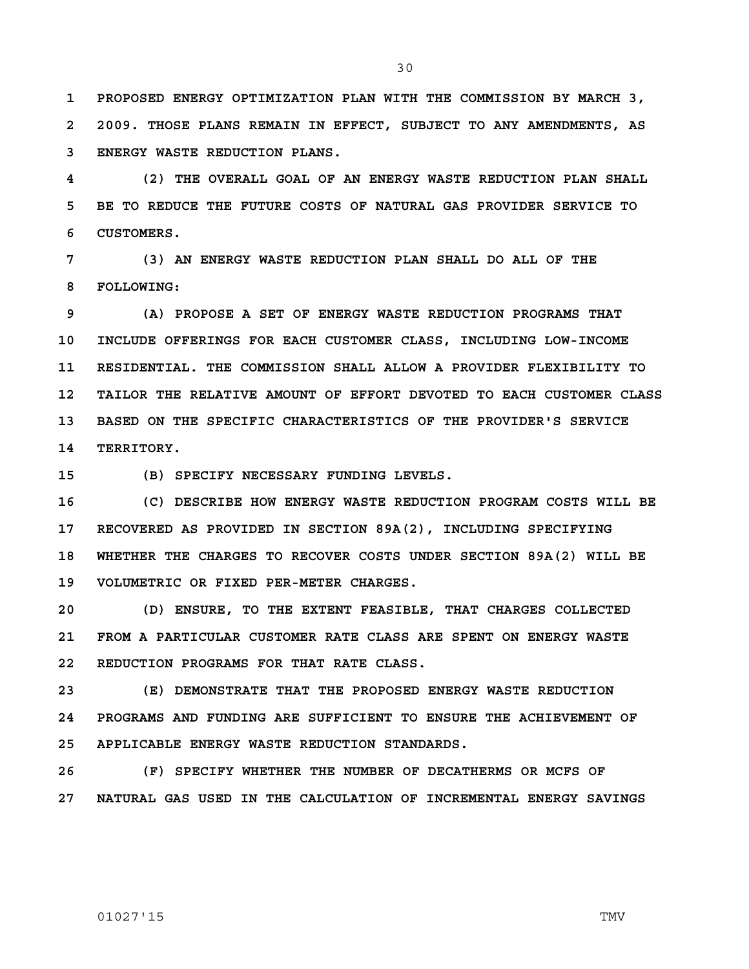**1 PROPOSED ENERGY OPTIMIZATION PLAN WITH THE COMMISSION BY MARCH 3, 2 2009. THOSE PLANS REMAIN IN EFFECT, SUBJECT TO ANY AMENDMENTS, AS 3 ENERGY WASTE REDUCTION PLANS.**

**4 (2) THE OVERALL GOAL OF AN ENERGY WASTE REDUCTION PLAN SHALL 5 BE TO REDUCE THE FUTURE COSTS OF NATURAL GAS PROVIDER SERVICE TO 6 CUSTOMERS.** 

**7 (3) AN ENERGY WASTE REDUCTION PLAN SHALL DO ALL OF THE 8 FOLLOWING:**

**9 (A) PROPOSE A SET OF ENERGY WASTE REDUCTION PROGRAMS THAT 10 INCLUDE OFFERINGS FOR EACH CUSTOMER CLASS, INCLUDING LOW-INCOME 11 RESIDENTIAL. THE COMMISSION SHALL ALLOW A PROVIDER FLEXIBILITY TO 12 TAILOR THE RELATIVE AMOUNT OF EFFORT DEVOTED TO EACH CUSTOMER CLASS 13 BASED ON THE SPECIFIC CHARACTERISTICS OF THE PROVIDER'S SERVICE 14 TERRITORY.**

**15 (B) SPECIFY NECESSARY FUNDING LEVELS.**

**16 (C) DESCRIBE HOW ENERGY WASTE REDUCTION PROGRAM COSTS WILL BE 17 RECOVERED AS PROVIDED IN SECTION 89A(2), INCLUDING SPECIFYING 18 WHETHER THE CHARGES TO RECOVER COSTS UNDER SECTION 89A(2) WILL BE 19 VOLUMETRIC OR FIXED PER-METER CHARGES.**

**20 (D) ENSURE, TO THE EXTENT FEASIBLE, THAT CHARGES COLLECTED 21 FROM A PARTICULAR CUSTOMER RATE CLASS ARE SPENT ON ENERGY WASTE 22 REDUCTION PROGRAMS FOR THAT RATE CLASS.**

**23 (E) DEMONSTRATE THAT THE PROPOSED ENERGY WASTE REDUCTION 24 PROGRAMS AND FUNDING ARE SUFFICIENT TO ENSURE THE ACHIEVEMENT OF 25 APPLICABLE ENERGY WASTE REDUCTION STANDARDS.**

**26 (F) SPECIFY WHETHER THE NUMBER OF DECATHERMS OR MCFS OF 27 NATURAL GAS USED IN THE CALCULATION OF INCREMENTAL ENERGY SAVINGS**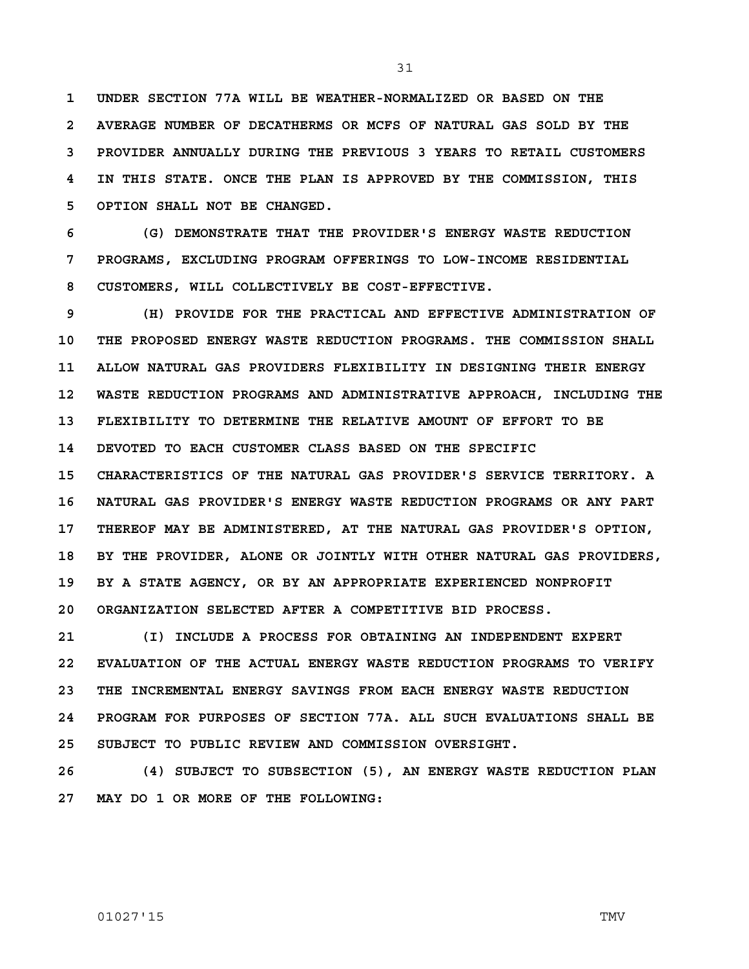**1 UNDER SECTION 77A WILL BE WEATHER-NORMALIZED OR BASED ON THE 2 AVERAGE NUMBER OF DECATHERMS OR MCFS OF NATURAL GAS SOLD BY THE 3 PROVIDER ANNUALLY DURING THE PREVIOUS 3 YEARS TO RETAIL CUSTOMERS 4 IN THIS STATE. ONCE THE PLAN IS APPROVED BY THE COMMISSION, THIS 5 OPTION SHALL NOT BE CHANGED.**

**6 (G) DEMONSTRATE THAT THE PROVIDER'S ENERGY WASTE REDUCTION 7 PROGRAMS, EXCLUDING PROGRAM OFFERINGS TO LOW-INCOME RESIDENTIAL 8 CUSTOMERS, WILL COLLECTIVELY BE COST-EFFECTIVE.**

**9 (H) PROVIDE FOR THE PRACTICAL AND EFFECTIVE ADMINISTRATION OF 10 THE PROPOSED ENERGY WASTE REDUCTION PROGRAMS. THE COMMISSION SHALL 11 ALLOW NATURAL GAS PROVIDERS FLEXIBILITY IN DESIGNING THEIR ENERGY 12 WASTE REDUCTION PROGRAMS AND ADMINISTRATIVE APPROACH, INCLUDING THE 13 FLEXIBILITY TO DETERMINE THE RELATIVE AMOUNT OF EFFORT TO BE 14 DEVOTED TO EACH CUSTOMER CLASS BASED ON THE SPECIFIC 15 CHARACTERISTICS OF THE NATURAL GAS PROVIDER'S SERVICE TERRITORY. A 16 NATURAL GAS PROVIDER'S ENERGY WASTE REDUCTION PROGRAMS OR ANY PART 17 THEREOF MAY BE ADMINISTERED, AT THE NATURAL GAS PROVIDER'S OPTION, 18 BY THE PROVIDER, ALONE OR JOINTLY WITH OTHER NATURAL GAS PROVIDERS, 19 BY A STATE AGENCY, OR BY AN APPROPRIATE EXPERIENCED NONPROFIT 20 ORGANIZATION SELECTED AFTER A COMPETITIVE BID PROCESS.**

**21 (I) INCLUDE A PROCESS FOR OBTAINING AN INDEPENDENT EXPERT 22 EVALUATION OF THE ACTUAL ENERGY WASTE REDUCTION PROGRAMS TO VERIFY 23 THE INCREMENTAL ENERGY SAVINGS FROM EACH ENERGY WASTE REDUCTION 24 PROGRAM FOR PURPOSES OF SECTION 77A. ALL SUCH EVALUATIONS SHALL BE 25 SUBJECT TO PUBLIC REVIEW AND COMMISSION OVERSIGHT.**

**26 (4) SUBJECT TO SUBSECTION (5), AN ENERGY WASTE REDUCTION PLAN 27 MAY DO 1 OR MORE OF THE FOLLOWING:**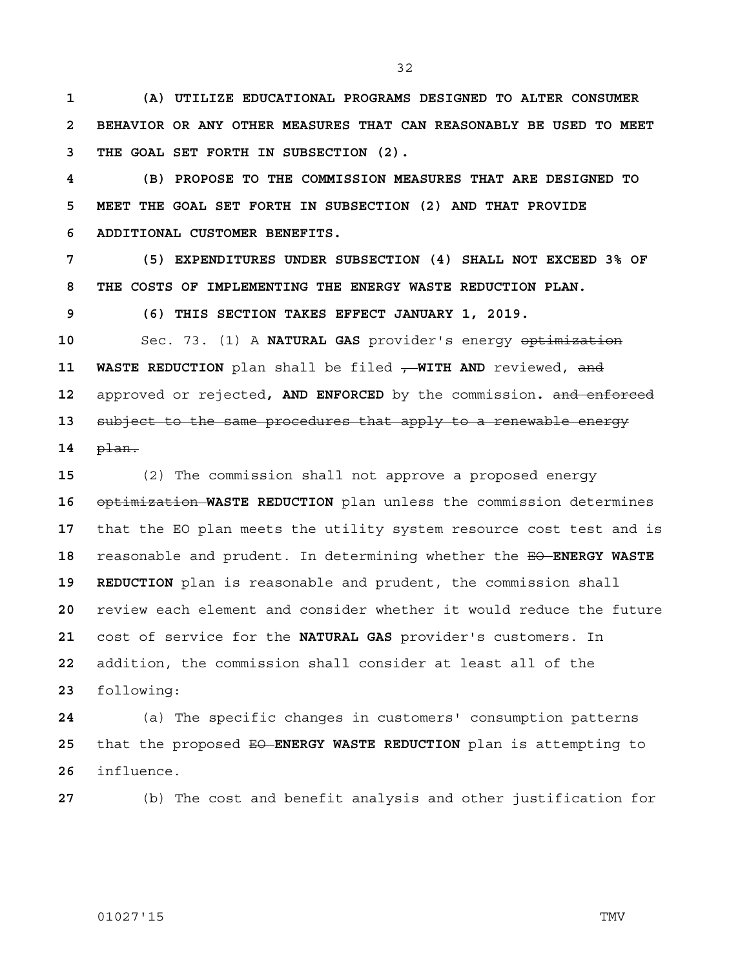**1 (A) UTILIZE EDUCATIONAL PROGRAMS DESIGNED TO ALTER CONSUMER 2 BEHAVIOR OR ANY OTHER MEASURES THAT CAN REASONABLY BE USED TO MEET 3 THE GOAL SET FORTH IN SUBSECTION (2).** 

**4 (B) PROPOSE TO THE COMMISSION MEASURES THAT ARE DESIGNED TO 5 MEET THE GOAL SET FORTH IN SUBSECTION (2) AND THAT PROVIDE 6 ADDITIONAL CUSTOMER BENEFITS.**

**7 (5) EXPENDITURES UNDER SUBSECTION (4) SHALL NOT EXCEED 3% OF 8 THE COSTS OF IMPLEMENTING THE ENERGY WASTE REDUCTION PLAN.**

**9 (6) THIS SECTION TAKES EFFECT JANUARY 1, 2019.**

**10** Sec. 73. (1) A **NATURAL GAS** provider's energy optimization **11 WASTE REDUCTION** plan shall be filed - WITH AND reviewed, and **12** approved or rejected**, AND ENFORCED** by the commission**.** and enforced **13** subject to the same procedures that apply to a renewable energy **14** plan.

(2) The commission shall not approve a proposed energy optimization **WASTE REDUCTION** plan unless the commission determines that the EO plan meets the utility system resource cost test and is reasonable and prudent. In determining whether the EO **ENERGY WASTE 19 REDUCTION** plan is reasonable and prudent, the commission shall review each element and consider whether it would reduce the future cost of service for the **NATURAL GAS** provider's customers. In addition, the commission shall consider at least all of the following:

**24** (a) The specific changes in customers' consumption patterns 25 that the proposed  $E\Theta$ -**ENERGY WASTE REDUCTION** plan is attempting to **26** influence.

**27** (b) The cost and benefit analysis and other justification for

## 01027'15 TMV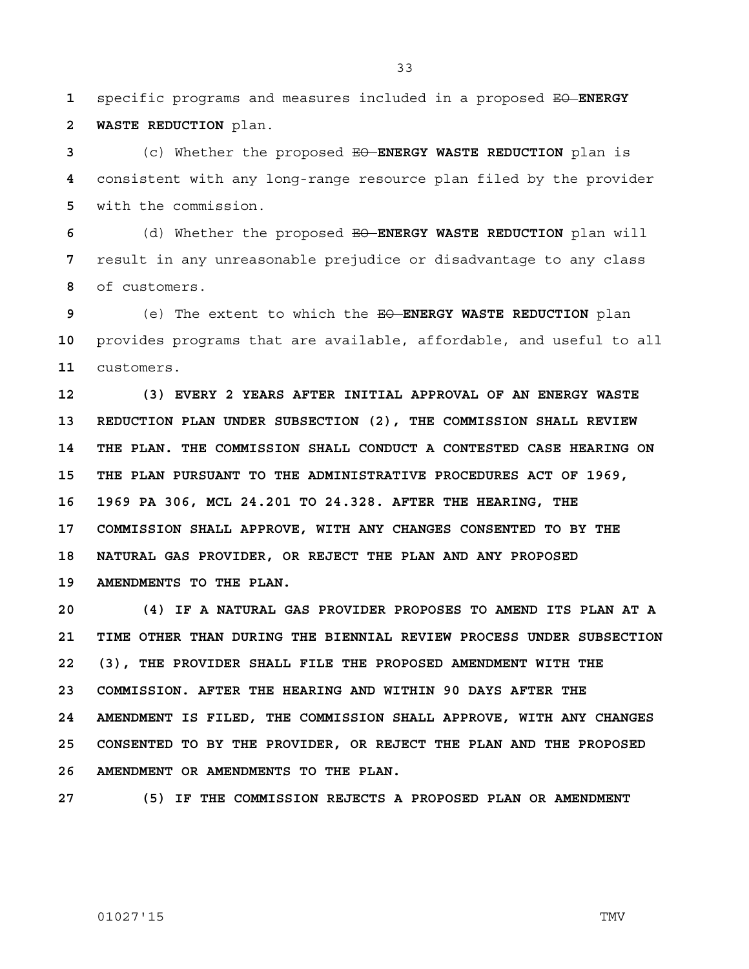**1** specific programs and measures included in a proposed EO **ENERGY 2 WASTE REDUCTION** plan.

**3** (c) Whether the proposed EO **ENERGY WASTE REDUCTION** plan is **4** consistent with any long-range resource plan filed by the provider **5** with the commission.

**6** (d) Whether the proposed EO **ENERGY WASTE REDUCTION** plan will **7** result in any unreasonable prejudice or disadvantage to any class **8** of customers.

**9** (e) The extent to which the EO **ENERGY WASTE REDUCTION** plan **10** provides programs that are available, affordable, and useful to all **11** customers.

**12 (3) EVERY 2 YEARS AFTER INITIAL APPROVAL OF AN ENERGY WASTE 13 REDUCTION PLAN UNDER SUBSECTION (2), THE COMMISSION SHALL REVIEW 14 THE PLAN. THE COMMISSION SHALL CONDUCT A CONTESTED CASE HEARING ON 15 THE PLAN PURSUANT TO THE ADMINISTRATIVE PROCEDURES ACT OF 1969, 16 1969 PA 306, MCL 24.201 TO 24.328. AFTER THE HEARING, THE 17 COMMISSION SHALL APPROVE, WITH ANY CHANGES CONSENTED TO BY THE 18 NATURAL GAS PROVIDER, OR REJECT THE PLAN AND ANY PROPOSED 19 AMENDMENTS TO THE PLAN.**

**20 (4) IF A NATURAL GAS PROVIDER PROPOSES TO AMEND ITS PLAN AT A 21 TIME OTHER THAN DURING THE BIENNIAL REVIEW PROCESS UNDER SUBSECTION 22 (3), THE PROVIDER SHALL FILE THE PROPOSED AMENDMENT WITH THE 23 COMMISSION. AFTER THE HEARING AND WITHIN 90 DAYS AFTER THE 24 AMENDMENT IS FILED, THE COMMISSION SHALL APPROVE, WITH ANY CHANGES 25 CONSENTED TO BY THE PROVIDER, OR REJECT THE PLAN AND THE PROPOSED 26 AMENDMENT OR AMENDMENTS TO THE PLAN.**

**27 (5) IF THE COMMISSION REJECTS A PROPOSED PLAN OR AMENDMENT** 

## 01027'15 TMV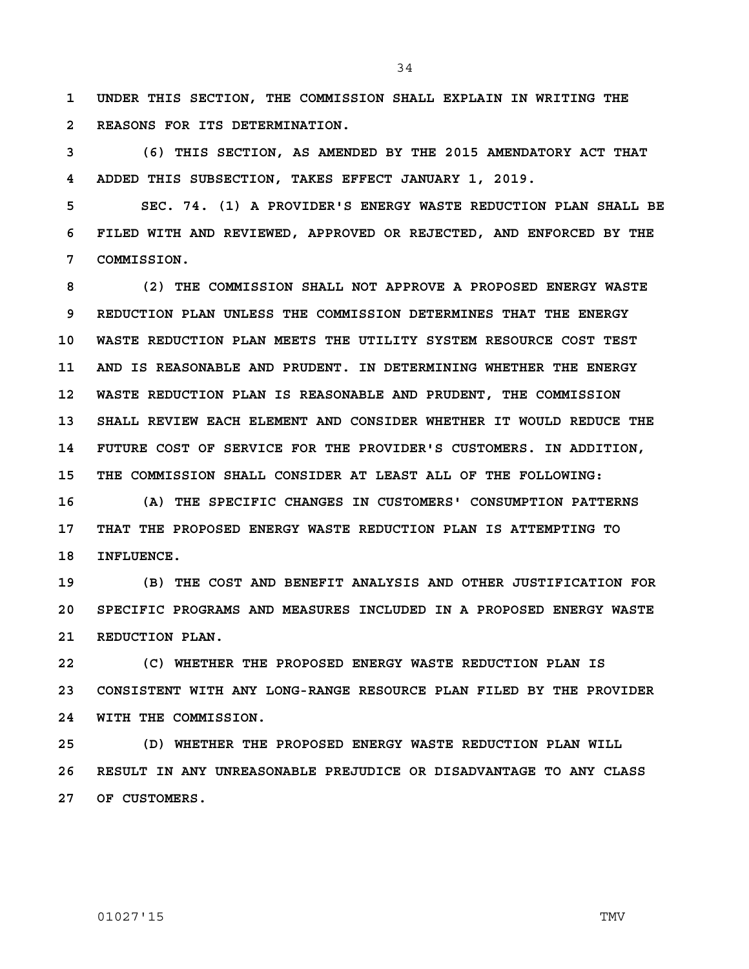**1 UNDER THIS SECTION, THE COMMISSION SHALL EXPLAIN IN WRITING THE 2 REASONS FOR ITS DETERMINATION.**

**3 (6) THIS SECTION, AS AMENDED BY THE 2015 AMENDATORY ACT THAT 4 ADDED THIS SUBSECTION, TAKES EFFECT JANUARY 1, 2019.**

**5 SEC. 74. (1) A PROVIDER'S ENERGY WASTE REDUCTION PLAN SHALL BE 6 FILED WITH AND REVIEWED, APPROVED OR REJECTED, AND ENFORCED BY THE 7 COMMISSION.** 

**8 (2) THE COMMISSION SHALL NOT APPROVE A PROPOSED ENERGY WASTE 9 REDUCTION PLAN UNLESS THE COMMISSION DETERMINES THAT THE ENERGY 10 WASTE REDUCTION PLAN MEETS THE UTILITY SYSTEM RESOURCE COST TEST 11 AND IS REASONABLE AND PRUDENT. IN DETERMINING WHETHER THE ENERGY 12 WASTE REDUCTION PLAN IS REASONABLE AND PRUDENT, THE COMMISSION 13 SHALL REVIEW EACH ELEMENT AND CONSIDER WHETHER IT WOULD REDUCE THE 14 FUTURE COST OF SERVICE FOR THE PROVIDER'S CUSTOMERS. IN ADDITION, 15 THE COMMISSION SHALL CONSIDER AT LEAST ALL OF THE FOLLOWING:**

**16 (A) THE SPECIFIC CHANGES IN CUSTOMERS' CONSUMPTION PATTERNS 17 THAT THE PROPOSED ENERGY WASTE REDUCTION PLAN IS ATTEMPTING TO 18 INFLUENCE.**

**19 (B) THE COST AND BENEFIT ANALYSIS AND OTHER JUSTIFICATION FOR 20 SPECIFIC PROGRAMS AND MEASURES INCLUDED IN A PROPOSED ENERGY WASTE 21 REDUCTION PLAN.**

**22 (C) WHETHER THE PROPOSED ENERGY WASTE REDUCTION PLAN IS 23 CONSISTENT WITH ANY LONG-RANGE RESOURCE PLAN FILED BY THE PROVIDER 24 WITH THE COMMISSION.**

**25 (D) WHETHER THE PROPOSED ENERGY WASTE REDUCTION PLAN WILL 26 RESULT IN ANY UNREASONABLE PREJUDICE OR DISADVANTAGE TO ANY CLASS 27 OF CUSTOMERS.**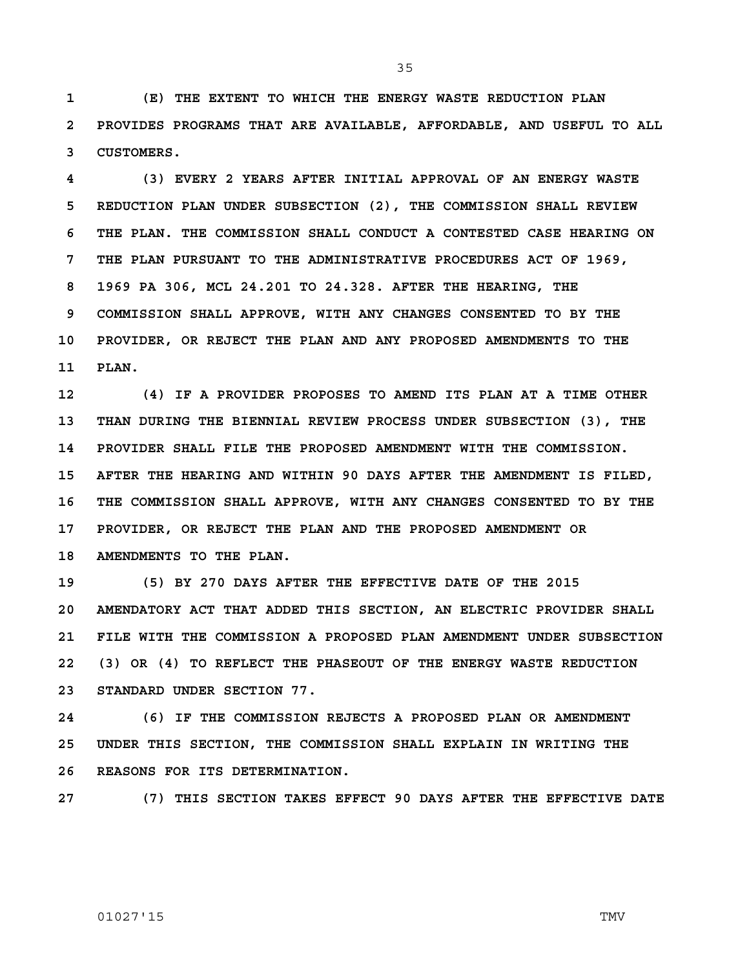**1 (E) THE EXTENT TO WHICH THE ENERGY WASTE REDUCTION PLAN 2 PROVIDES PROGRAMS THAT ARE AVAILABLE, AFFORDABLE, AND USEFUL TO ALL 3 CUSTOMERS.**

**4 (3) EVERY 2 YEARS AFTER INITIAL APPROVAL OF AN ENERGY WASTE 5 REDUCTION PLAN UNDER SUBSECTION (2), THE COMMISSION SHALL REVIEW 6 THE PLAN. THE COMMISSION SHALL CONDUCT A CONTESTED CASE HEARING ON 7 THE PLAN PURSUANT TO THE ADMINISTRATIVE PROCEDURES ACT OF 1969, 8 1969 PA 306, MCL 24.201 TO 24.328. AFTER THE HEARING, THE 9 COMMISSION SHALL APPROVE, WITH ANY CHANGES CONSENTED TO BY THE 10 PROVIDER, OR REJECT THE PLAN AND ANY PROPOSED AMENDMENTS TO THE 11 PLAN.**

**12 (4) IF A PROVIDER PROPOSES TO AMEND ITS PLAN AT A TIME OTHER 13 THAN DURING THE BIENNIAL REVIEW PROCESS UNDER SUBSECTION (3), THE 14 PROVIDER SHALL FILE THE PROPOSED AMENDMENT WITH THE COMMISSION. 15 AFTER THE HEARING AND WITHIN 90 DAYS AFTER THE AMENDMENT IS FILED, 16 THE COMMISSION SHALL APPROVE, WITH ANY CHANGES CONSENTED TO BY THE 17 PROVIDER, OR REJECT THE PLAN AND THE PROPOSED AMENDMENT OR 18 AMENDMENTS TO THE PLAN.**

**19 (5) BY 270 DAYS AFTER THE EFFECTIVE DATE OF THE 2015 20 AMENDATORY ACT THAT ADDED THIS SECTION, AN ELECTRIC PROVIDER SHALL 21 FILE WITH THE COMMISSION A PROPOSED PLAN AMENDMENT UNDER SUBSECTION 22 (3) OR (4) TO REFLECT THE PHASEOUT OF THE ENERGY WASTE REDUCTION 23 STANDARD UNDER SECTION 77.**

**24 (6) IF THE COMMISSION REJECTS A PROPOSED PLAN OR AMENDMENT 25 UNDER THIS SECTION, THE COMMISSION SHALL EXPLAIN IN WRITING THE 26 REASONS FOR ITS DETERMINATION.**

**27 (7) THIS SECTION TAKES EFFECT 90 DAYS AFTER THE EFFECTIVE DATE** 

## 01027'15 TMV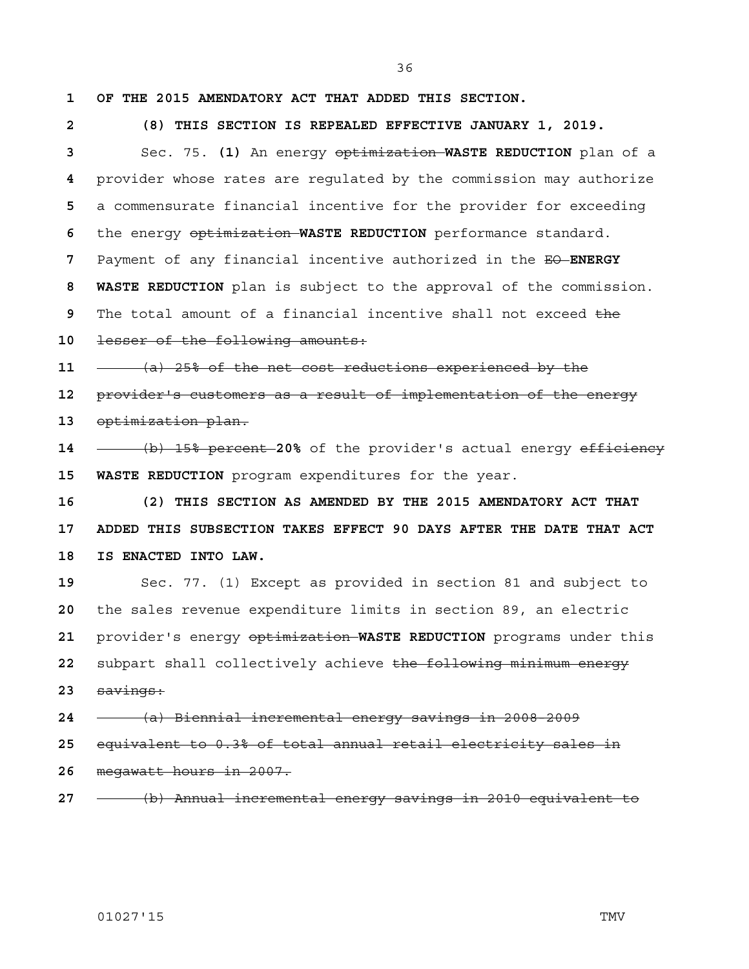**1 OF THE 2015 AMENDATORY ACT THAT ADDED THIS SECTION.**

**2 (8) THIS SECTION IS REPEALED EFFECTIVE JANUARY 1, 2019.** Sec. 75. **(1)** An energy optimization **WASTE REDUCTION** plan of a provider whose rates are regulated by the commission may authorize a commensurate financial incentive for the provider for exceeding the energy optimization **WASTE REDUCTION** performance standard. Payment of any financial incentive authorized in the EO **ENERGY 8 WASTE REDUCTION** plan is subject to the approval of the commission. The total amount of a financial incentive shall not exceed the lesser of the following amounts: (a) 25% of the net cost reductions experienced by the provider's customers as a result of implementation of the energy optimization plan. (b) 15% percent **20%** of the provider's actual energy efficiency **15 WASTE REDUCTION** program expenditures for the year. **16 (2) THIS SECTION AS AMENDED BY THE 2015 AMENDATORY ACT THAT 17 ADDED THIS SUBSECTION TAKES EFFECT 90 DAYS AFTER THE DATE THAT ACT 18 IS ENACTED INTO LAW.** Sec. 77. (1) Except as provided in section 81 and subject to the sales revenue expenditure limits in section 89, an electric provider's energy optimization **WASTE REDUCTION** programs under this subpart shall collectively achieve the following minimum energy savings: (a) Biennial incremental energy savings in 2008-2009 equivalent to 0.3% of total annual retail electricity sales in megawatt hours in 2007. (b) Annual incremental energy savings in 2010 equivalent to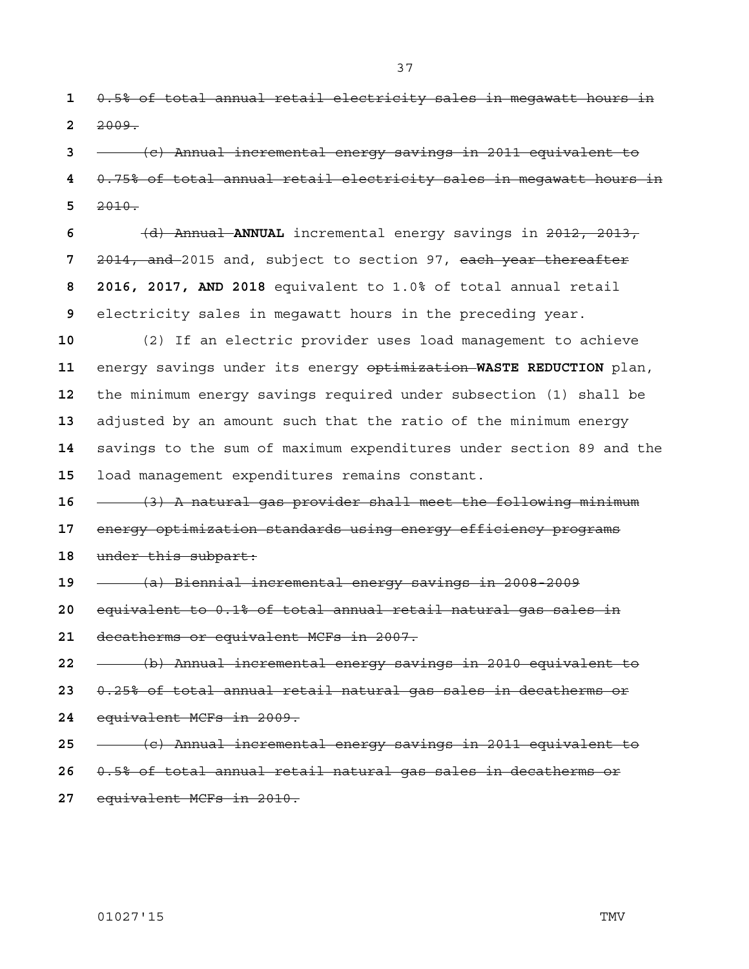0.5% of total annual retail electricity sales in megawatt hours in 2009.

(c) Annual incremental energy savings in 2011 equivalent to 0.75% of total annual retail electricity sales in megawatt hours in 2010.

(d) Annual **ANNUAL** incremental energy savings in 2012, 2013, 2014, and 2015 and, subject to section 97, each year thereafter **8 2016, 2017, AND 2018** equivalent to 1.0% of total annual retail electricity sales in megawatt hours in the preceding year.

(2) If an electric provider uses load management to achieve energy savings under its energy optimization **WASTE REDUCTION** plan, the minimum energy savings required under subsection (1) shall be adjusted by an amount such that the ratio of the minimum energy savings to the sum of maximum expenditures under section 89 and the load management expenditures remains constant.

(3) A natural gas provider shall meet the following minimum energy optimization standards using energy efficiency programs under this subpart:

(a) Biennial incremental energy savings in 2008-2009

equivalent to 0.1% of total annual retail natural gas sales in

decatherms or equivalent MCFs in 2007.

(b) Annual incremental energy savings in 2010 equivalent to

- 0.25% of total annual retail natural gas sales in decatherms or
- equivalent MCFs in 2009.
- (c) Annual incremental energy savings in 2011 equivalent to
- 0.5% of total annual retail natural gas sales in decatherms or
- equivalent MCFs in 2010.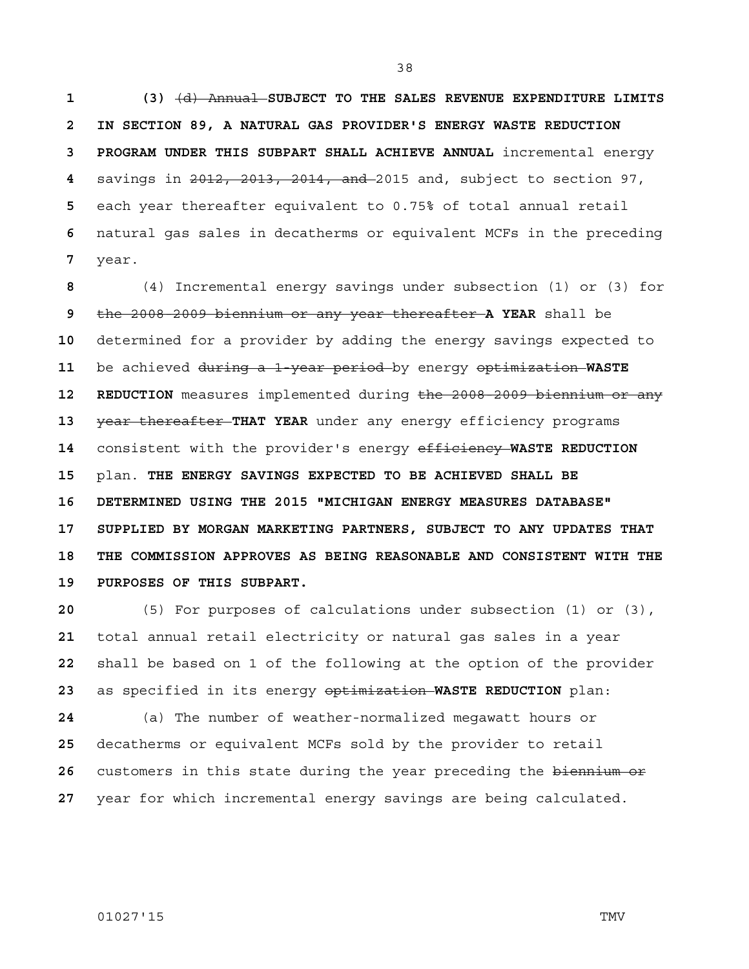**1 (3)** (d) Annual **SUBJECT TO THE SALES REVENUE EXPENDITURE LIMITS 2 IN SECTION 89, A NATURAL GAS PROVIDER'S ENERGY WASTE REDUCTION 3 PROGRAM UNDER THIS SUBPART SHALL ACHIEVE ANNUAL** incremental energy savings in 2012, 2013, 2014, and 2015 and, subject to section 97, each year thereafter equivalent to 0.75% of total annual retail natural gas sales in decatherms or equivalent MCFs in the preceding year.

(4) Incremental energy savings under subsection (1) or (3) for the 2008-2009 biennium or any year thereafter **A YEAR** shall be determined for a provider by adding the energy savings expected to be achieved during a 1-year period by energy optimization **WASTE**  12 REDUCTION measures implemented during the 2008-2009 biennium or any **year thereafter THAT YEAR** under any energy efficiency programs consistent with the provider's energy efficiency **WASTE REDUCTION**  plan. **THE ENERGY SAVINGS EXPECTED TO BE ACHIEVED SHALL BE 16 DETERMINED USING THE 2015 "MICHIGAN ENERGY MEASURES DATABASE" 17 SUPPLIED BY MORGAN MARKETING PARTNERS, SUBJECT TO ANY UPDATES THAT 18 THE COMMISSION APPROVES AS BEING REASONABLE AND CONSISTENT WITH THE 19 PURPOSES OF THIS SUBPART.**

(5) For purposes of calculations under subsection (1) or (3), total annual retail electricity or natural gas sales in a year shall be based on 1 of the following at the option of the provider as specified in its energy optimization **WASTE REDUCTION** plan:

(a) The number of weather-normalized megawatt hours or decatherms or equivalent MCFs sold by the provider to retail customers in this state during the year preceding the biennium or year for which incremental energy savings are being calculated.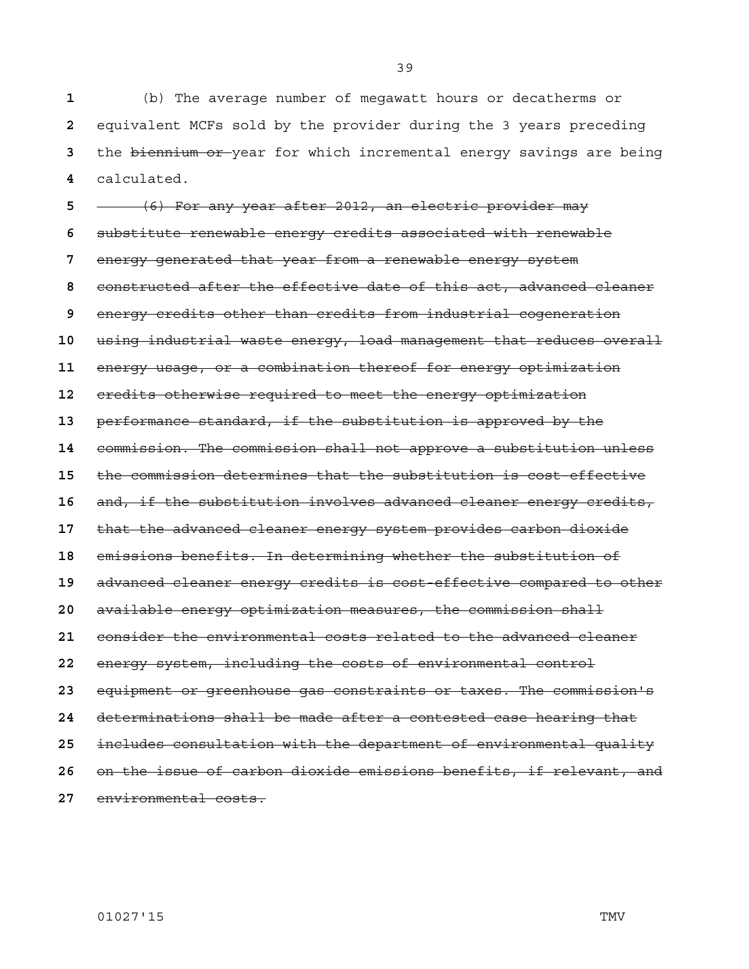(b) The average number of megawatt hours or decatherms or equivalent MCFs sold by the provider during the 3 years preceding the biennium or year for which incremental energy savings are being calculated.

(6) For any year after 2012, an electric provider may substitute renewable energy credits associated with renewable energy generated that year from a renewable energy system constructed after the effective date of this act, advanced cleaner energy credits other than credits from industrial cogeneration using industrial waste energy, load management that reduces overall energy usage, or a combination thereof for energy optimization credits otherwise required to meet the energy optimization performance standard, if the substitution is approved by the commission. The commission shall not approve a substitution unless the commission determines that the substitution is cost-effective and, if the substitution involves advanced cleaner energy credits, that the advanced cleaner energy system provides carbon dioxide emissions benefits. In determining whether the substitution of advanced cleaner energy credits is cost-effective compared to other available energy optimization measures, the commission shall consider the environmental costs related to the advanced cleaner energy system, including the costs of environmental control equipment or greenhouse gas constraints or taxes. The commission's determinations shall be made after a contested case hearing that includes consultation with the department of environmental quality on the issue of carbon dioxide emissions benefits, if relevant, and environmental costs.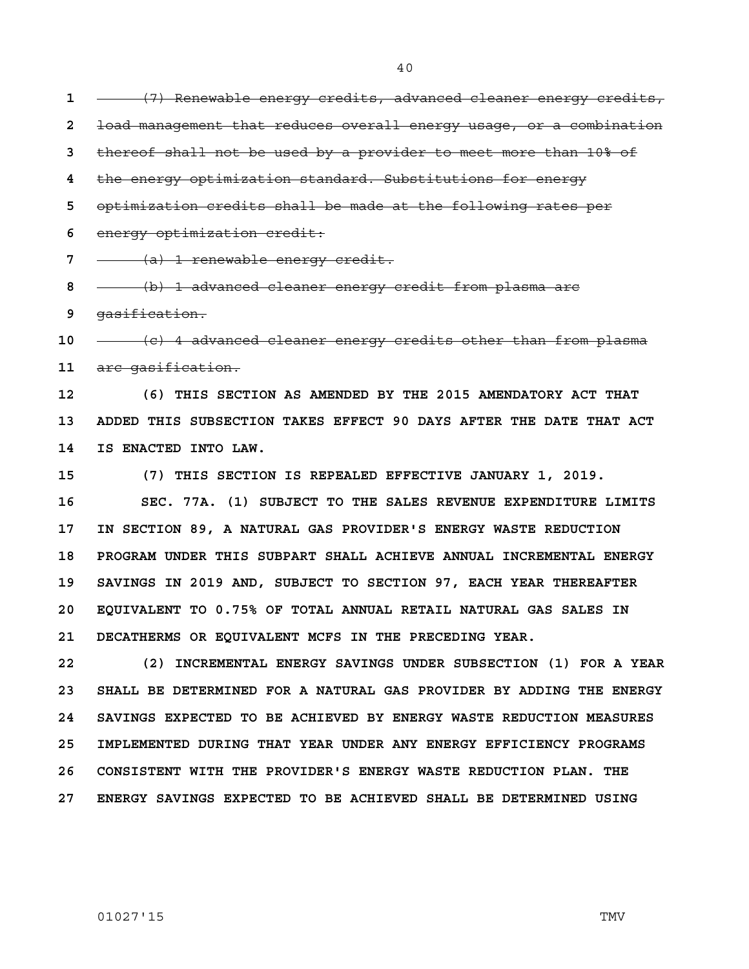1 **- (7)** Renewable energy credits, advanced cleaner energy credits, **2** load management that reduces overall energy usage, or a combination

**3** thereof shall not be used by a provider to meet more than 10% of

**4** the energy optimization standard. Substitutions for energy

**5** optimization credits shall be made at the following rates per

**6** energy optimization credit:

**7** (a) 1 renewable energy credit.

**8** (b) 1 advanced cleaner energy credit from plasma arc

**9** gasification.

**10** (c) 4 advanced cleaner energy credits other than from plasma **11** arc gasification.

**12 (6) THIS SECTION AS AMENDED BY THE 2015 AMENDATORY ACT THAT 13 ADDED THIS SUBSECTION TAKES EFFECT 90 DAYS AFTER THE DATE THAT ACT 14 IS ENACTED INTO LAW.**

**15 (7) THIS SECTION IS REPEALED EFFECTIVE JANUARY 1, 2019.**

**16 SEC. 77A. (1) SUBJECT TO THE SALES REVENUE EXPENDITURE LIMITS 17 IN SECTION 89, A NATURAL GAS PROVIDER'S ENERGY WASTE REDUCTION 18 PROGRAM UNDER THIS SUBPART SHALL ACHIEVE ANNUAL INCREMENTAL ENERGY 19 SAVINGS IN 2019 AND, SUBJECT TO SECTION 97, EACH YEAR THEREAFTER 20 EQUIVALENT TO 0.75% OF TOTAL ANNUAL RETAIL NATURAL GAS SALES IN 21 DECATHERMS OR EQUIVALENT MCFS IN THE PRECEDING YEAR.**

**22 (2) INCREMENTAL ENERGY SAVINGS UNDER SUBSECTION (1) FOR A YEAR 23 SHALL BE DETERMINED FOR A NATURAL GAS PROVIDER BY ADDING THE ENERGY 24 SAVINGS EXPECTED TO BE ACHIEVED BY ENERGY WASTE REDUCTION MEASURES 25 IMPLEMENTED DURING THAT YEAR UNDER ANY ENERGY EFFICIENCY PROGRAMS 26 CONSISTENT WITH THE PROVIDER'S ENERGY WASTE REDUCTION PLAN. THE 27 ENERGY SAVINGS EXPECTED TO BE ACHIEVED SHALL BE DETERMINED USING**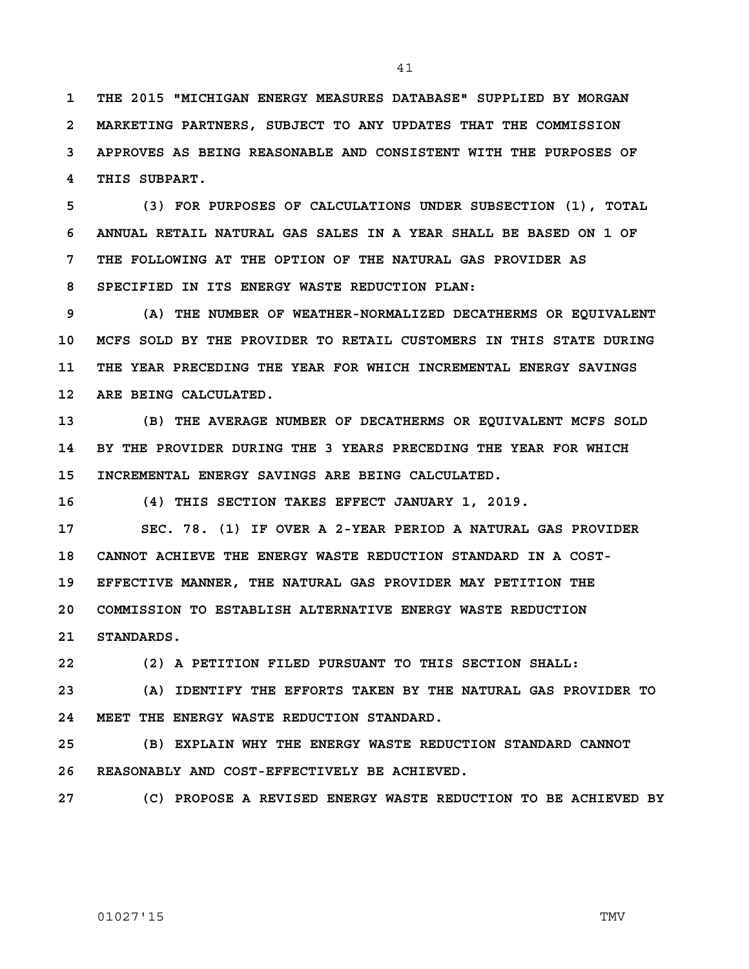**1 THE 2015 "MICHIGAN ENERGY MEASURES DATABASE" SUPPLIED BY MORGAN 2 MARKETING PARTNERS, SUBJECT TO ANY UPDATES THAT THE COMMISSION 3 APPROVES AS BEING REASONABLE AND CONSISTENT WITH THE PURPOSES OF 4 THIS SUBPART.**

**5 (3) FOR PURPOSES OF CALCULATIONS UNDER SUBSECTION (1), TOTAL 6 ANNUAL RETAIL NATURAL GAS SALES IN A YEAR SHALL BE BASED ON 1 OF 7 THE FOLLOWING AT THE OPTION OF THE NATURAL GAS PROVIDER AS 8 SPECIFIED IN ITS ENERGY WASTE REDUCTION PLAN:**

**9 (A) THE NUMBER OF WEATHER-NORMALIZED DECATHERMS OR EQUIVALENT 10 MCFS SOLD BY THE PROVIDER TO RETAIL CUSTOMERS IN THIS STATE DURING 11 THE YEAR PRECEDING THE YEAR FOR WHICH INCREMENTAL ENERGY SAVINGS 12 ARE BEING CALCULATED.**

**13 (B) THE AVERAGE NUMBER OF DECATHERMS OR EQUIVALENT MCFS SOLD 14 BY THE PROVIDER DURING THE 3 YEARS PRECEDING THE YEAR FOR WHICH 15 INCREMENTAL ENERGY SAVINGS ARE BEING CALCULATED.**

**16 (4) THIS SECTION TAKES EFFECT JANUARY 1, 2019.**

**17 SEC. 78. (1) IF OVER A 2-YEAR PERIOD A NATURAL GAS PROVIDER 18 CANNOT ACHIEVE THE ENERGY WASTE REDUCTION STANDARD IN A COST-19 EFFECTIVE MANNER, THE NATURAL GAS PROVIDER MAY PETITION THE 20 COMMISSION TO ESTABLISH ALTERNATIVE ENERGY WASTE REDUCTION 21 STANDARDS.**

**22 (2) A PETITION FILED PURSUANT TO THIS SECTION SHALL:**

**23 (A) IDENTIFY THE EFFORTS TAKEN BY THE NATURAL GAS PROVIDER TO 24 MEET THE ENERGY WASTE REDUCTION STANDARD.**

**25 (B) EXPLAIN WHY THE ENERGY WASTE REDUCTION STANDARD CANNOT 26 REASONABLY AND COST-EFFECTIVELY BE ACHIEVED.**

**27 (C) PROPOSE A REVISED ENERGY WASTE REDUCTION TO BE ACHIEVED BY**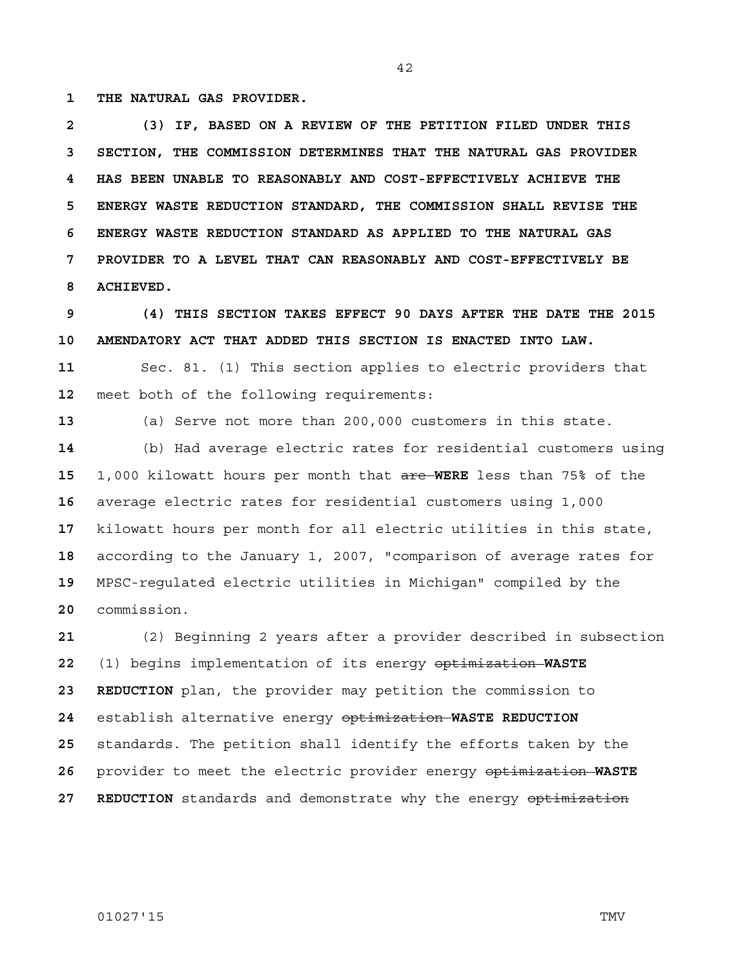**1 THE NATURAL GAS PROVIDER.**

**2 (3) IF, BASED ON A REVIEW OF THE PETITION FILED UNDER THIS 3 SECTION, THE COMMISSION DETERMINES THAT THE NATURAL GAS PROVIDER 4 HAS BEEN UNABLE TO REASONABLY AND COST-EFFECTIVELY ACHIEVE THE 5 ENERGY WASTE REDUCTION STANDARD, THE COMMISSION SHALL REVISE THE 6 ENERGY WASTE REDUCTION STANDARD AS APPLIED TO THE NATURAL GAS 7 PROVIDER TO A LEVEL THAT CAN REASONABLY AND COST-EFFECTIVELY BE 8 ACHIEVED.**

**9 (4) THIS SECTION TAKES EFFECT 90 DAYS AFTER THE DATE THE 2015 10 AMENDATORY ACT THAT ADDED THIS SECTION IS ENACTED INTO LAW. 11** Sec. 81. (1) This section applies to electric providers that **12** meet both of the following requirements:

**13** (a) Serve not more than 200,000 customers in this state.

(b) Had average electric rates for residential customers using 1,000 kilowatt hours per month that are **WERE** less than 75% of the average electric rates for residential customers using 1,000 kilowatt hours per month for all electric utilities in this state, according to the January 1, 2007, "comparison of average rates for MPSC-regulated electric utilities in Michigan" compiled by the commission.

(2) Beginning 2 years after a provider described in subsection (1) begins implementation of its energy optimization **WASTE 23 REDUCTION** plan, the provider may petition the commission to establish alternative energy optimization **WASTE REDUCTION**  standards. The petition shall identify the efforts taken by the provider to meet the electric provider energy optimization **WASTE**  27 REDUCTION standards and demonstrate why the energy optimization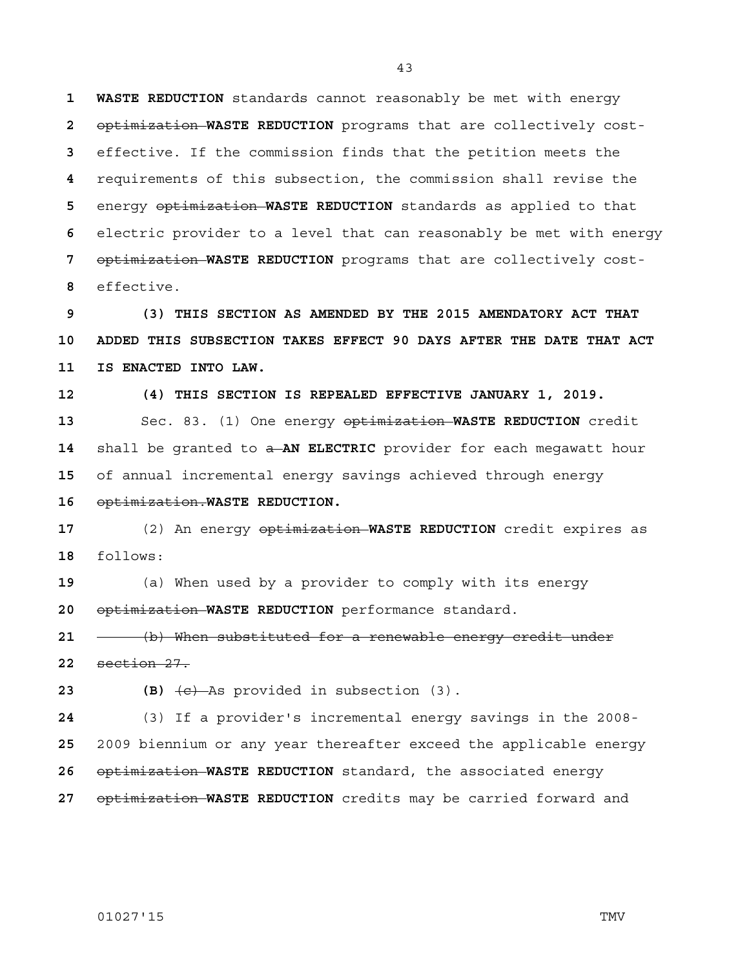**1 WASTE REDUCTION** standards cannot reasonably be met with energy optimization **WASTE REDUCTION** programs that are collectively cost-effective. If the commission finds that the petition meets the requirements of this subsection, the commission shall revise the energy optimization **WASTE REDUCTION** standards as applied to that electric provider to a level that can reasonably be met with energy optimization **WASTE REDUCTION** programs that are collectively cost-effective.

**9 (3) THIS SECTION AS AMENDED BY THE 2015 AMENDATORY ACT THAT 10 ADDED THIS SUBSECTION TAKES EFFECT 90 DAYS AFTER THE DATE THAT ACT 11 IS ENACTED INTO LAW.**

**12 (4) THIS SECTION IS REPEALED EFFECTIVE JANUARY 1, 2019.** Sec. 83. (1) One energy optimization **WASTE REDUCTION** credit 14 shall be granted to  $\frac{1}{x}$  **AN ELECTRIC** provider for each megawatt hour of annual incremental energy savings achieved through energy optimization.**WASTE REDUCTION.**

(2) An energy optimization **WASTE REDUCTION** credit expires as follows:

(a) When used by a provider to comply with its energy optimization **WASTE REDUCTION** performance standard.

(b) When substituted for a renewable energy credit under section 27.

**23 (B)** (c) As provided in subsection (3).

(3) If a provider's incremental energy savings in the 2008- 2009 biennium or any year thereafter exceed the applicable energy optimization **WASTE REDUCTION** standard, the associated energy optimization **WASTE REDUCTION** credits may be carried forward and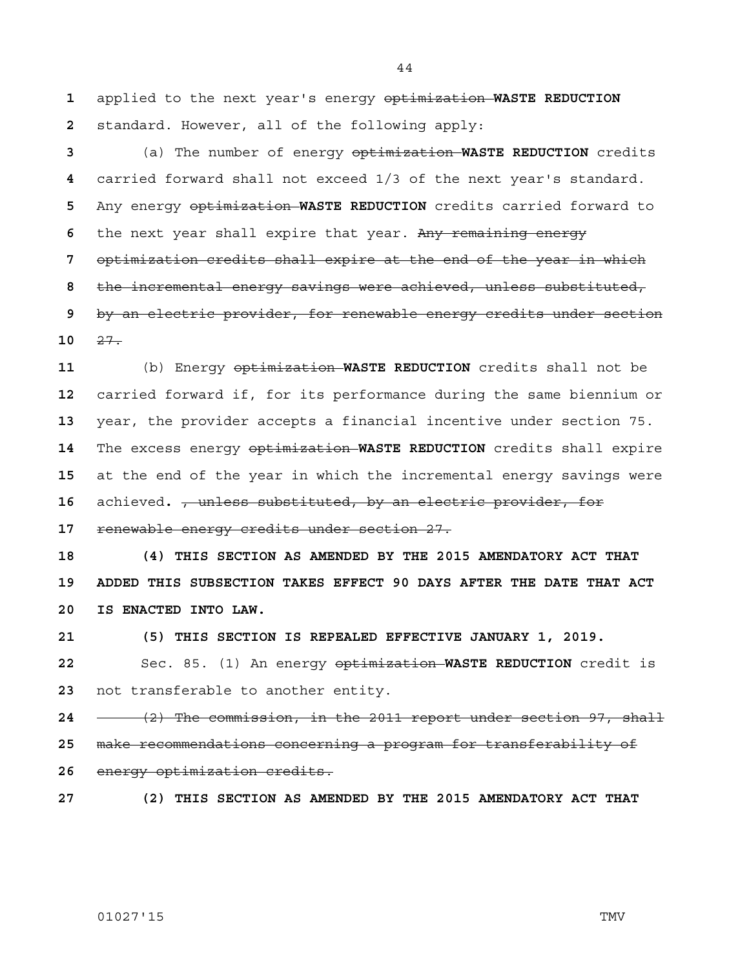applied to the next year's energy optimization **WASTE REDUCTION**  standard. However, all of the following apply:

(a) The number of energy optimization **WASTE REDUCTION** credits carried forward shall not exceed 1/3 of the next year's standard. Any energy optimization **WASTE REDUCTION** credits carried forward to the next year shall expire that year. Any remaining energy optimization credits shall expire at the end of the year in which the incremental energy savings were achieved, unless substituted, by an electric provider, for renewable energy credits under section 27.

(b) Energy optimization **WASTE REDUCTION** credits shall not be carried forward if, for its performance during the same biennium or year, the provider accepts a financial incentive under section 75. The excess energy optimization **WASTE REDUCTION** credits shall expire at the end of the year in which the incremental energy savings were achieved**.** , unless substituted, by an electric provider, for renewable energy credits under section 27.

**18 (4) THIS SECTION AS AMENDED BY THE 2015 AMENDATORY ACT THAT 19 ADDED THIS SUBSECTION TAKES EFFECT 90 DAYS AFTER THE DATE THAT ACT 20 IS ENACTED INTO LAW.**

**21 (5) THIS SECTION IS REPEALED EFFECTIVE JANUARY 1, 2019.**

Sec. 85. (1) An energy optimization **WASTE REDUCTION** credit is not transferable to another entity.

(2) The commission, in the 2011 report under section 97, shall make recommendations concerning a program for transferability of energy optimization credits.

**27 (2) THIS SECTION AS AMENDED BY THE 2015 AMENDATORY ACT THAT**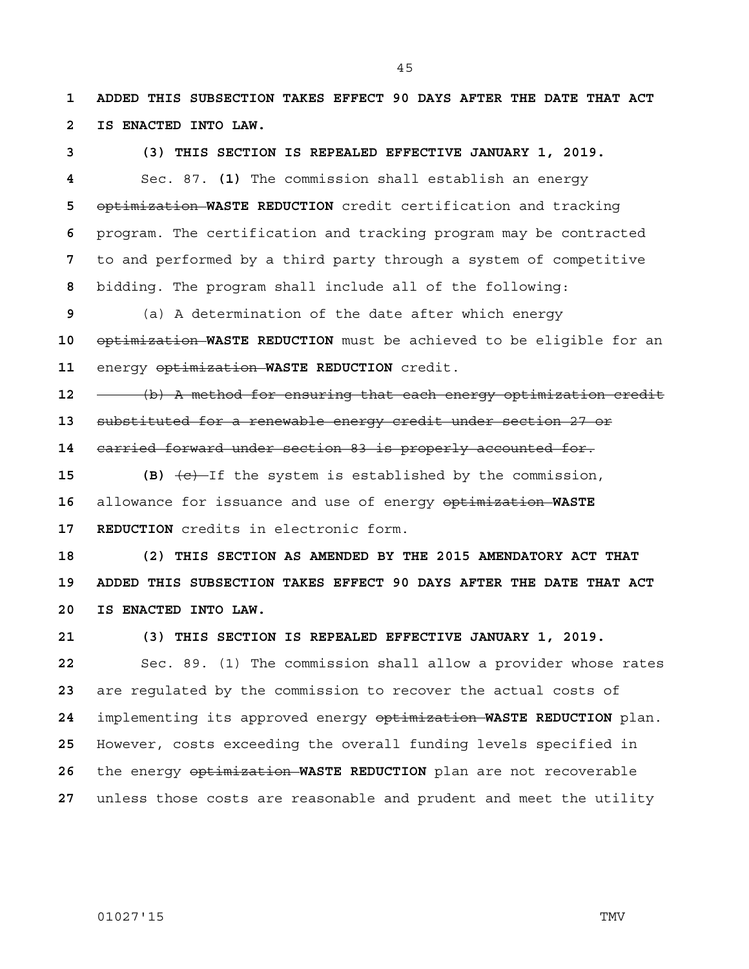**1 ADDED THIS SUBSECTION TAKES EFFECT 90 DAYS AFTER THE DATE THAT ACT 2 IS ENACTED INTO LAW.**

## **3 (3) THIS SECTION IS REPEALED EFFECTIVE JANUARY 1, 2019.**

Sec. 87. **(1)** The commission shall establish an energy optimization **WASTE REDUCTION** credit certification and tracking program. The certification and tracking program may be contracted to and performed by a third party through a system of competitive bidding. The program shall include all of the following:

(a) A determination of the date after which energy optimization **WASTE REDUCTION** must be achieved to be eligible for an energy optimization **WASTE REDUCTION** credit.

(b) A method for ensuring that each energy optimization credit substituted for a renewable energy credit under section 27 or

carried forward under section 83 is properly accounted for.

**15** (B)  $\left(\text{e}\right)$  -If the system is established by the commission, allowance for issuance and use of energy optimization **WASTE 17 REDUCTION** credits in electronic form.

**18 (2) THIS SECTION AS AMENDED BY THE 2015 AMENDATORY ACT THAT 19 ADDED THIS SUBSECTION TAKES EFFECT 90 DAYS AFTER THE DATE THAT ACT 20 IS ENACTED INTO LAW.**

**21 (3) THIS SECTION IS REPEALED EFFECTIVE JANUARY 1, 2019.**

Sec. 89. (1) The commission shall allow a provider whose rates are regulated by the commission to recover the actual costs of implementing its approved energy optimization **WASTE REDUCTION** plan. However, costs exceeding the overall funding levels specified in the energy optimization **WASTE REDUCTION** plan are not recoverable unless those costs are reasonable and prudent and meet the utility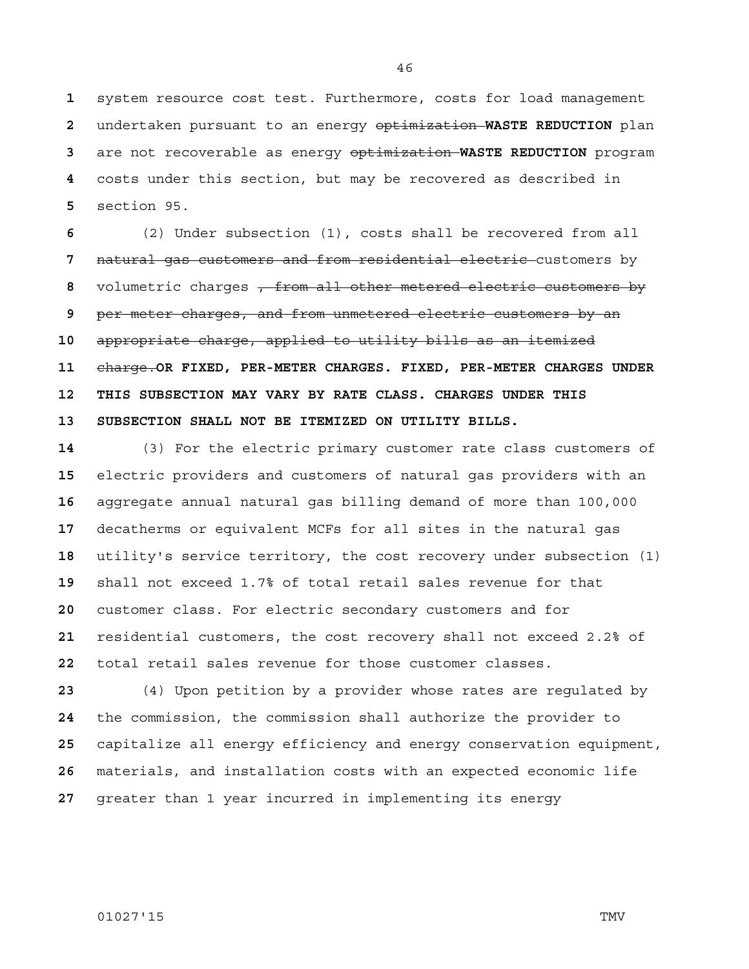system resource cost test. Furthermore, costs for load management undertaken pursuant to an energy optimization **WASTE REDUCTION** plan are not recoverable as energy optimization **WASTE REDUCTION** program costs under this section, but may be recovered as described in section 95.

(2) Under subsection (1), costs shall be recovered from all natural gas customers and from residential electric customers by volumetric charges , from all other metered electric customers by per-meter charges, and from unmetered electric customers by an appropriate charge, applied to utility bills as an itemized charge.**OR FIXED, PER-METER CHARGES. FIXED, PER-METER CHARGES UNDER 12 THIS SUBSECTION MAY VARY BY RATE CLASS. CHARGES UNDER THIS 13 SUBSECTION SHALL NOT BE ITEMIZED ON UTILITY BILLS.**

(3) For the electric primary customer rate class customers of electric providers and customers of natural gas providers with an aggregate annual natural gas billing demand of more than 100,000 decatherms or equivalent MCFs for all sites in the natural gas utility's service territory, the cost recovery under subsection (1) shall not exceed 1.7% of total retail sales revenue for that customer class. For electric secondary customers and for residential customers, the cost recovery shall not exceed 2.2% of total retail sales revenue for those customer classes.

(4) Upon petition by a provider whose rates are regulated by the commission, the commission shall authorize the provider to capitalize all energy efficiency and energy conservation equipment, materials, and installation costs with an expected economic life greater than 1 year incurred in implementing its energy

01027'15 TMV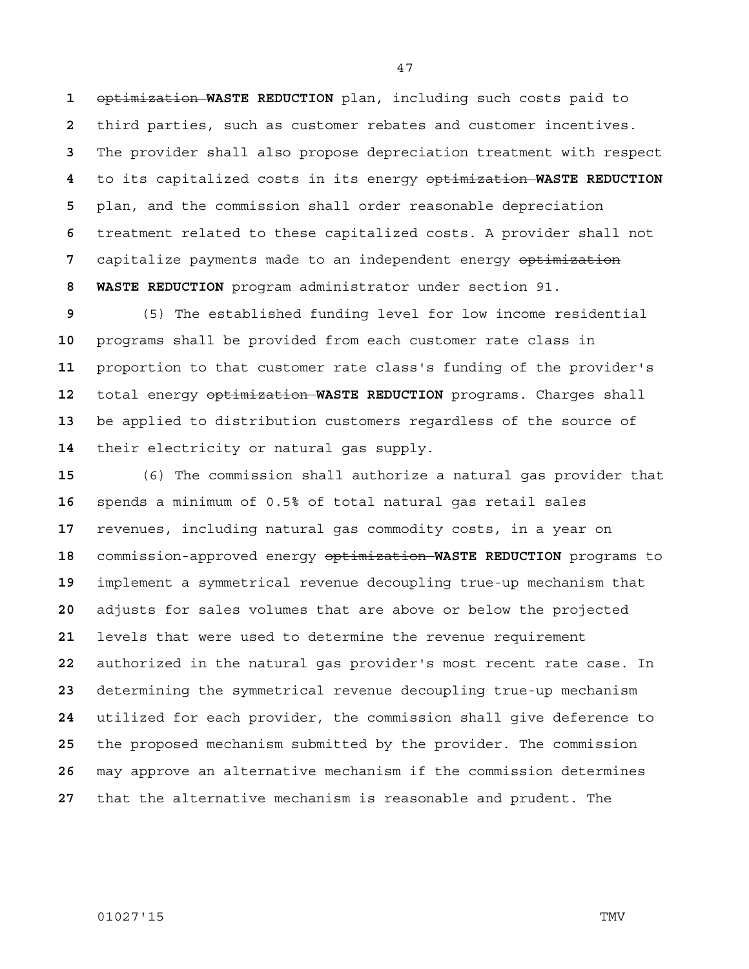optimization **WASTE REDUCTION** plan, including such costs paid to third parties, such as customer rebates and customer incentives. The provider shall also propose depreciation treatment with respect to its capitalized costs in its energy optimization **WASTE REDUCTION**  plan, and the commission shall order reasonable depreciation treatment related to these capitalized costs. A provider shall not capitalize payments made to an independent energy optimization **8 WASTE REDUCTION** program administrator under section 91.

(5) The established funding level for low income residential programs shall be provided from each customer rate class in proportion to that customer rate class's funding of the provider's total energy optimization **WASTE REDUCTION** programs. Charges shall be applied to distribution customers regardless of the source of their electricity or natural gas supply.

(6) The commission shall authorize a natural gas provider that spends a minimum of 0.5% of total natural gas retail sales revenues, including natural gas commodity costs, in a year on commission-approved energy optimization **WASTE REDUCTION** programs to implement a symmetrical revenue decoupling true-up mechanism that adjusts for sales volumes that are above or below the projected levels that were used to determine the revenue requirement authorized in the natural gas provider's most recent rate case. In determining the symmetrical revenue decoupling true-up mechanism utilized for each provider, the commission shall give deference to the proposed mechanism submitted by the provider. The commission may approve an alternative mechanism if the commission determines that the alternative mechanism is reasonable and prudent. The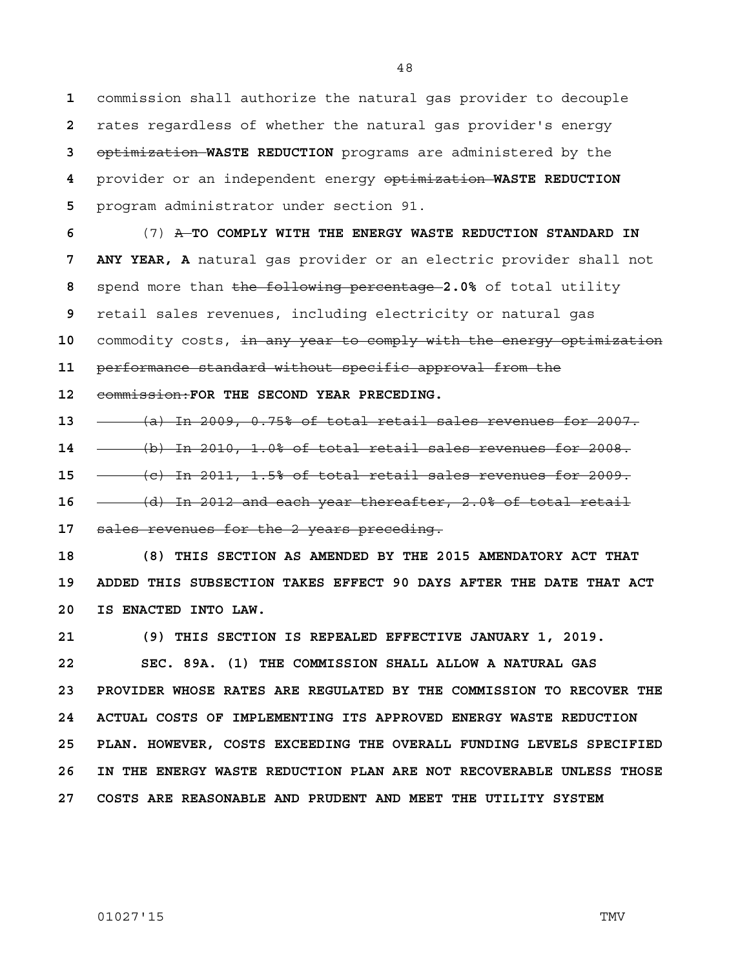commission shall authorize the natural gas provider to decouple rates regardless of whether the natural gas provider's energy optimization **WASTE REDUCTION** programs are administered by the provider or an independent energy optimization **WASTE REDUCTION**  program administrator under section 91.

(7) A **TO COMPLY WITH THE ENERGY WASTE REDUCTION STANDARD IN 7 ANY YEAR, A** natural gas provider or an electric provider shall not spend more than the following percentage **2.0%** of total utility retail sales revenues, including electricity or natural gas commodity costs, in any year to comply with the energy optimization

**11** performance standard without specific approval from the

**12** commission:**FOR THE SECOND YEAR PRECEDING.**

**13** (a) In 2009, 0.75% of total retail sales revenues for 2007.

**14** (b) In 2010, 1.0% of total retail sales revenues for 2008.

**15** (c) In 2011, 1.5% of total retail sales revenues for 2009.

**16** (d) In 2012 and each year thereafter, 2.0% of total retail

**17** sales revenues for the 2 years preceding.

**18 (8) THIS SECTION AS AMENDED BY THE 2015 AMENDATORY ACT THAT 19 ADDED THIS SUBSECTION TAKES EFFECT 90 DAYS AFTER THE DATE THAT ACT 20 IS ENACTED INTO LAW.**

**21 (9) THIS SECTION IS REPEALED EFFECTIVE JANUARY 1, 2019.**

**22 SEC. 89A. (1) THE COMMISSION SHALL ALLOW A NATURAL GAS 23 PROVIDER WHOSE RATES ARE REGULATED BY THE COMMISSION TO RECOVER THE 24 ACTUAL COSTS OF IMPLEMENTING ITS APPROVED ENERGY WASTE REDUCTION 25 PLAN. HOWEVER, COSTS EXCEEDING THE OVERALL FUNDING LEVELS SPECIFIED 26 IN THE ENERGY WASTE REDUCTION PLAN ARE NOT RECOVERABLE UNLESS THOSE 27 COSTS ARE REASONABLE AND PRUDENT AND MEET THE UTILITY SYSTEM**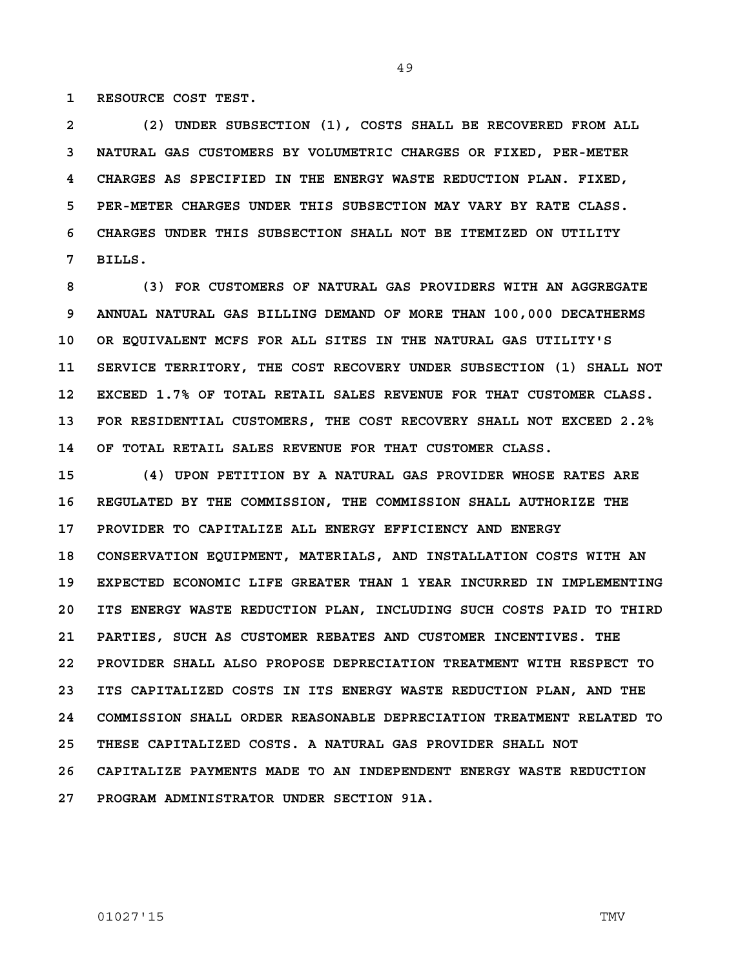**1 RESOURCE COST TEST.** 

**2 (2) UNDER SUBSECTION (1), COSTS SHALL BE RECOVERED FROM ALL 3 NATURAL GAS CUSTOMERS BY VOLUMETRIC CHARGES OR FIXED, PER-METER 4 CHARGES AS SPECIFIED IN THE ENERGY WASTE REDUCTION PLAN. FIXED, 5 PER-METER CHARGES UNDER THIS SUBSECTION MAY VARY BY RATE CLASS. 6 CHARGES UNDER THIS SUBSECTION SHALL NOT BE ITEMIZED ON UTILITY 7 BILLS.**

**8 (3) FOR CUSTOMERS OF NATURAL GAS PROVIDERS WITH AN AGGREGATE 9 ANNUAL NATURAL GAS BILLING DEMAND OF MORE THAN 100,000 DECATHERMS 10 OR EQUIVALENT MCFS FOR ALL SITES IN THE NATURAL GAS UTILITY'S 11 SERVICE TERRITORY, THE COST RECOVERY UNDER SUBSECTION (1) SHALL NOT 12 EXCEED 1.7% OF TOTAL RETAIL SALES REVENUE FOR THAT CUSTOMER CLASS. 13 FOR RESIDENTIAL CUSTOMERS, THE COST RECOVERY SHALL NOT EXCEED 2.2% 14 OF TOTAL RETAIL SALES REVENUE FOR THAT CUSTOMER CLASS.**

**15 (4) UPON PETITION BY A NATURAL GAS PROVIDER WHOSE RATES ARE 16 REGULATED BY THE COMMISSION, THE COMMISSION SHALL AUTHORIZE THE 17 PROVIDER TO CAPITALIZE ALL ENERGY EFFICIENCY AND ENERGY 18 CONSERVATION EQUIPMENT, MATERIALS, AND INSTALLATION COSTS WITH AN 19 EXPECTED ECONOMIC LIFE GREATER THAN 1 YEAR INCURRED IN IMPLEMENTING 20 ITS ENERGY WASTE REDUCTION PLAN, INCLUDING SUCH COSTS PAID TO THIRD 21 PARTIES, SUCH AS CUSTOMER REBATES AND CUSTOMER INCENTIVES. THE 22 PROVIDER SHALL ALSO PROPOSE DEPRECIATION TREATMENT WITH RESPECT TO 23 ITS CAPITALIZED COSTS IN ITS ENERGY WASTE REDUCTION PLAN, AND THE 24 COMMISSION SHALL ORDER REASONABLE DEPRECIATION TREATMENT RELATED TO 25 THESE CAPITALIZED COSTS. A NATURAL GAS PROVIDER SHALL NOT 26 CAPITALIZE PAYMENTS MADE TO AN INDEPENDENT ENERGY WASTE REDUCTION 27 PROGRAM ADMINISTRATOR UNDER SECTION 91A.**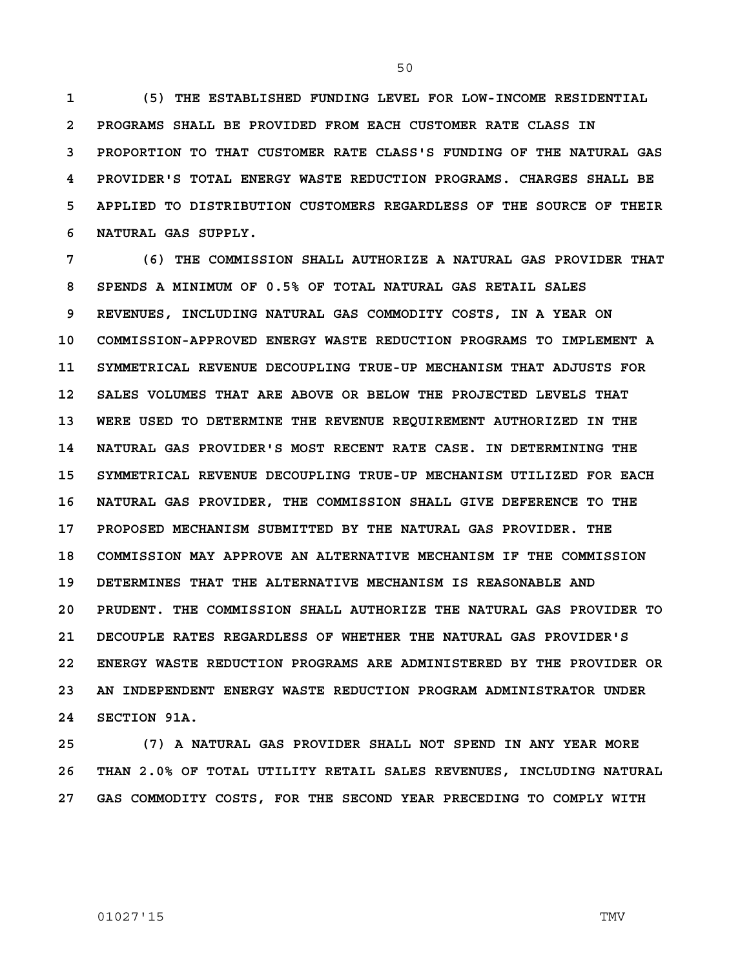**1 (5) THE ESTABLISHED FUNDING LEVEL FOR LOW-INCOME RESIDENTIAL 2 PROGRAMS SHALL BE PROVIDED FROM EACH CUSTOMER RATE CLASS IN 3 PROPORTION TO THAT CUSTOMER RATE CLASS'S FUNDING OF THE NATURAL GAS 4 PROVIDER'S TOTAL ENERGY WASTE REDUCTION PROGRAMS. CHARGES SHALL BE 5 APPLIED TO DISTRIBUTION CUSTOMERS REGARDLESS OF THE SOURCE OF THEIR 6 NATURAL GAS SUPPLY.**

**7 (6) THE COMMISSION SHALL AUTHORIZE A NATURAL GAS PROVIDER THAT 8 SPENDS A MINIMUM OF 0.5% OF TOTAL NATURAL GAS RETAIL SALES 9 REVENUES, INCLUDING NATURAL GAS COMMODITY COSTS, IN A YEAR ON 10 COMMISSION-APPROVED ENERGY WASTE REDUCTION PROGRAMS TO IMPLEMENT A 11 SYMMETRICAL REVENUE DECOUPLING TRUE-UP MECHANISM THAT ADJUSTS FOR 12 SALES VOLUMES THAT ARE ABOVE OR BELOW THE PROJECTED LEVELS THAT 13 WERE USED TO DETERMINE THE REVENUE REQUIREMENT AUTHORIZED IN THE 14 NATURAL GAS PROVIDER'S MOST RECENT RATE CASE. IN DETERMINING THE 15 SYMMETRICAL REVENUE DECOUPLING TRUE-UP MECHANISM UTILIZED FOR EACH 16 NATURAL GAS PROVIDER, THE COMMISSION SHALL GIVE DEFERENCE TO THE 17 PROPOSED MECHANISM SUBMITTED BY THE NATURAL GAS PROVIDER. THE 18 COMMISSION MAY APPROVE AN ALTERNATIVE MECHANISM IF THE COMMISSION 19 DETERMINES THAT THE ALTERNATIVE MECHANISM IS REASONABLE AND 20 PRUDENT. THE COMMISSION SHALL AUTHORIZE THE NATURAL GAS PROVIDER TO 21 DECOUPLE RATES REGARDLESS OF WHETHER THE NATURAL GAS PROVIDER'S 22 ENERGY WASTE REDUCTION PROGRAMS ARE ADMINISTERED BY THE PROVIDER OR 23 AN INDEPENDENT ENERGY WASTE REDUCTION PROGRAM ADMINISTRATOR UNDER 24 SECTION 91A.**

**25 (7) A NATURAL GAS PROVIDER SHALL NOT SPEND IN ANY YEAR MORE 26 THAN 2.0% OF TOTAL UTILITY RETAIL SALES REVENUES, INCLUDING NATURAL 27 GAS COMMODITY COSTS, FOR THE SECOND YEAR PRECEDING TO COMPLY WITH** 

## 01027'15 TMV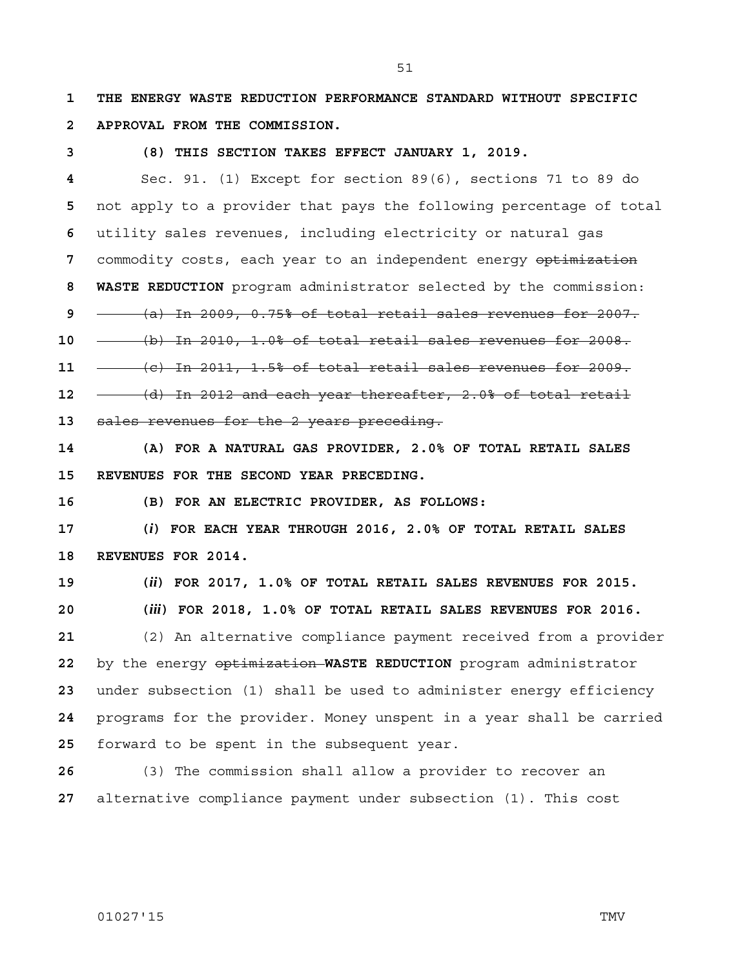51

**1 THE ENERGY WASTE REDUCTION PERFORMANCE STANDARD WITHOUT SPECIFIC 2 APPROVAL FROM THE COMMISSION.**

**3 (8) THIS SECTION TAKES EFFECT JANUARY 1, 2019.**

Sec. 91. (1) Except for section 89(6), sections 71 to 89 do not apply to a provider that pays the following percentage of total utility sales revenues, including electricity or natural gas commodity costs, each year to an independent energy optimization **8 WASTE REDUCTION** program administrator selected by the commission: (a) In 2009, 0.75% of total retail sales revenues for 2007. (b) In 2010, 1.0% of total retail sales revenues for 2008. (c) In 2011, 1.5% of total retail sales revenues for 2009. (d) In 2012 and each year thereafter, 2.0% of total retail sales revenues for the 2 years preceding.

**14 (A) FOR A NATURAL GAS PROVIDER, 2.0% OF TOTAL RETAIL SALES 15 REVENUES FOR THE SECOND YEAR PRECEDING.**

**16 (B) FOR AN ELECTRIC PROVIDER, AS FOLLOWS:**

**17 (***i***) FOR EACH YEAR THROUGH 2016, 2.0% OF TOTAL RETAIL SALES 18 REVENUES FOR 2014.**

**19 (***ii***) FOR 2017, 1.0% OF TOTAL RETAIL SALES REVENUES FOR 2015.**

**20 (***iii***) FOR 2018, 1.0% OF TOTAL RETAIL SALES REVENUES FOR 2016.**

(2) An alternative compliance payment received from a provider by the energy optimization **WASTE REDUCTION** program administrator under subsection (1) shall be used to administer energy efficiency programs for the provider. Money unspent in a year shall be carried forward to be spent in the subsequent year.

**26** (3) The commission shall allow a provider to recover an **27** alternative compliance payment under subsection (1). This cost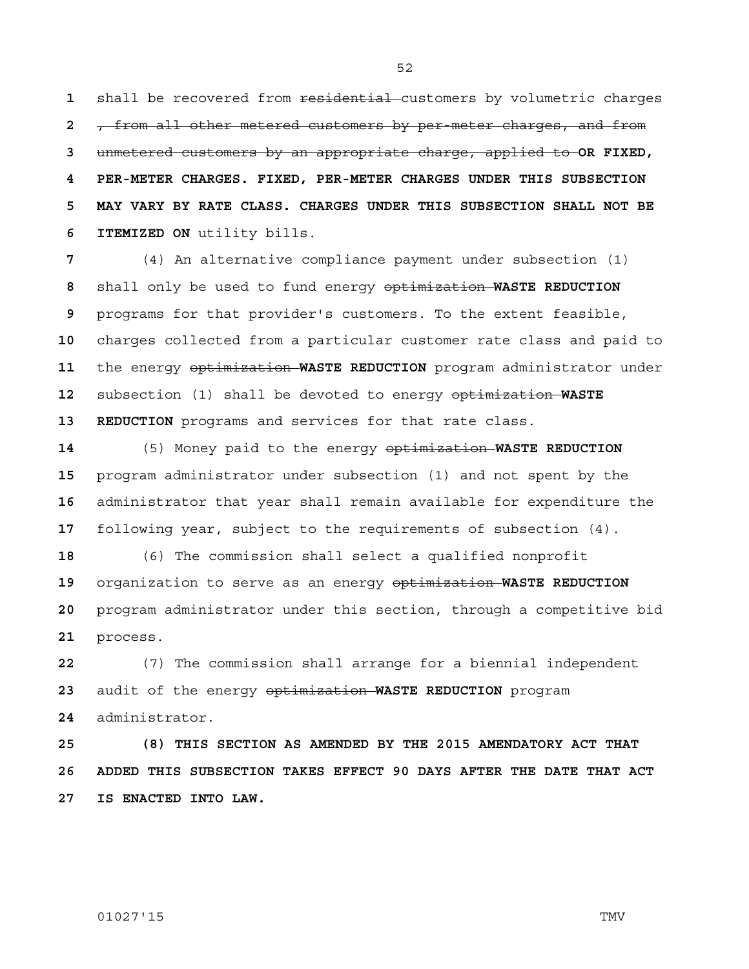1 shall be recovered from residential customers by volumetric charges , from all other metered customers by per-meter charges, and from unmetered customers by an appropriate charge, applied to **OR FIXED, 4 PER-METER CHARGES. FIXED, PER-METER CHARGES UNDER THIS SUBSECTION 5 MAY VARY BY RATE CLASS. CHARGES UNDER THIS SUBSECTION SHALL NOT BE 6 ITEMIZED ON** utility bills.

(4) An alternative compliance payment under subsection (1) shall only be used to fund energy optimization **WASTE REDUCTION**  programs for that provider's customers. To the extent feasible, charges collected from a particular customer rate class and paid to the energy optimization **WASTE REDUCTION** program administrator under subsection (1) shall be devoted to energy optimization **WASTE 13 REDUCTION** programs and services for that rate class.

(5) Money paid to the energy optimization **WASTE REDUCTION**  program administrator under subsection (1) and not spent by the administrator that year shall remain available for expenditure the following year, subject to the requirements of subsection (4).

(6) The commission shall select a qualified nonprofit organization to serve as an energy optimization **WASTE REDUCTION**  program administrator under this section, through a competitive bid process.

(7) The commission shall arrange for a biennial independent audit of the energy optimization **WASTE REDUCTION** program administrator.

**25 (8) THIS SECTION AS AMENDED BY THE 2015 AMENDATORY ACT THAT 26 ADDED THIS SUBSECTION TAKES EFFECT 90 DAYS AFTER THE DATE THAT ACT 27 IS ENACTED INTO LAW.**

## 01027'15 TMV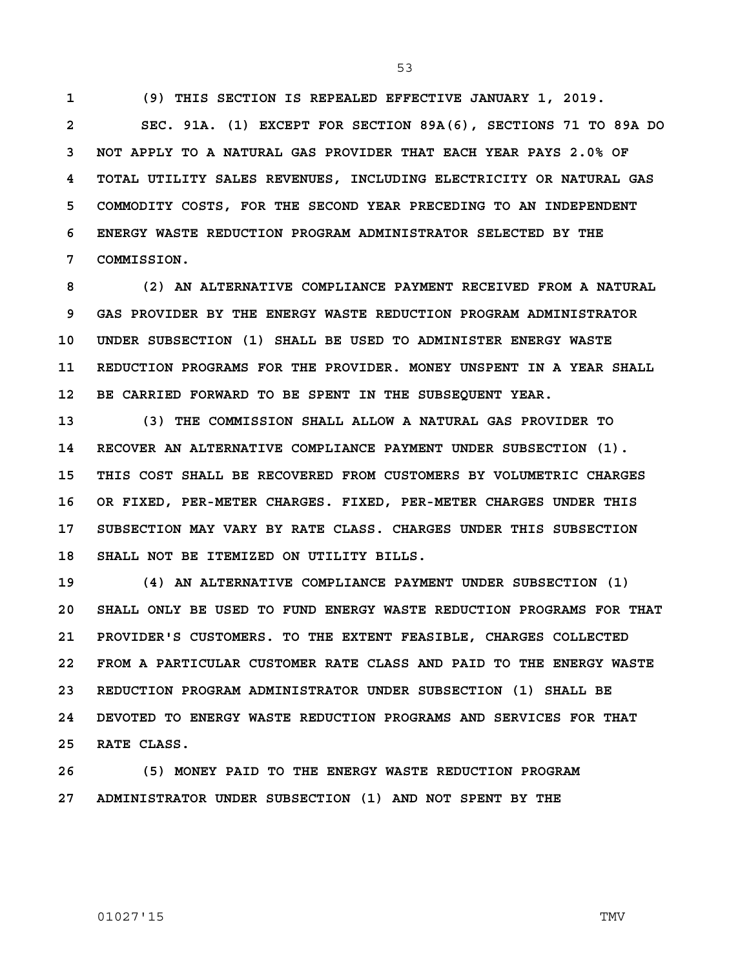53

**1 (9) THIS SECTION IS REPEALED EFFECTIVE JANUARY 1, 2019.**

**2 SEC. 91A. (1) EXCEPT FOR SECTION 89A(6), SECTIONS 71 TO 89A DO 3 NOT APPLY TO A NATURAL GAS PROVIDER THAT EACH YEAR PAYS 2.0% OF 4 TOTAL UTILITY SALES REVENUES, INCLUDING ELECTRICITY OR NATURAL GAS 5 COMMODITY COSTS, FOR THE SECOND YEAR PRECEDING TO AN INDEPENDENT 6 ENERGY WASTE REDUCTION PROGRAM ADMINISTRATOR SELECTED BY THE 7 COMMISSION.** 

**8 (2) AN ALTERNATIVE COMPLIANCE PAYMENT RECEIVED FROM A NATURAL 9 GAS PROVIDER BY THE ENERGY WASTE REDUCTION PROGRAM ADMINISTRATOR 10 UNDER SUBSECTION (1) SHALL BE USED TO ADMINISTER ENERGY WASTE 11 REDUCTION PROGRAMS FOR THE PROVIDER. MONEY UNSPENT IN A YEAR SHALL 12 BE CARRIED FORWARD TO BE SPENT IN THE SUBSEQUENT YEAR.**

**13 (3) THE COMMISSION SHALL ALLOW A NATURAL GAS PROVIDER TO 14 RECOVER AN ALTERNATIVE COMPLIANCE PAYMENT UNDER SUBSECTION (1). 15 THIS COST SHALL BE RECOVERED FROM CUSTOMERS BY VOLUMETRIC CHARGES 16 OR FIXED, PER-METER CHARGES. FIXED, PER-METER CHARGES UNDER THIS 17 SUBSECTION MAY VARY BY RATE CLASS. CHARGES UNDER THIS SUBSECTION 18 SHALL NOT BE ITEMIZED ON UTILITY BILLS.**

**19 (4) AN ALTERNATIVE COMPLIANCE PAYMENT UNDER SUBSECTION (1) 20 SHALL ONLY BE USED TO FUND ENERGY WASTE REDUCTION PROGRAMS FOR THAT 21 PROVIDER'S CUSTOMERS. TO THE EXTENT FEASIBLE, CHARGES COLLECTED 22 FROM A PARTICULAR CUSTOMER RATE CLASS AND PAID TO THE ENERGY WASTE 23 REDUCTION PROGRAM ADMINISTRATOR UNDER SUBSECTION (1) SHALL BE 24 DEVOTED TO ENERGY WASTE REDUCTION PROGRAMS AND SERVICES FOR THAT 25 RATE CLASS.**

**26 (5) MONEY PAID TO THE ENERGY WASTE REDUCTION PROGRAM 27 ADMINISTRATOR UNDER SUBSECTION (1) AND NOT SPENT BY THE**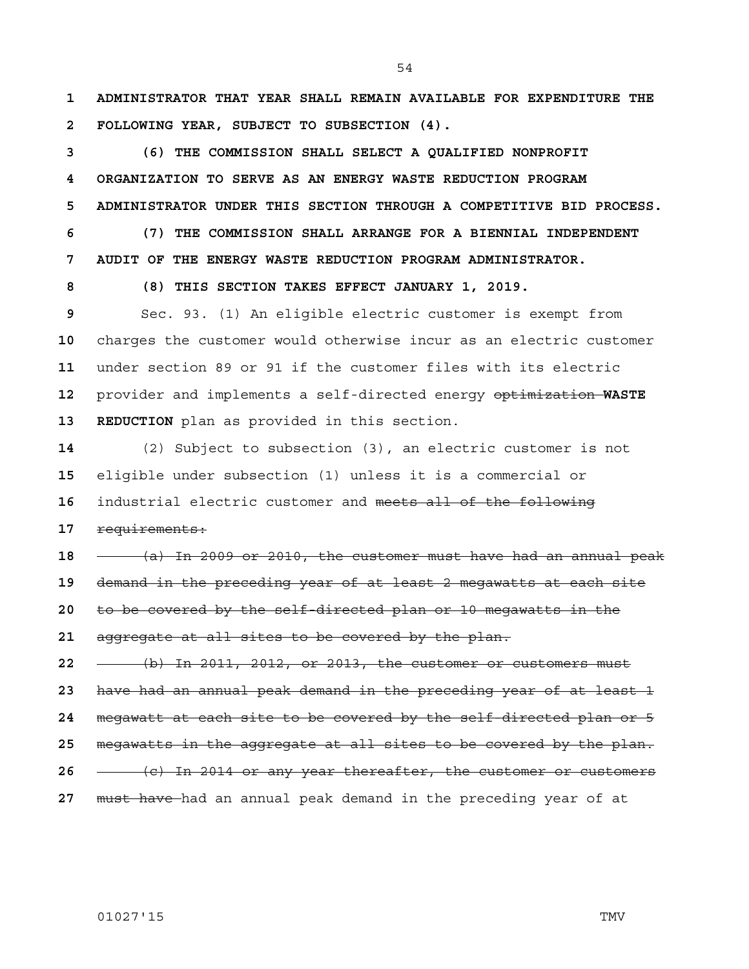**1 ADMINISTRATOR THAT YEAR SHALL REMAIN AVAILABLE FOR EXPENDITURE THE 2 FOLLOWING YEAR, SUBJECT TO SUBSECTION (4).**

**3 (6) THE COMMISSION SHALL SELECT A QUALIFIED NONPROFIT 4 ORGANIZATION TO SERVE AS AN ENERGY WASTE REDUCTION PROGRAM 5 ADMINISTRATOR UNDER THIS SECTION THROUGH A COMPETITIVE BID PROCESS.**

**6 (7) THE COMMISSION SHALL ARRANGE FOR A BIENNIAL INDEPENDENT 7 AUDIT OF THE ENERGY WASTE REDUCTION PROGRAM ADMINISTRATOR.**

**8 (8) THIS SECTION TAKES EFFECT JANUARY 1, 2019.**

Sec. 93. (1) An eligible electric customer is exempt from charges the customer would otherwise incur as an electric customer under section 89 or 91 if the customer files with its electric provider and implements a self-directed energy optimization **WASTE 13 REDUCTION** plan as provided in this section.

(2) Subject to subsection (3), an electric customer is not eligible under subsection (1) unless it is a commercial or industrial electric customer and meets all of the following requirements:

(a) In 2009 or 2010, the customer must have had an annual peak

demand in the preceding year of at least 2 megawatts at each site

to be covered by the self-directed plan or 10 megawatts in the

aggregate at all sites to be covered by the plan.

(b) In 2011, 2012, or 2013, the customer or customers must

have had an annual peak demand in the preceding year of at least 1

megawatt at each site to be covered by the self-directed plan or 5

megawatts in the aggregate at all sites to be covered by the plan.

(c) In 2014 or any year thereafter, the customer or customers

must have had an annual peak demand in the preceding year of at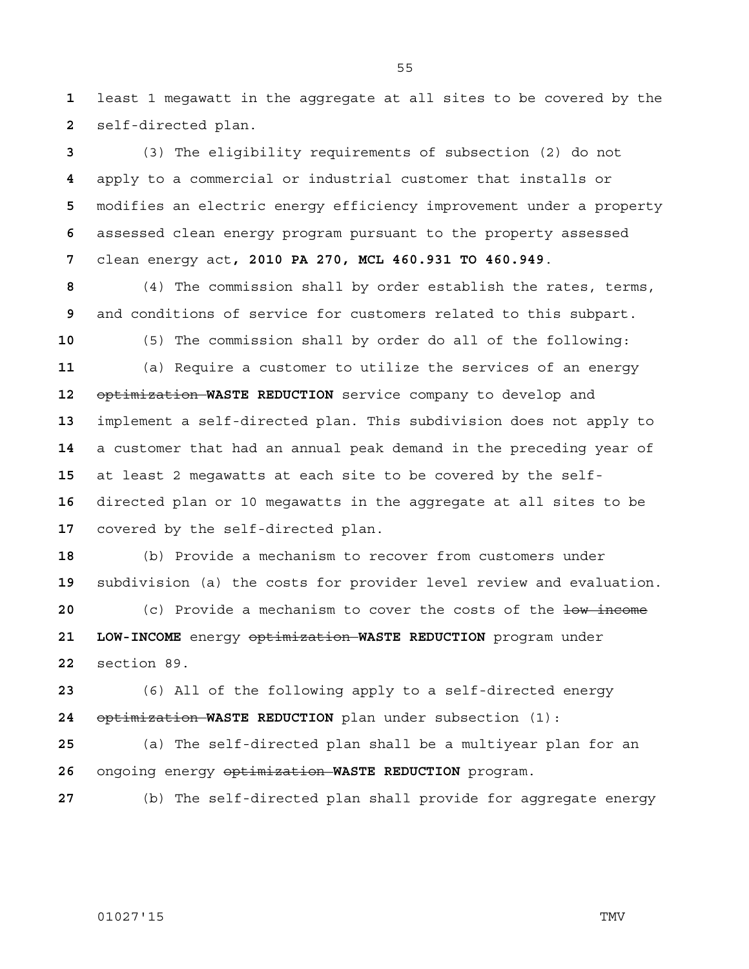least 1 megawatt in the aggregate at all sites to be covered by the self-directed plan.

(3) The eligibility requirements of subsection (2) do not apply to a commercial or industrial customer that installs or modifies an electric energy efficiency improvement under a property assessed clean energy program pursuant to the property assessed clean energy act**, 2010 PA 270, MCL 460.931 TO 460.949**.

(4) The commission shall by order establish the rates, terms, and conditions of service for customers related to this subpart.

(5) The commission shall by order do all of the following:

(a) Require a customer to utilize the services of an energy optimization **WASTE REDUCTION** service company to develop and implement a self-directed plan. This subdivision does not apply to a customer that had an annual peak demand in the preceding year of at least 2 megawatts at each site to be covered by the self-directed plan or 10 megawatts in the aggregate at all sites to be covered by the self-directed plan.

(b) Provide a mechanism to recover from customers under subdivision (a) the costs for provider level review and evaluation.

 **120** (c) Provide a mechanism to cover the costs of the low income **21 LOW-INCOME** energy optimization **WASTE REDUCTION** program under section 89.

(6) All of the following apply to a self-directed energy optimization **WASTE REDUCTION** plan under subsection (1):

(a) The self-directed plan shall be a multiyear plan for an ongoing energy optimization **WASTE REDUCTION** program.

(b) The self-directed plan shall provide for aggregate energy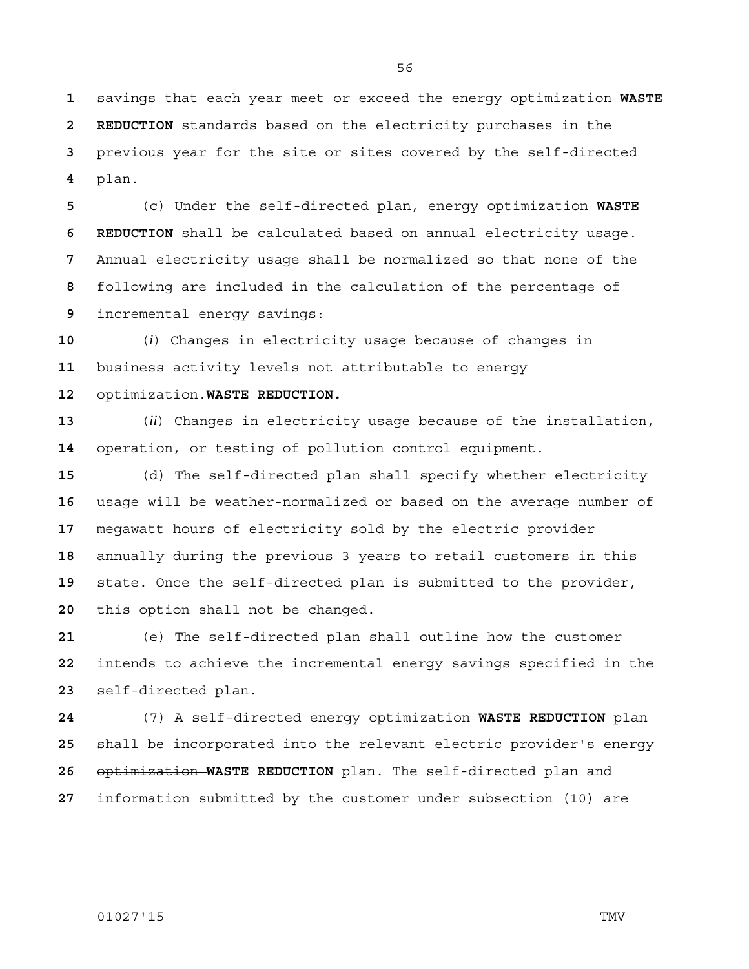savings that each year meet or exceed the energy optimization **WASTE 2 REDUCTION** standards based on the electricity purchases in the previous year for the site or sites covered by the self-directed plan.

(c) Under the self-directed plan, energy optimization **WASTE 6 REDUCTION** shall be calculated based on annual electricity usage. Annual electricity usage shall be normalized so that none of the following are included in the calculation of the percentage of incremental energy savings:

(*i*) Changes in electricity usage because of changes in business activity levels not attributable to energy

### optimization.**WASTE REDUCTION.**

(*ii*) Changes in electricity usage because of the installation, operation, or testing of pollution control equipment.

(d) The self-directed plan shall specify whether electricity usage will be weather-normalized or based on the average number of megawatt hours of electricity sold by the electric provider annually during the previous 3 years to retail customers in this state. Once the self-directed plan is submitted to the provider, this option shall not be changed.

(e) The self-directed plan shall outline how the customer intends to achieve the incremental energy savings specified in the self-directed plan.

(7) A self-directed energy optimization **WASTE REDUCTION** plan shall be incorporated into the relevant electric provider's energy optimization **WASTE REDUCTION** plan. The self-directed plan and information submitted by the customer under subsection (10) are

# 01027'15 TMV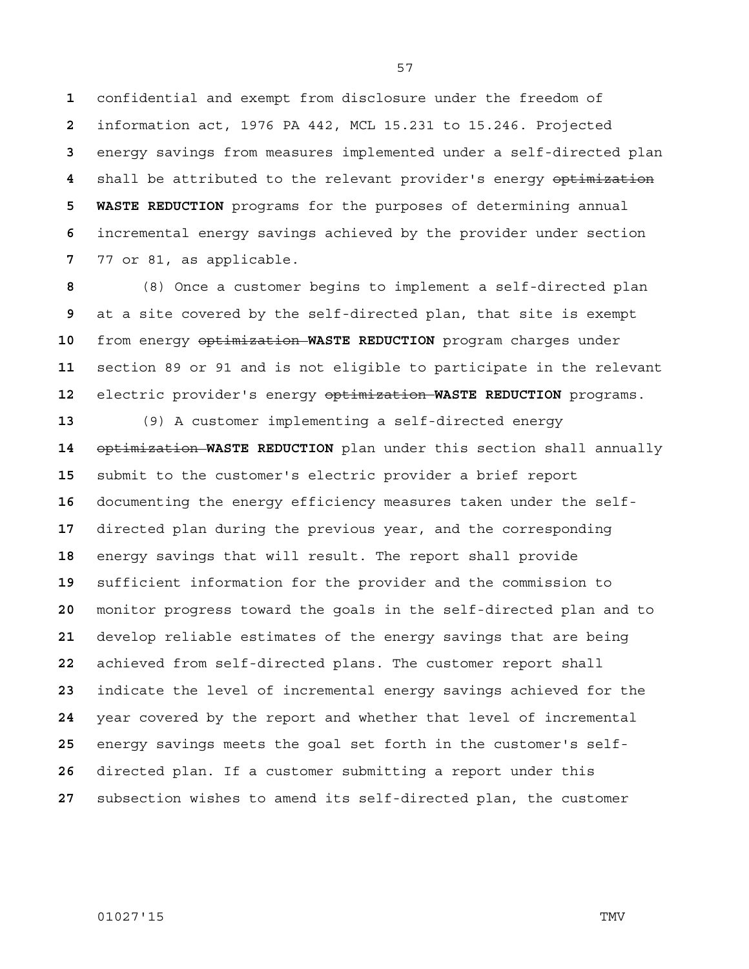confidential and exempt from disclosure under the freedom of information act, 1976 PA 442, MCL 15.231 to 15.246. Projected energy savings from measures implemented under a self-directed plan shall be attributed to the relevant provider's energy optimization **5 WASTE REDUCTION** programs for the purposes of determining annual incremental energy savings achieved by the provider under section 77 or 81, as applicable.

(8) Once a customer begins to implement a self-directed plan at a site covered by the self-directed plan, that site is exempt from energy optimization **WASTE REDUCTION** program charges under section 89 or 91 and is not eligible to participate in the relevant electric provider's energy optimization **WASTE REDUCTION** programs.

(9) A customer implementing a self-directed energy optimization **WASTE REDUCTION** plan under this section shall annually submit to the customer's electric provider a brief report documenting the energy efficiency measures taken under the self-directed plan during the previous year, and the corresponding energy savings that will result. The report shall provide sufficient information for the provider and the commission to monitor progress toward the goals in the self-directed plan and to develop reliable estimates of the energy savings that are being achieved from self-directed plans. The customer report shall indicate the level of incremental energy savings achieved for the year covered by the report and whether that level of incremental energy savings meets the goal set forth in the customer's self-directed plan. If a customer submitting a report under this subsection wishes to amend its self-directed plan, the customer

01027'15 TMV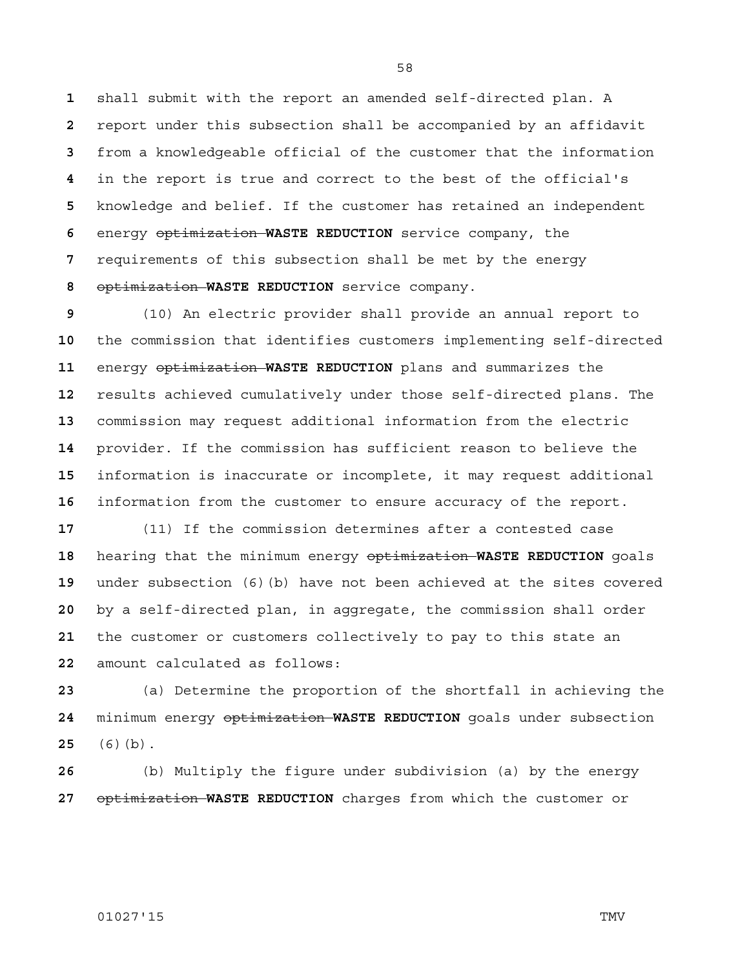shall submit with the report an amended self-directed plan. A report under this subsection shall be accompanied by an affidavit from a knowledgeable official of the customer that the information in the report is true and correct to the best of the official's knowledge and belief. If the customer has retained an independent energy optimization **WASTE REDUCTION** service company, the requirements of this subsection shall be met by the energy optimization **WASTE REDUCTION** service company.

(10) An electric provider shall provide an annual report to the commission that identifies customers implementing self-directed energy optimization **WASTE REDUCTION** plans and summarizes the results achieved cumulatively under those self-directed plans. The commission may request additional information from the electric provider. If the commission has sufficient reason to believe the information is inaccurate or incomplete, it may request additional information from the customer to ensure accuracy of the report.

(11) If the commission determines after a contested case hearing that the minimum energy optimization **WASTE REDUCTION** goals under subsection (6)(b) have not been achieved at the sites covered by a self-directed plan, in aggregate, the commission shall order the customer or customers collectively to pay to this state an amount calculated as follows:

(a) Determine the proportion of the shortfall in achieving the minimum energy optimization **WASTE REDUCTION** goals under subsection (6)(b).

(b) Multiply the figure under subdivision (a) by the energy optimization **WASTE REDUCTION** charges from which the customer or

## 01027'15 TMV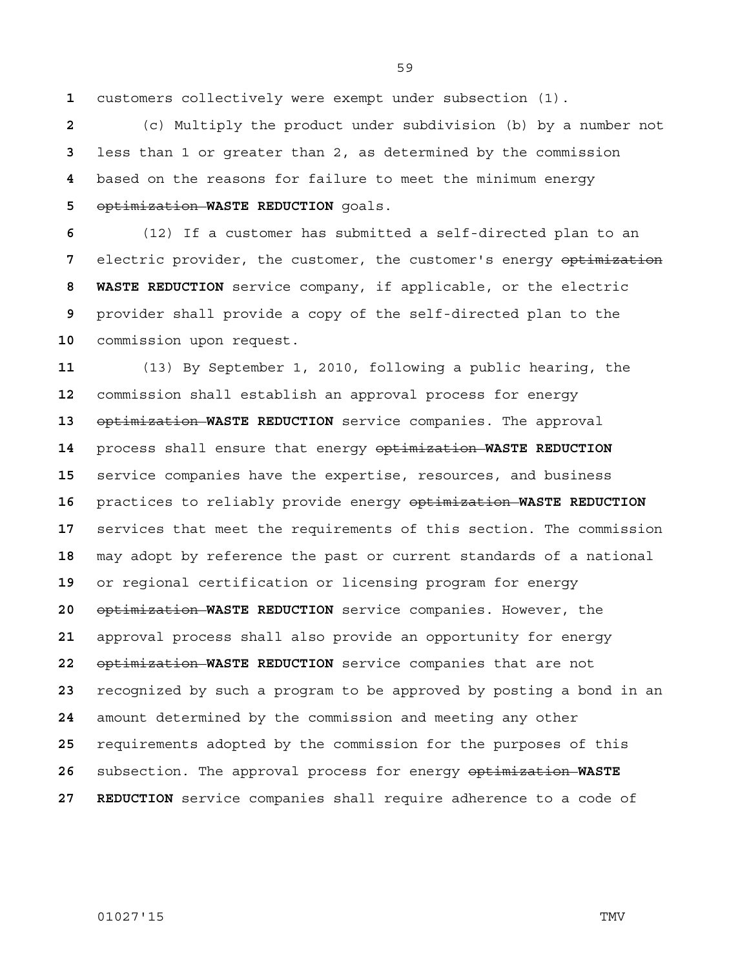customers collectively were exempt under subsection (1).

(c) Multiply the product under subdivision (b) by a number not less than 1 or greater than 2, as determined by the commission based on the reasons for failure to meet the minimum energy optimization **WASTE REDUCTION** goals.

(12) If a customer has submitted a self-directed plan to an electric provider, the customer, the customer's energy optimization **8 WASTE REDUCTION** service company, if applicable, or the electric provider shall provide a copy of the self-directed plan to the commission upon request.

(13) By September 1, 2010, following a public hearing, the commission shall establish an approval process for energy optimization **WASTE REDUCTION** service companies. The approval process shall ensure that energy optimization **WASTE REDUCTION**  service companies have the expertise, resources, and business practices to reliably provide energy optimization **WASTE REDUCTION**  services that meet the requirements of this section. The commission may adopt by reference the past or current standards of a national or regional certification or licensing program for energy optimization **WASTE REDUCTION** service companies. However, the approval process shall also provide an opportunity for energy optimization **WASTE REDUCTION** service companies that are not recognized by such a program to be approved by posting a bond in an amount determined by the commission and meeting any other requirements adopted by the commission for the purposes of this subsection. The approval process for energy optimization **WASTE 27 REDUCTION** service companies shall require adherence to a code of

## 01027'15 TMV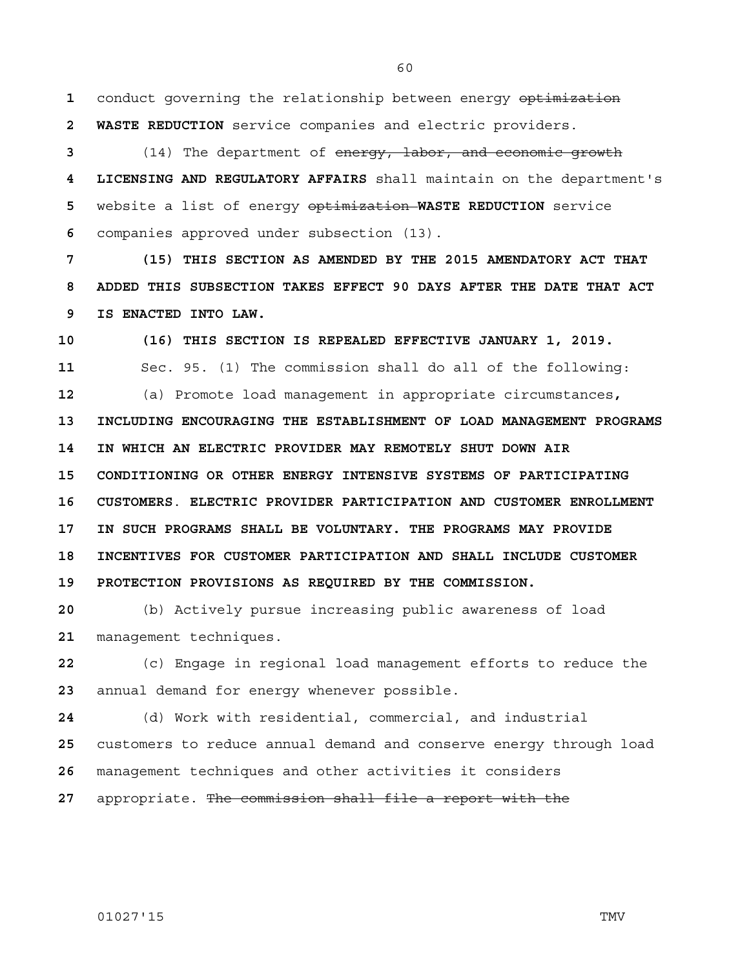**1** conduct governing the relationship between energy optimization **2 WASTE REDUCTION** service companies and electric providers.

(14) The department of energy, labor, and economic growth **4 LICENSING AND REGULATORY AFFAIRS** shall maintain on the department's website a list of energy optimization **WASTE REDUCTION** service companies approved under subsection (13).

**7 (15) THIS SECTION AS AMENDED BY THE 2015 AMENDATORY ACT THAT 8 ADDED THIS SUBSECTION TAKES EFFECT 90 DAYS AFTER THE DATE THAT ACT 9 IS ENACTED INTO LAW.**

**10 (16) THIS SECTION IS REPEALED EFFECTIVE JANUARY 1, 2019.** 11 Sec. 95. (1) The commission shall do all of the following: **12** (a) Promote load management in appropriate circumstances**, 13 INCLUDING ENCOURAGING THE ESTABLISHMENT OF LOAD MANAGEMENT PROGRAMS 14 IN WHICH AN ELECTRIC PROVIDER MAY REMOTELY SHUT DOWN AIR 15 CONDITIONING OR OTHER ENERGY INTENSIVE SYSTEMS OF PARTICIPATING 16 CUSTOMERS**. **ELECTRIC PROVIDER PARTICIPATION AND CUSTOMER ENROLLMENT 17 IN SUCH PROGRAMS SHALL BE VOLUNTARY. THE PROGRAMS MAY PROVIDE 18 INCENTIVES FOR CUSTOMER PARTICIPATION AND SHALL INCLUDE CUSTOMER 19 PROTECTION PROVISIONS AS REQUIRED BY THE COMMISSION.**

**20** (b) Actively pursue increasing public awareness of load **21** management techniques.

**22** (c) Engage in regional load management efforts to reduce the **23** annual demand for energy whenever possible.

**24** (d) Work with residential, commercial, and industrial **25** customers to reduce annual demand and conserve energy through load **26** management techniques and other activities it considers

**27** appropriate. The commission shall file a report with the

01027'15 TMV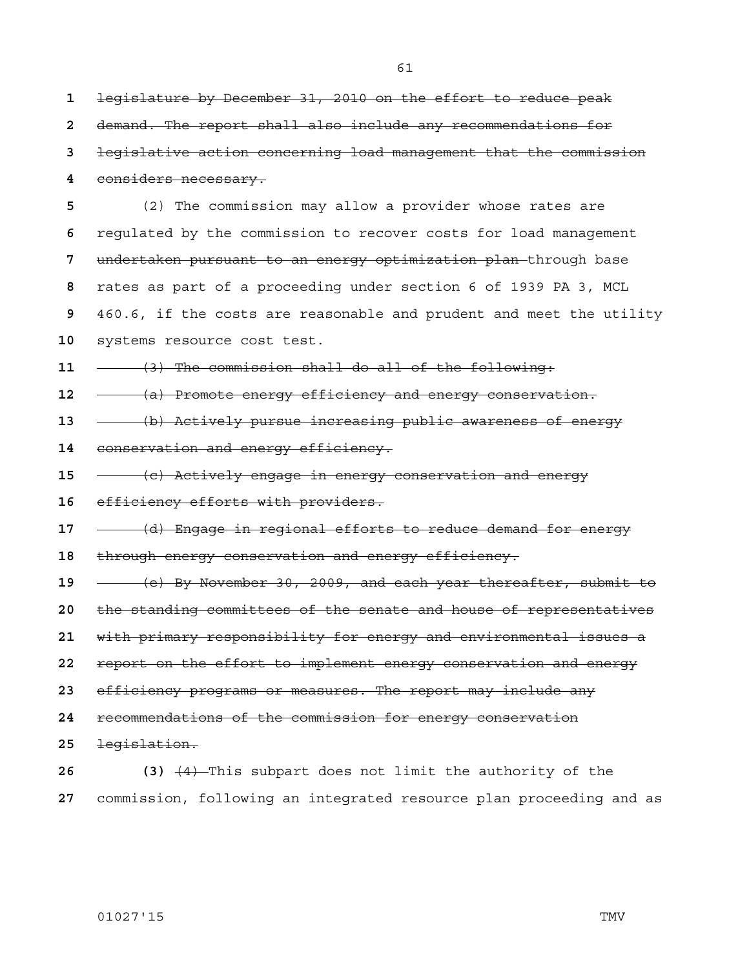legislature by December 31, 2010 on the effort to reduce peak

demand. The report shall also include any recommendations for

| 3  | legislative action concerning load management that the commission   |
|----|---------------------------------------------------------------------|
| 4  | considers necessary.                                                |
| 5  | (2) The commission may allow a provider whose rates are             |
| 6  | requlated by the commission to recover costs for load management    |
| 7  | undertaken pursuant to an energy optimization plan-through base     |
| 8  | rates as part of a proceeding under section 6 of 1939 PA 3, MCL     |
| 9  | 460.6, if the costs are reasonable and prudent and meet the utility |
| 10 | systems resource cost test.                                         |
| 11 | (3) The commission shall do all of the following:                   |
| 12 | (a) Promote energy efficiency and energy conservation.              |
| 13 | (b) Actively pursue increasing public awareness of energy           |
| 14 | conservation and energy efficiency.                                 |
| 15 | (c) Actively engage in energy conservation and energy               |
| 16 | efficiency efforts with providers.                                  |
| 17 | (d) Engage in regional efforts to reduce demand for energy          |
| 18 | through energy conservation and energy efficiency.                  |
| 19 | (e) By November 30, 2009, and each year thereafter, submit to       |
| 20 | the standing committees of the senate and house of representatives  |
| 21 | with primary responsibility for energy and environmental issues a   |
| 22 | report on the effort to implement energy conservation and energy    |
| 23 | efficiency programs or measures. The report may include any         |
| 24 | recommendations of the commission for energy conservation           |
| 25 | legislation.                                                        |
| 26 | (3) $(4)$ -This subpart does not limit the authority of the         |

commission, following an integrated resource plan proceeding and as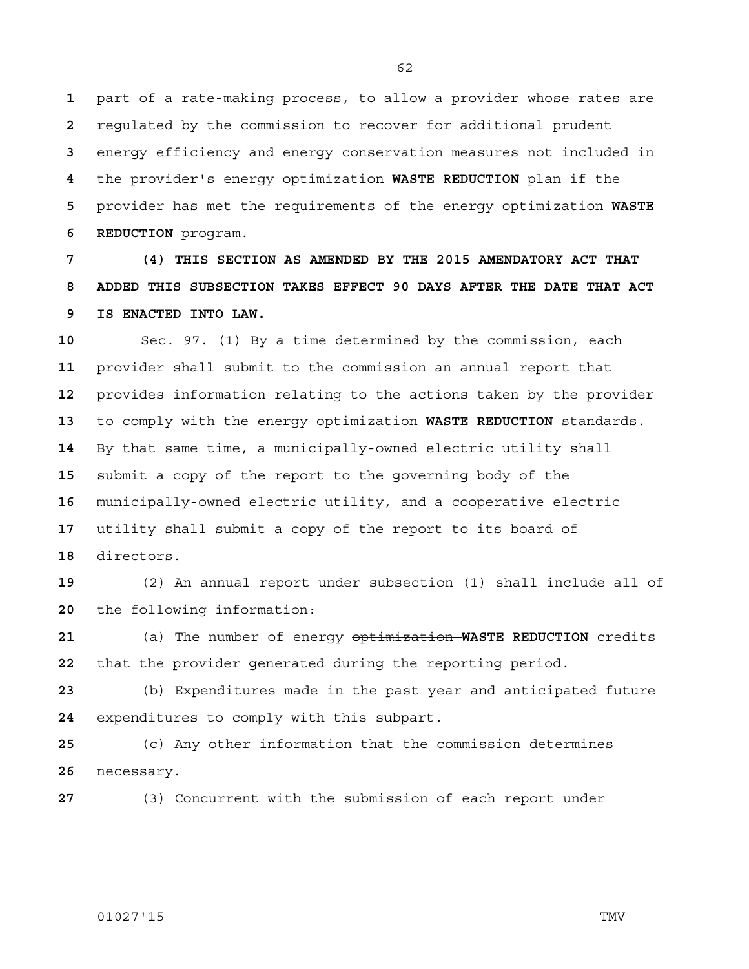part of a rate-making process, to allow a provider whose rates are regulated by the commission to recover for additional prudent energy efficiency and energy conservation measures not included in the provider's energy optimization **WASTE REDUCTION** plan if the provider has met the requirements of the energy optimization **WASTE 6 REDUCTION** program.

**7 (4) THIS SECTION AS AMENDED BY THE 2015 AMENDATORY ACT THAT 8 ADDED THIS SUBSECTION TAKES EFFECT 90 DAYS AFTER THE DATE THAT ACT 9 IS ENACTED INTO LAW.**

Sec. 97. (1) By a time determined by the commission, each provider shall submit to the commission an annual report that provides information relating to the actions taken by the provider to comply with the energy optimization **WASTE REDUCTION** standards. By that same time, a municipally-owned electric utility shall submit a copy of the report to the governing body of the municipally-owned electric utility, and a cooperative electric utility shall submit a copy of the report to its board of directors.

(2) An annual report under subsection (1) shall include all of the following information:

(a) The number of energy optimization **WASTE REDUCTION** credits that the provider generated during the reporting period.

(b) Expenditures made in the past year and anticipated future expenditures to comply with this subpart.

(c) Any other information that the commission determines necessary.

(3) Concurrent with the submission of each report under

## 01027'15 TMV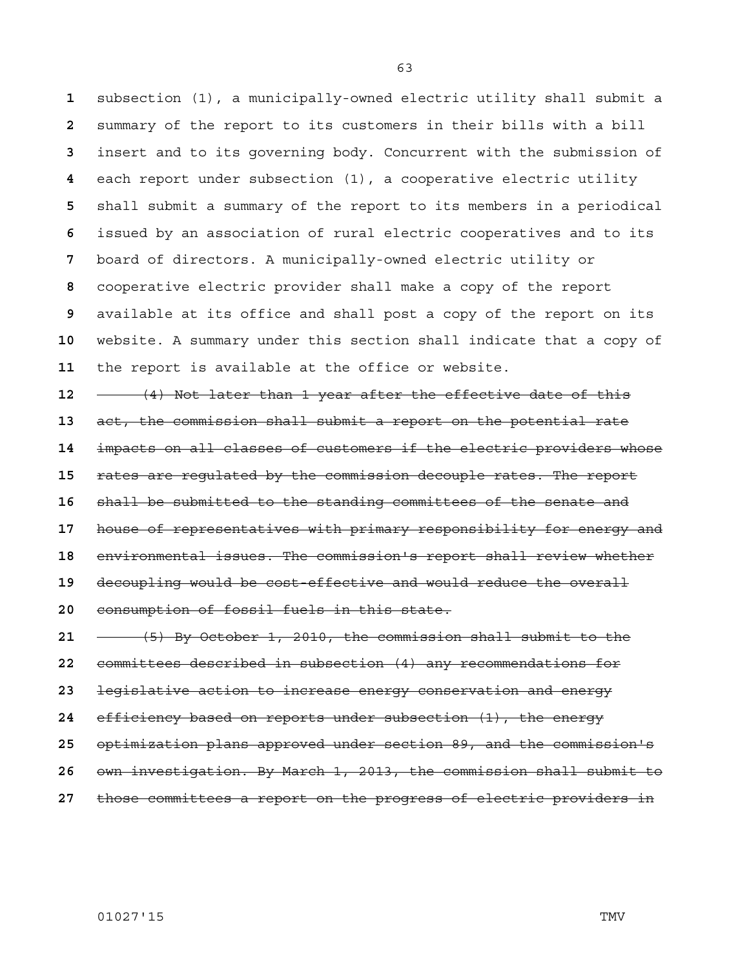subsection (1), a municipally-owned electric utility shall submit a summary of the report to its customers in their bills with a bill insert and to its governing body. Concurrent with the submission of each report under subsection (1), a cooperative electric utility shall submit a summary of the report to its members in a periodical issued by an association of rural electric cooperatives and to its board of directors. A municipally-owned electric utility or cooperative electric provider shall make a copy of the report available at its office and shall post a copy of the report on its website. A summary under this section shall indicate that a copy of the report is available at the office or website.

(4) Not later than 1 year after the effective date of this act, the commission shall submit a report on the potential rate impacts on all classes of customers if the electric providers whose rates are regulated by the commission decouple rates. The report shall be submitted to the standing committees of the senate and house of representatives with primary responsibility for energy and environmental issues. The commission's report shall review whether decoupling would be cost-effective and would reduce the overall consumption of fossil fuels in this state.

(5) By October 1, 2010, the commission shall submit to the committees described in subsection (4) any recommendations for legislative action to increase energy conservation and energy efficiency based on reports under subsection (1), the energy optimization plans approved under section 89, and the commission's own investigation. By March 1, 2013, the commission shall submit to those committees a report on the progress of electric providers in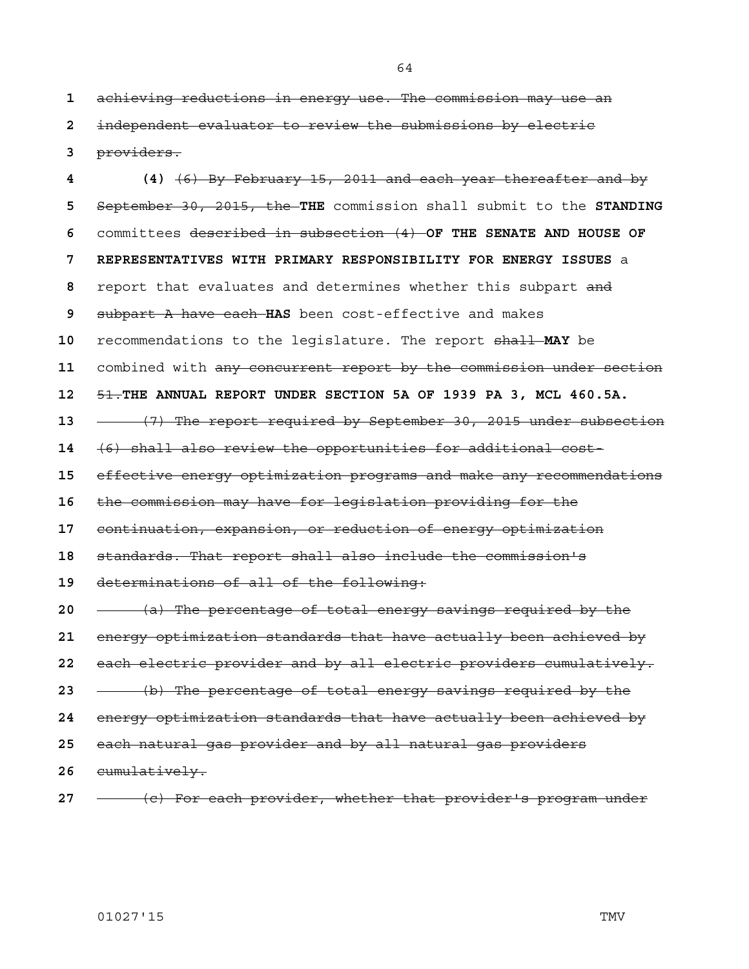achieving reductions in energy use. The commission may use an independent evaluator to review the submissions by electric providers.

**4 (4)** (6) By February 15, 2011 and each year thereafter and by September 30, 2015, the **THE** commission shall submit to the **STANDING**  committees described in subsection (4) **OF THE SENATE AND HOUSE OF 7 REPRESENTATIVES WITH PRIMARY RESPONSIBILITY FOR ENERGY ISSUES** a report that evaluates and determines whether this subpart and subpart A have each **HAS** been cost-effective and makes recommendations to the legislature. The report shall **MAY** be combined with any concurrent report by the commission under section 51.**THE ANNUAL REPORT UNDER SECTION 5A OF 1939 PA 3, MCL 460.5A.** (7) The report required by September 30, 2015 under subsection (6) shall also review the opportunities for additional cost-effective energy optimization programs and make any recommendations the commission may have for legislation providing for the continuation, expansion, or reduction of energy optimization standards. That report shall also include the commission's determinations of all of the following: (a) The percentage of total energy savings required by the energy optimization standards that have actually been achieved by each electric provider and by all electric providers cumulatively. (b) The percentage of total energy savings required by the energy optimization standards that have actually been achieved by each natural gas provider and by all natural gas providers cumulatively.

(c) For each provider, whether that provider's program under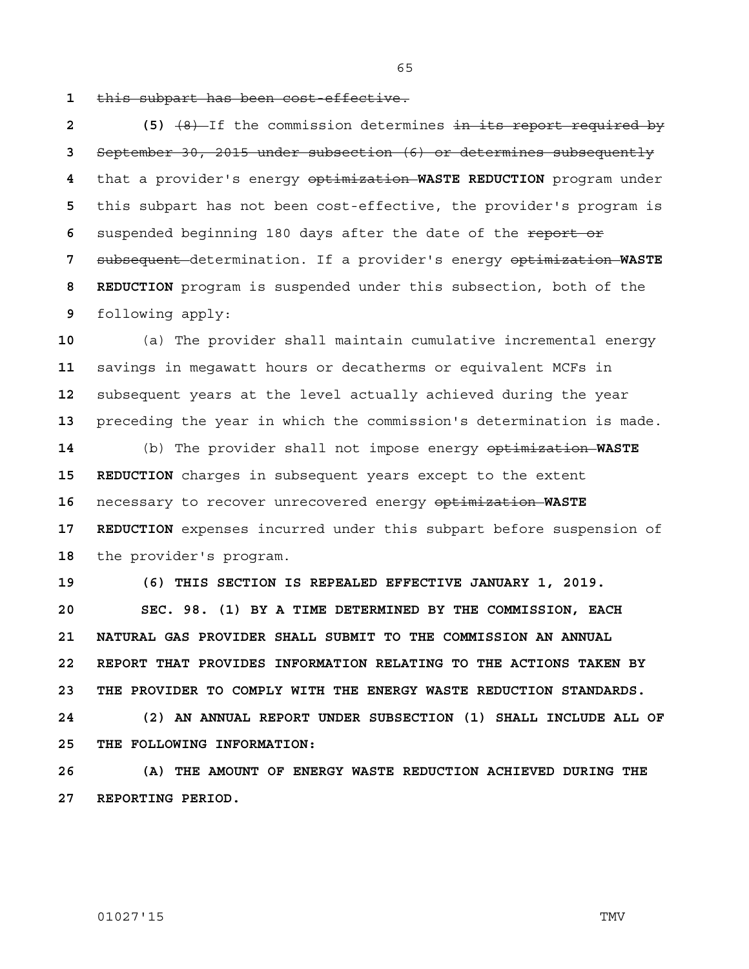**1** this subpart has been cost-effective.

2 (5)  $(8)$  If the commission determines in its report required by September 30, 2015 under subsection (6) or determines subsequently that a provider's energy optimization **WASTE REDUCTION** program under this subpart has not been cost-effective, the provider's program is suspended beginning 180 days after the date of the report or subsequent determination. If a provider's energy optimization **WASTE 8 REDUCTION** program is suspended under this subsection, both of the following apply:

(a) The provider shall maintain cumulative incremental energy savings in megawatt hours or decatherms or equivalent MCFs in subsequent years at the level actually achieved during the year preceding the year in which the commission's determination is made.

**14** (b) The provider shall not impose energy optimization **WASTE 15 REDUCTION** charges in subsequent years except to the extent **16** necessary to recover unrecovered energy optimization **WASTE 17 REDUCTION** expenses incurred under this subpart before suspension of **18** the provider's program.

**19 (6) THIS SECTION IS REPEALED EFFECTIVE JANUARY 1, 2019.**

**20 SEC. 98. (1) BY A TIME DETERMINED BY THE COMMISSION, EACH 21 NATURAL GAS PROVIDER SHALL SUBMIT TO THE COMMISSION AN ANNUAL 22 REPORT THAT PROVIDES INFORMATION RELATING TO THE ACTIONS TAKEN BY 23 THE PROVIDER TO COMPLY WITH THE ENERGY WASTE REDUCTION STANDARDS.** 

**24 (2) AN ANNUAL REPORT UNDER SUBSECTION (1) SHALL INCLUDE ALL OF 25 THE FOLLOWING INFORMATION:**

**26 (A) THE AMOUNT OF ENERGY WASTE REDUCTION ACHIEVED DURING THE 27 REPORTING PERIOD.**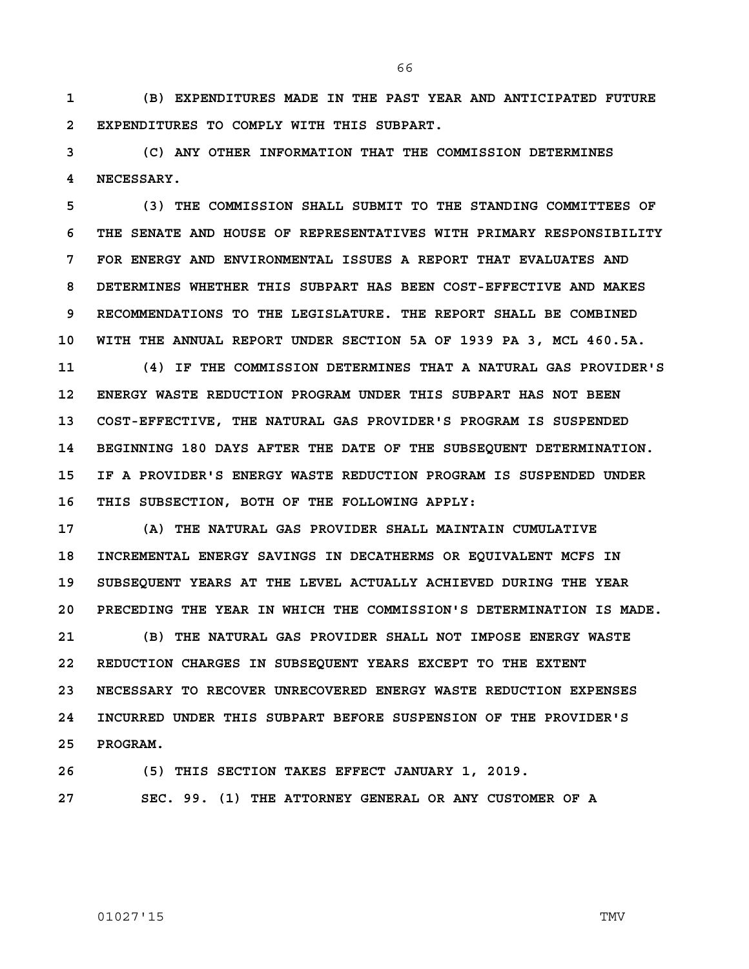**1 (B) EXPENDITURES MADE IN THE PAST YEAR AND ANTICIPATED FUTURE 2 EXPENDITURES TO COMPLY WITH THIS SUBPART.**

**3 (C) ANY OTHER INFORMATION THAT THE COMMISSION DETERMINES 4 NECESSARY.**

**5 (3) THE COMMISSION SHALL SUBMIT TO THE STANDING COMMITTEES OF 6 THE SENATE AND HOUSE OF REPRESENTATIVES WITH PRIMARY RESPONSIBILITY 7 FOR ENERGY AND ENVIRONMENTAL ISSUES A REPORT THAT EVALUATES AND 8 DETERMINES WHETHER THIS SUBPART HAS BEEN COST-EFFECTIVE AND MAKES 9 RECOMMENDATIONS TO THE LEGISLATURE. THE REPORT SHALL BE COMBINED 10 WITH THE ANNUAL REPORT UNDER SECTION 5A OF 1939 PA 3, MCL 460.5A.**

**11 (4) IF THE COMMISSION DETERMINES THAT A NATURAL GAS PROVIDER'S 12 ENERGY WASTE REDUCTION PROGRAM UNDER THIS SUBPART HAS NOT BEEN 13 COST-EFFECTIVE, THE NATURAL GAS PROVIDER'S PROGRAM IS SUSPENDED 14 BEGINNING 180 DAYS AFTER THE DATE OF THE SUBSEQUENT DETERMINATION. 15 IF A PROVIDER'S ENERGY WASTE REDUCTION PROGRAM IS SUSPENDED UNDER 16 THIS SUBSECTION, BOTH OF THE FOLLOWING APPLY:**

**17 (A) THE NATURAL GAS PROVIDER SHALL MAINTAIN CUMULATIVE 18 INCREMENTAL ENERGY SAVINGS IN DECATHERMS OR EQUIVALENT MCFS IN 19 SUBSEQUENT YEARS AT THE LEVEL ACTUALLY ACHIEVED DURING THE YEAR 20 PRECEDING THE YEAR IN WHICH THE COMMISSION'S DETERMINATION IS MADE.**

**21 (B) THE NATURAL GAS PROVIDER SHALL NOT IMPOSE ENERGY WASTE 22 REDUCTION CHARGES IN SUBSEQUENT YEARS EXCEPT TO THE EXTENT 23 NECESSARY TO RECOVER UNRECOVERED ENERGY WASTE REDUCTION EXPENSES 24 INCURRED UNDER THIS SUBPART BEFORE SUSPENSION OF THE PROVIDER'S 25 PROGRAM.**

**26 (5) THIS SECTION TAKES EFFECT JANUARY 1, 2019.**

**27 SEC. 99. (1) THE ATTORNEY GENERAL OR ANY CUSTOMER OF A**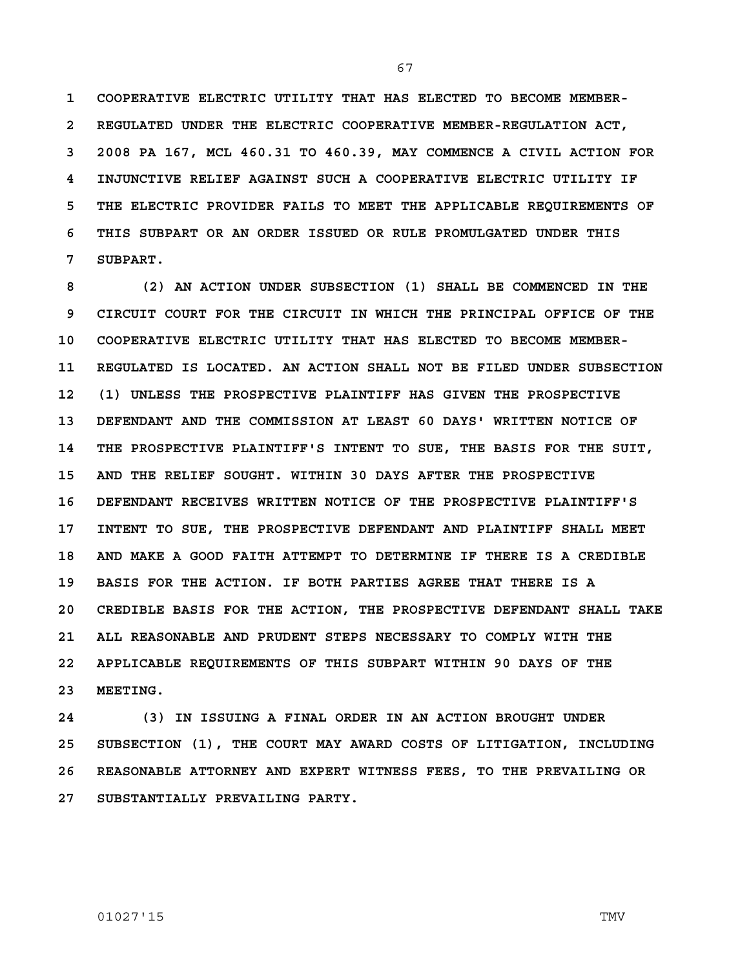**1 COOPERATIVE ELECTRIC UTILITY THAT HAS ELECTED TO BECOME MEMBER-2 REGULATED UNDER THE ELECTRIC COOPERATIVE MEMBER-REGULATION ACT, 3 2008 PA 167, MCL 460.31 TO 460.39, MAY COMMENCE A CIVIL ACTION FOR 4 INJUNCTIVE RELIEF AGAINST SUCH A COOPERATIVE ELECTRIC UTILITY IF 5 THE ELECTRIC PROVIDER FAILS TO MEET THE APPLICABLE REQUIREMENTS OF 6 THIS SUBPART OR AN ORDER ISSUED OR RULE PROMULGATED UNDER THIS 7 SUBPART.**

**8 (2) AN ACTION UNDER SUBSECTION (1) SHALL BE COMMENCED IN THE 9 CIRCUIT COURT FOR THE CIRCUIT IN WHICH THE PRINCIPAL OFFICE OF THE 10 COOPERATIVE ELECTRIC UTILITY THAT HAS ELECTED TO BECOME MEMBER-11 REGULATED IS LOCATED. AN ACTION SHALL NOT BE FILED UNDER SUBSECTION 12 (1) UNLESS THE PROSPECTIVE PLAINTIFF HAS GIVEN THE PROSPECTIVE 13 DEFENDANT AND THE COMMISSION AT LEAST 60 DAYS' WRITTEN NOTICE OF 14 THE PROSPECTIVE PLAINTIFF'S INTENT TO SUE, THE BASIS FOR THE SUIT, 15 AND THE RELIEF SOUGHT. WITHIN 30 DAYS AFTER THE PROSPECTIVE 16 DEFENDANT RECEIVES WRITTEN NOTICE OF THE PROSPECTIVE PLAINTIFF'S 17 INTENT TO SUE, THE PROSPECTIVE DEFENDANT AND PLAINTIFF SHALL MEET 18 AND MAKE A GOOD FAITH ATTEMPT TO DETERMINE IF THERE IS A CREDIBLE 19 BASIS FOR THE ACTION. IF BOTH PARTIES AGREE THAT THERE IS A 20 CREDIBLE BASIS FOR THE ACTION, THE PROSPECTIVE DEFENDANT SHALL TAKE 21 ALL REASONABLE AND PRUDENT STEPS NECESSARY TO COMPLY WITH THE 22 APPLICABLE REQUIREMENTS OF THIS SUBPART WITHIN 90 DAYS OF THE 23 MEETING.**

**24 (3) IN ISSUING A FINAL ORDER IN AN ACTION BROUGHT UNDER 25 SUBSECTION (1), THE COURT MAY AWARD COSTS OF LITIGATION, INCLUDING 26 REASONABLE ATTORNEY AND EXPERT WITNESS FEES, TO THE PREVAILING OR 27 SUBSTANTIALLY PREVAILING PARTY.**

01027'15 TMV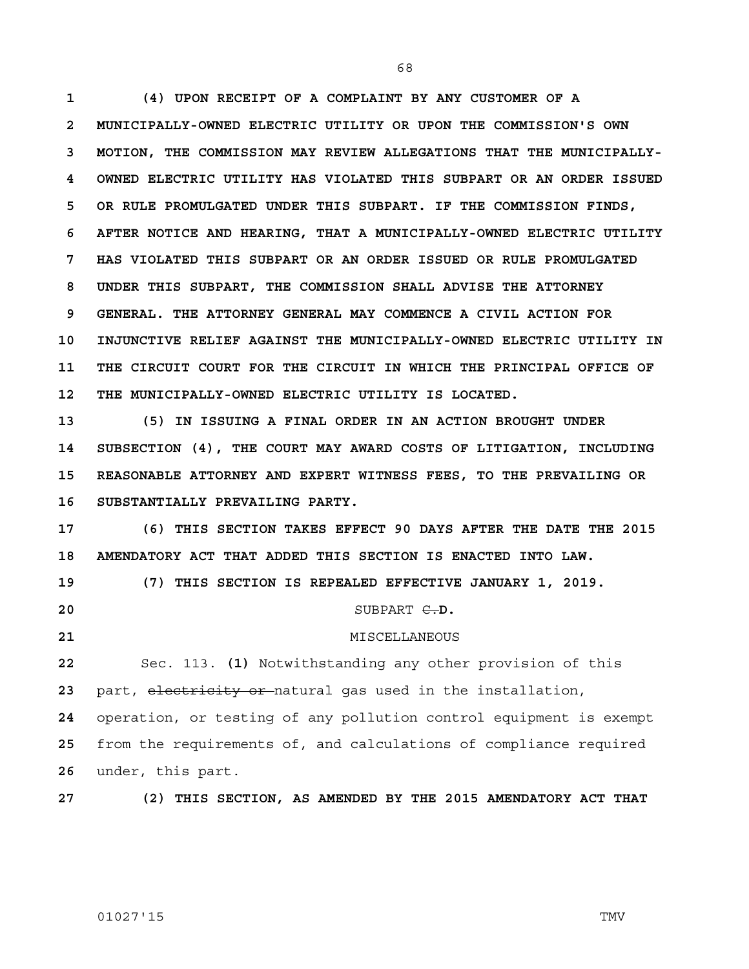**1 (4) UPON RECEIPT OF A COMPLAINT BY ANY CUSTOMER OF A 2 MUNICIPALLY-OWNED ELECTRIC UTILITY OR UPON THE COMMISSION'S OWN 3 MOTION, THE COMMISSION MAY REVIEW ALLEGATIONS THAT THE MUNICIPALLY-4 OWNED ELECTRIC UTILITY HAS VIOLATED THIS SUBPART OR AN ORDER ISSUED 5 OR RULE PROMULGATED UNDER THIS SUBPART. IF THE COMMISSION FINDS, 6 AFTER NOTICE AND HEARING, THAT A MUNICIPALLY-OWNED ELECTRIC UTILITY 7 HAS VIOLATED THIS SUBPART OR AN ORDER ISSUED OR RULE PROMULGATED 8 UNDER THIS SUBPART, THE COMMISSION SHALL ADVISE THE ATTORNEY 9 GENERAL. THE ATTORNEY GENERAL MAY COMMENCE A CIVIL ACTION FOR 10 INJUNCTIVE RELIEF AGAINST THE MUNICIPALLY-OWNED ELECTRIC UTILITY IN 11 THE CIRCUIT COURT FOR THE CIRCUIT IN WHICH THE PRINCIPAL OFFICE OF 12 THE MUNICIPALLY-OWNED ELECTRIC UTILITY IS LOCATED.**

**13 (5) IN ISSUING A FINAL ORDER IN AN ACTION BROUGHT UNDER 14 SUBSECTION (4), THE COURT MAY AWARD COSTS OF LITIGATION, INCLUDING 15 REASONABLE ATTORNEY AND EXPERT WITNESS FEES, TO THE PREVAILING OR 16 SUBSTANTIALLY PREVAILING PARTY.**

**17 (6) THIS SECTION TAKES EFFECT 90 DAYS AFTER THE DATE THE 2015 18 AMENDATORY ACT THAT ADDED THIS SECTION IS ENACTED INTO LAW. 19 (7) THIS SECTION IS REPEALED EFFECTIVE JANUARY 1, 2019.**

**20 SUBPART <del>C.</del>D.** 

**21** MISCELLANEOUS

**22** Sec. 113. **(1)** Notwithstanding any other provision of this 23 part, electricity or natural gas used in the installation,

**24** operation, or testing of any pollution control equipment is exempt **25** from the requirements of, and calculations of compliance required **26** under, this part.

**27 (2) THIS SECTION, AS AMENDED BY THE 2015 AMENDATORY ACT THAT**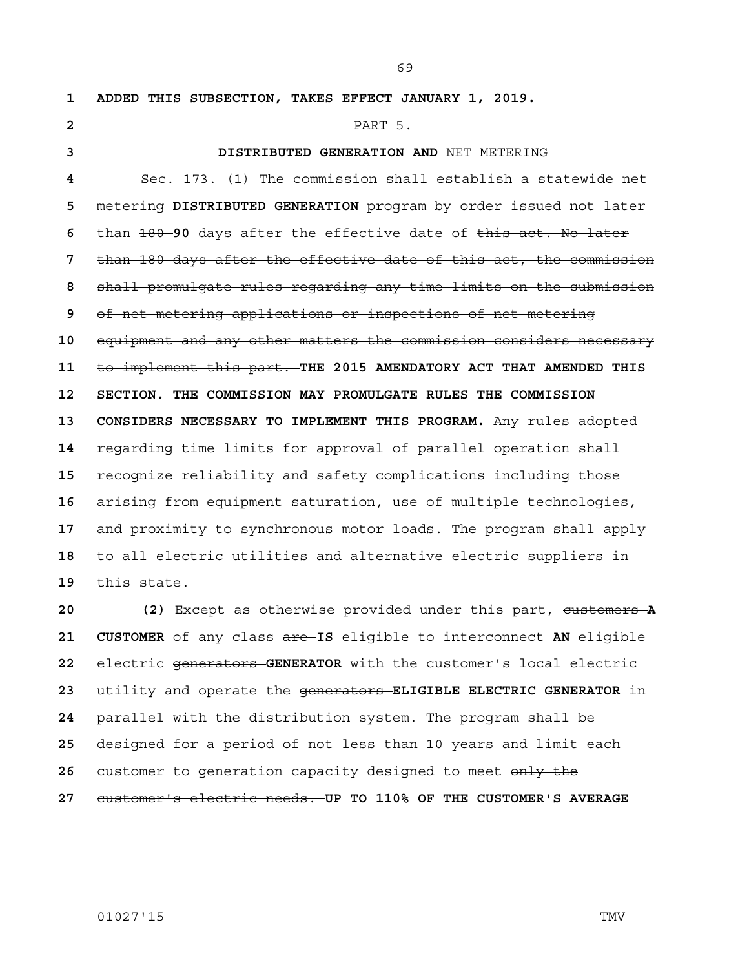**1 ADDED THIS SUBSECTION, TAKES EFFECT JANUARY 1, 2019.** PART 5. **3 DISTRIBUTED GENERATION AND** NET METERING Sec. 173. (1) The commission shall establish a statewide net metering **DISTRIBUTED GENERATION** program by order issued not later than 180 **90** days after the effective date of this act. No later than 180 days after the effective date of this act, the commission shall promulgate rules regarding any time limits on the submission of net metering applications or inspections of net metering equipment and any other matters the commission considers necessary to implement this part. **THE 2015 AMENDATORY ACT THAT AMENDED THIS 12 SECTION. THE COMMISSION MAY PROMULGATE RULES THE COMMISSION 13 CONSIDERS NECESSARY TO IMPLEMENT THIS PROGRAM.** Any rules adopted regarding time limits for approval of parallel operation shall recognize reliability and safety complications including those arising from equipment saturation, use of multiple technologies, and proximity to synchronous motor loads. The program shall apply to all electric utilities and alternative electric suppliers in this state. 20 (2) Except as otherwise provided under this part, eustomers A

**21 CUSTOMER** of any class are **IS** eligible to interconnect **AN** eligible electric generators **GENERATOR** with the customer's local electric utility and operate the generators **ELIGIBLE ELECTRIC GENERATOR** in parallel with the distribution system. The program shall be designed for a period of not less than 10 years and limit each 26 customer to generation capacity designed to meet only the customer's electric needs. **UP TO 110% OF THE CUSTOMER'S AVERAGE**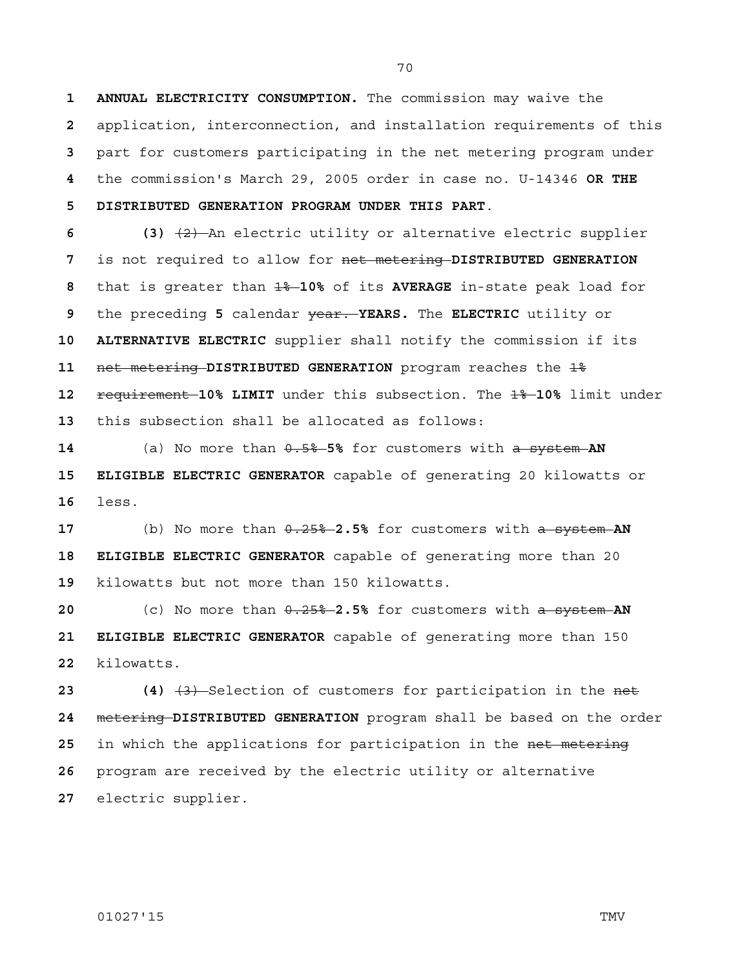**1 ANNUAL ELECTRICITY CONSUMPTION.** The commission may waive the **2** application, interconnection, and installation requirements of this **3** part for customers participating in the net metering program under **4** the commission's March 29, 2005 order in case no. U-14346 **OR THE 5 DISTRIBUTED GENERATION PROGRAM UNDER THIS PART**.

**6 (3)** (2) An electric utility or alternative electric supplier is not required to allow for net metering **DISTRIBUTED GENERATION**  that is greater than 1% **10%** of its **AVERAGE** in-state peak load for the preceding **5** calendar year. **YEARS.** The **ELECTRIC** utility or **10 ALTERNATIVE ELECTRIC** supplier shall notify the commission if its **net metering DISTRIBUTED GENERATION** program reaches the  $1\frac{2}{3}$ **requirement 10% LIMIT** under this subsection. The  $14 - 10$ % limit under this subsection shall be allocated as follows:

**14** (a) No more than  $0.5%$  5% for customers with a system AN **15 ELIGIBLE ELECTRIC GENERATOR** capable of generating 20 kilowatts or **16** less.

**17** (b) No more than 0.25% **2.5%** for customers with a system **AN 18 ELIGIBLE ELECTRIC GENERATOR** capable of generating more than 20 **19** kilowatts but not more than 150 kilowatts.

**20 120** (c) No more than  $\theta$ ,  $25\%$  -2.5% for customers with a system AN **21 ELIGIBLE ELECTRIC GENERATOR** capable of generating more than 150 **22** kilowatts.

 (4)  $\left(4\right)$   $\left(3\right)$  Selection of customers for participation in the net metering **DISTRIBUTED GENERATION** program shall be based on the order in which the applications for participation in the net metering program are received by the electric utility or alternative electric supplier.

# 01027'15 TMV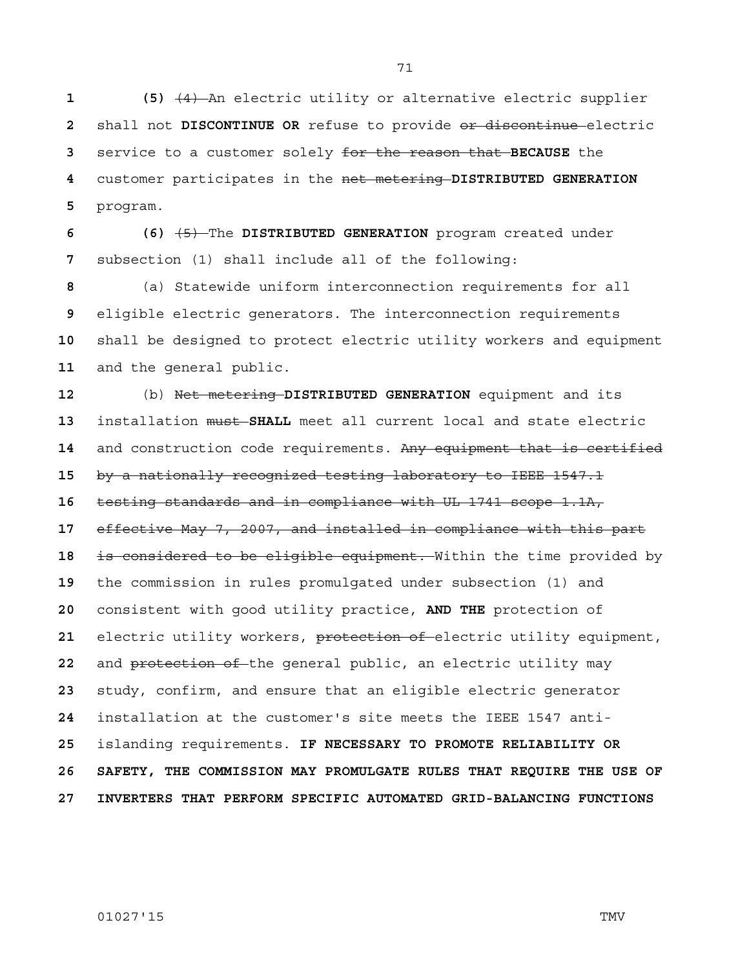**1 (5)** (4) An electric utility or alternative electric supplier shall not **DISCONTINUE OR** refuse to provide or discontinue electric service to a customer solely for the reason that **BECAUSE** the customer participates in the net metering **DISTRIBUTED GENERATION**  program.

**6 (6)** (5) The **DISTRIBUTED GENERATION** program created under subsection (1) shall include all of the following:

(a) Statewide uniform interconnection requirements for all eligible electric generators. The interconnection requirements shall be designed to protect electric utility workers and equipment and the general public.

(b) Net metering **DISTRIBUTED GENERATION** equipment and its installation must **SHALL** meet all current local and state electric and construction code requirements. Any equipment that is certified by a nationally recognized testing laboratory to IEEE 1547.1 testing standards and in compliance with UL 1741 scope 1.1A, effective May 7, 2007, and installed in compliance with this part is considered to be eligible equipment. Within the time provided by the commission in rules promulgated under subsection (1) and consistent with good utility practice, **AND THE** protection of electric utility workers, protection of electric utility equipment, and protection of the general public, an electric utility may study, confirm, and ensure that an eligible electric generator installation at the customer's site meets the IEEE 1547 anti-islanding requirements. **IF NECESSARY TO PROMOTE RELIABILITY OR 26 SAFETY, THE COMMISSION MAY PROMULGATE RULES THAT REQUIRE THE USE OF 27 INVERTERS THAT PERFORM SPECIFIC AUTOMATED GRID-BALANCING FUNCTIONS** 

01027'15 TMV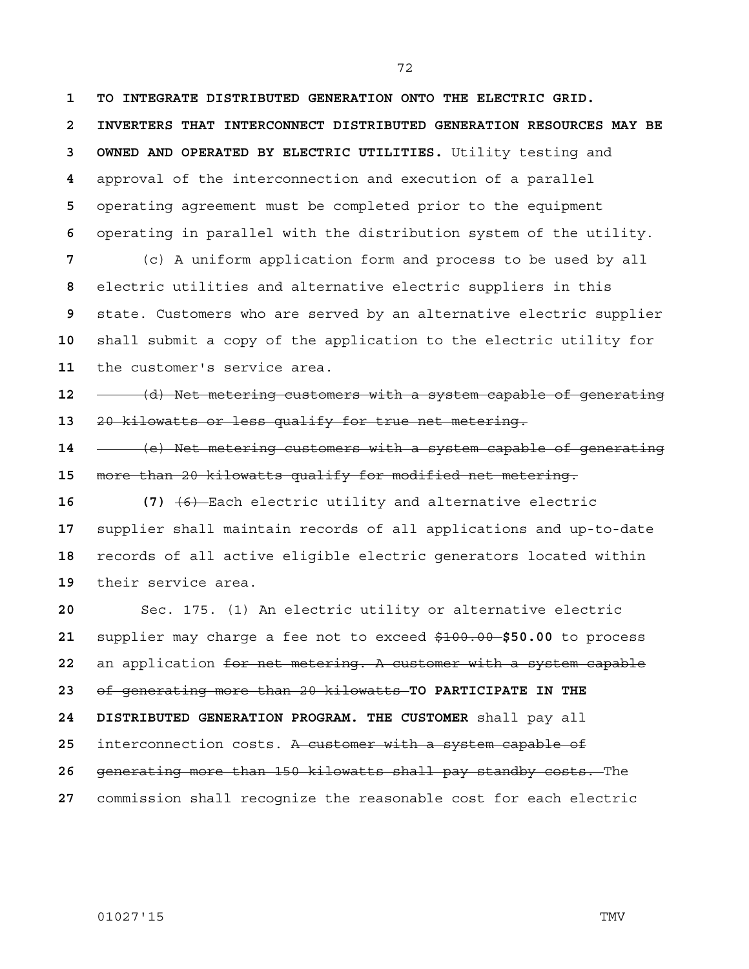**1 TO INTEGRATE DISTRIBUTED GENERATION ONTO THE ELECTRIC GRID. 2 INVERTERS THAT INTERCONNECT DISTRIBUTED GENERATION RESOURCES MAY BE 3 OWNED AND OPERATED BY ELECTRIC UTILITIES.** Utility testing and approval of the interconnection and execution of a parallel operating agreement must be completed prior to the equipment operating in parallel with the distribution system of the utility. (c) A uniform application form and process to be used by all

electric utilities and alternative electric suppliers in this state. Customers who are served by an alternative electric supplier shall submit a copy of the application to the electric utility for the customer's service area.

(d) Net metering customers with a system capable of generating 20 kilowatts or less qualify for true net metering.

(e) Net metering customers with a system capable of generating more than 20 kilowatts qualify for modified net metering.

**16 (7)** (6) Each electric utility and alternative electric supplier shall maintain records of all applications and up-to-date records of all active eligible electric generators located within their service area.

Sec. 175. (1) An electric utility or alternative electric supplier may charge a fee not to exceed \$100.00 **\$50.00** to process an application for net metering. A customer with a system capable of generating more than 20 kilowatts **TO PARTICIPATE IN THE 24 DISTRIBUTED GENERATION PROGRAM. THE CUSTOMER** shall pay all interconnection costs. A customer with a system capable of generating more than 150 kilowatts shall pay standby costs. The commission shall recognize the reasonable cost for each electric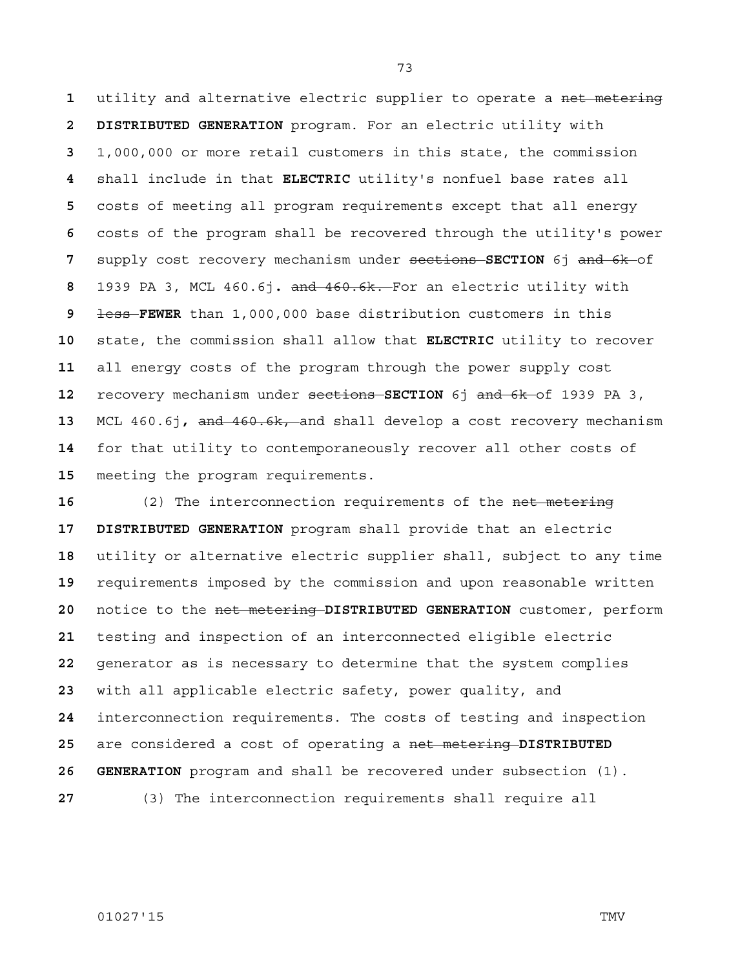utility and alternative electric supplier to operate a net metering **2 DISTRIBUTED GENERATION** program. For an electric utility with 1,000,000 or more retail customers in this state, the commission shall include in that **ELECTRIC** utility's nonfuel base rates all costs of meeting all program requirements except that all energy costs of the program shall be recovered through the utility's power supply cost recovery mechanism under sections **SECTION** 6j and 6k of 1939 PA 3, MCL 460.6j**.** and 460.6k. For an electric utility with less **FEWER** than 1,000,000 base distribution customers in this state, the commission shall allow that **ELECTRIC** utility to recover all energy costs of the program through the power supply cost recovery mechanism under sections **SECTION** 6j and 6k of 1939 PA 3, MCL 460.6j**,** and 460.6k, and shall develop a cost recovery mechanism for that utility to contemporaneously recover all other costs of meeting the program requirements.

16 (2) The interconnection requirements of the net metering **17 DISTRIBUTED GENERATION** program shall provide that an electric utility or alternative electric supplier shall, subject to any time requirements imposed by the commission and upon reasonable written notice to the net metering **DISTRIBUTED GENERATION** customer, perform testing and inspection of an interconnected eligible electric generator as is necessary to determine that the system complies with all applicable electric safety, power quality, and interconnection requirements. The costs of testing and inspection are considered a cost of operating a net metering **DISTRIBUTED 26 GENERATION** program and shall be recovered under subsection (1). (3) The interconnection requirements shall require all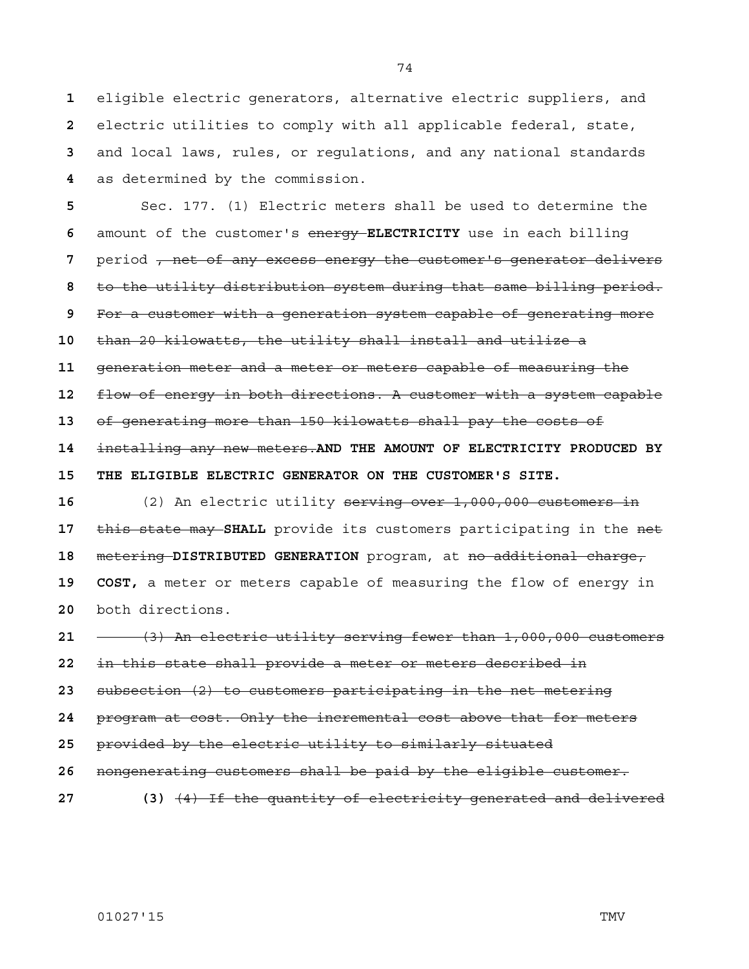eligible electric generators, alternative electric suppliers, and electric utilities to comply with all applicable federal, state, and local laws, rules, or regulations, and any national standards as determined by the commission.

Sec. 177. (1) Electric meters shall be used to determine the amount of the customer's energy **ELECTRICITY** use in each billing period <del>, net of any excess energy the customer's generator delivers</del> to the utility distribution system during that same billing period. For a customer with a generation system capable of generating more than 20 kilowatts, the utility shall install and utilize a generation meter and a meter or meters capable of measuring the flow of energy in both directions. A customer with a system capable of generating more than 150 kilowatts shall pay the costs of installing any new meters.**AND THE AMOUNT OF ELECTRICITY PRODUCED BY 15 THE ELIGIBLE ELECTRIC GENERATOR ON THE CUSTOMER'S SITE.** (2) An electric utility serving over 1,000,000 customers in

this state may **SHALL** provide its customers participating in the net metering **DISTRIBUTED GENERATION** program, at no additional charge, **19 COST,** a meter or meters capable of measuring the flow of energy in both directions.

(3) An electric utility serving fewer than 1,000,000 customers

in this state shall provide a meter or meters described in

subsection (2) to customers participating in the net metering

program at cost. Only the incremental cost above that for meters

provided by the electric utility to similarly situated

nongenerating customers shall be paid by the eligible customer.

**27 (3)** (4) If the quantity of electricity generated and delivered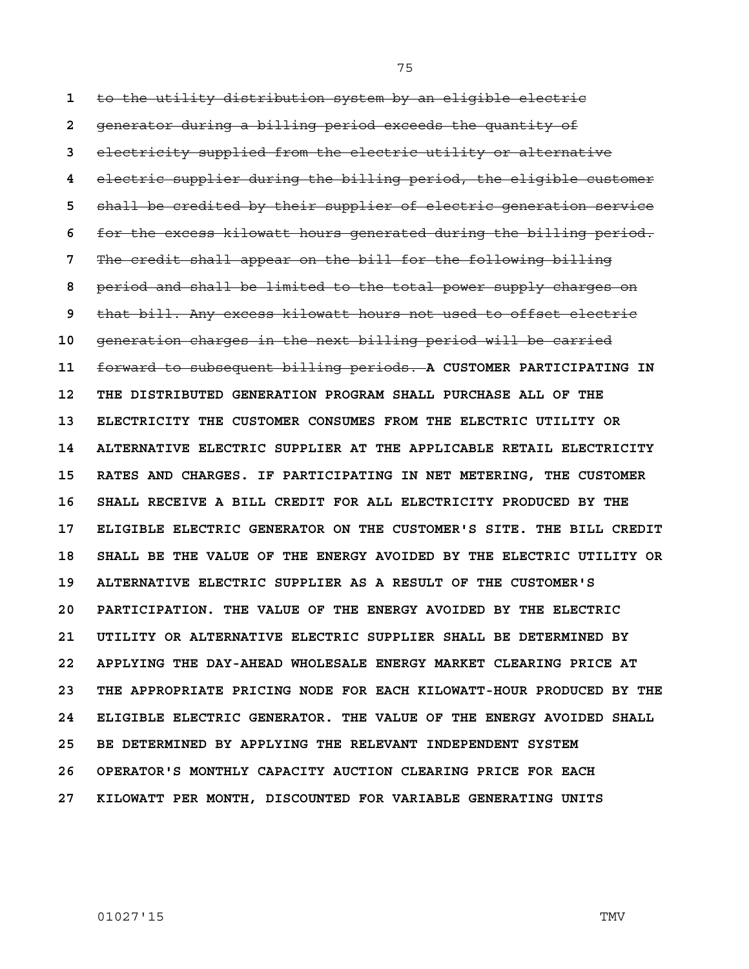**1** to the utility distribution system by an eligible electric **2** generator during a billing period exceeds the quantity of **3** electricity supplied from the electric utility or alternative **4** electric supplier during the billing period, the eligible customer **5** shall be credited by their supplier of electric generation service **6** for the excess kilowatt hours generated during the billing period. **7** The credit shall appear on the bill for the following billing **8** period and shall be limited to the total power supply charges on **9** that bill. Any excess kilowatt hours not used to offset electric **10** generation charges in the next billing period will be carried **11** forward to subsequent billing periods. **A CUSTOMER PARTICIPATING IN 12 THE DISTRIBUTED GENERATION PROGRAM SHALL PURCHASE ALL OF THE 13 ELECTRICITY THE CUSTOMER CONSUMES FROM THE ELECTRIC UTILITY OR 14 ALTERNATIVE ELECTRIC SUPPLIER AT THE APPLICABLE RETAIL ELECTRICITY 15 RATES AND CHARGES. IF PARTICIPATING IN NET METERING, THE CUSTOMER 16 SHALL RECEIVE A BILL CREDIT FOR ALL ELECTRICITY PRODUCED BY THE 17 ELIGIBLE ELECTRIC GENERATOR ON THE CUSTOMER'S SITE. THE BILL CREDIT 18 SHALL BE THE VALUE OF THE ENERGY AVOIDED BY THE ELECTRIC UTILITY OR 19 ALTERNATIVE ELECTRIC SUPPLIER AS A RESULT OF THE CUSTOMER'S 20 PARTICIPATION. THE VALUE OF THE ENERGY AVOIDED BY THE ELECTRIC 21 UTILITY OR ALTERNATIVE ELECTRIC SUPPLIER SHALL BE DETERMINED BY 22 APPLYING THE DAY-AHEAD WHOLESALE ENERGY MARKET CLEARING PRICE AT 23 THE APPROPRIATE PRICING NODE FOR EACH KILOWATT-HOUR PRODUCED BY THE 24 ELIGIBLE ELECTRIC GENERATOR. THE VALUE OF THE ENERGY AVOIDED SHALL 25 BE DETERMINED BY APPLYING THE RELEVANT INDEPENDENT SYSTEM 26 OPERATOR'S MONTHLY CAPACITY AUCTION CLEARING PRICE FOR EACH 27 KILOWATT PER MONTH, DISCOUNTED FOR VARIABLE GENERATING UNITS**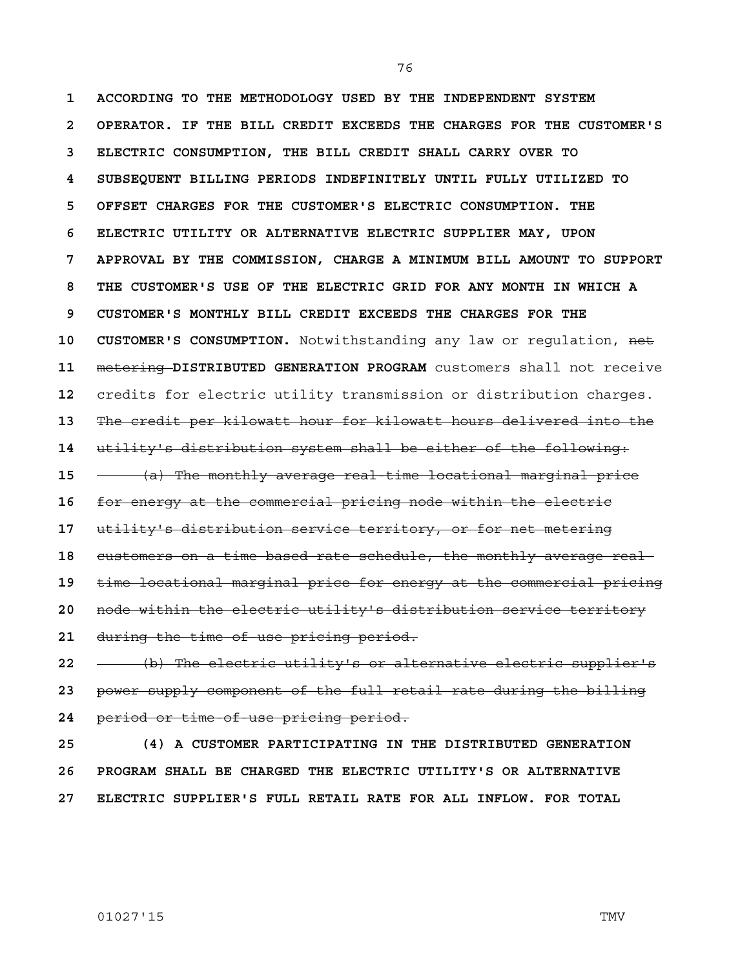**1 ACCORDING TO THE METHODOLOGY USED BY THE INDEPENDENT SYSTEM 2 OPERATOR. IF THE BILL CREDIT EXCEEDS THE CHARGES FOR THE CUSTOMER'S 3 ELECTRIC CONSUMPTION, THE BILL CREDIT SHALL CARRY OVER TO 4 SUBSEQUENT BILLING PERIODS INDEFINITELY UNTIL FULLY UTILIZED TO 5 OFFSET CHARGES FOR THE CUSTOMER'S ELECTRIC CONSUMPTION. THE 6 ELECTRIC UTILITY OR ALTERNATIVE ELECTRIC SUPPLIER MAY, UPON 7 APPROVAL BY THE COMMISSION, CHARGE A MINIMUM BILL AMOUNT TO SUPPORT 8 THE CUSTOMER'S USE OF THE ELECTRIC GRID FOR ANY MONTH IN WHICH A 9 CUSTOMER'S MONTHLY BILL CREDIT EXCEEDS THE CHARGES FOR THE 10 CUSTOMER'S CONSUMPTION.** Notwithstanding any law or regulation, net **11** metering **DISTRIBUTED GENERATION PROGRAM** customers shall not receive **12** credits for electric utility transmission or distribution charges. **13** The credit per kilowatt hour for kilowatt hours delivered into the **14** utility's distribution system shall be either of the following: **15** (a) The monthly average real-time locational marginal price **16** for energy at the commercial pricing node within the electric **17** utility's distribution service territory, or for net metering **18** customers on a time-based rate schedule, the monthly average real-**19** time locational marginal price for energy at the commercial pricing **20** node within the electric utility's distribution service territory **21** during the time-of-use pricing period.

**22** (b) The electric utility's or alternative electric supplier's **23** power supply component of the full retail rate during the billing **24** period or time-of-use pricing period.

**25 (4) A CUSTOMER PARTICIPATING IN THE DISTRIBUTED GENERATION 26 PROGRAM SHALL BE CHARGED THE ELECTRIC UTILITY'S OR ALTERNATIVE 27 ELECTRIC SUPPLIER'S FULL RETAIL RATE FOR ALL INFLOW. FOR TOTAL**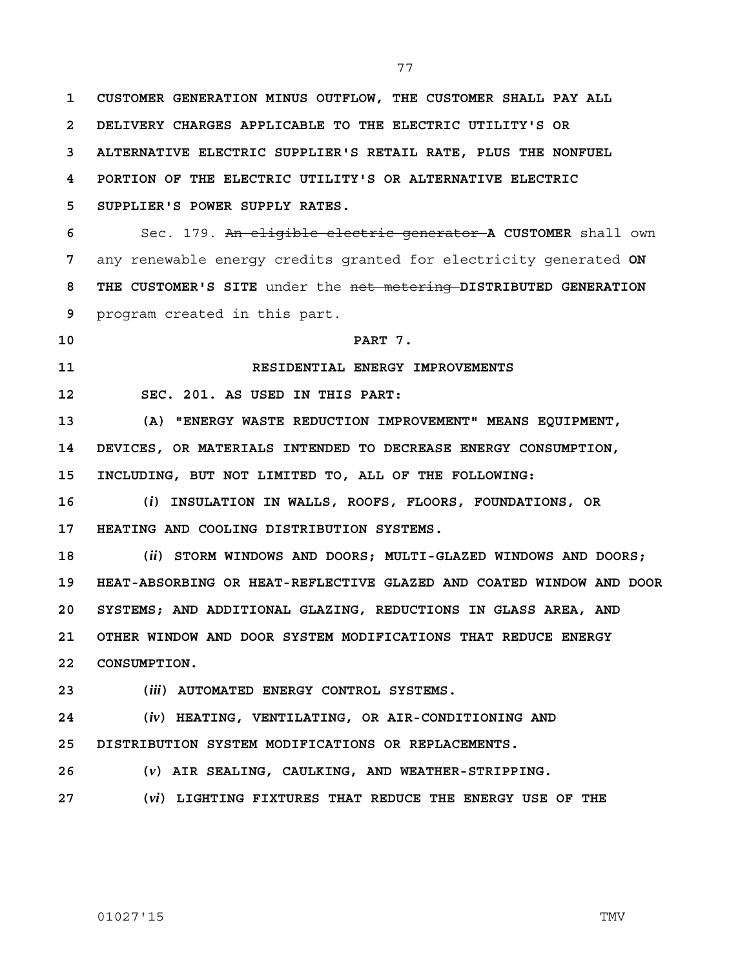**1 CUSTOMER GENERATION MINUS OUTFLOW, THE CUSTOMER SHALL PAY ALL 2 DELIVERY CHARGES APPLICABLE TO THE ELECTRIC UTILITY'S OR 3 ALTERNATIVE ELECTRIC SUPPLIER'S RETAIL RATE, PLUS THE NONFUEL 4 PORTION OF THE ELECTRIC UTILITY'S OR ALTERNATIVE ELECTRIC 5 SUPPLIER'S POWER SUPPLY RATES. 6** Sec. 179. An eligible electric generator **A CUSTOMER** shall own **7** any renewable energy credits granted for electricity generated **ON 8 THE CUSTOMER'S SITE** under the net metering **DISTRIBUTED GENERATION 9** program created in this part. **10 PART 7. 11 RESIDENTIAL ENERGY IMPROVEMENTS 12 SEC. 201. AS USED IN THIS PART: 13 (A) "ENERGY WASTE REDUCTION IMPROVEMENT" MEANS EQUIPMENT, 14 DEVICES, OR MATERIALS INTENDED TO DECREASE ENERGY CONSUMPTION, 15 INCLUDING, BUT NOT LIMITED TO, ALL OF THE FOLLOWING: 16 (***i***) INSULATION IN WALLS, ROOFS, FLOORS, FOUNDATIONS, OR 17 HEATING AND COOLING DISTRIBUTION SYSTEMS. 18 (***ii***) STORM WINDOWS AND DOORS; MULTI-GLAZED WINDOWS AND DOORS; 19 HEAT-ABSORBING OR HEAT-REFLECTIVE GLAZED AND COATED WINDOW AND DOOR 20 SYSTEMS; AND ADDITIONAL GLAZING, REDUCTIONS IN GLASS AREA, AND 21 OTHER WINDOW AND DOOR SYSTEM MODIFICATIONS THAT REDUCE ENERGY 22 CONSUMPTION. 23 (***iii***) AUTOMATED ENERGY CONTROL SYSTEMS. 24 (***iv***) HEATING, VENTILATING, OR AIR-CONDITIONING AND 25 DISTRIBUTION SYSTEM MODIFICATIONS OR REPLACEMENTS. 26 (***v***) AIR SEALING, CAULKING, AND WEATHER-STRIPPING. 27 (***vi***) LIGHTING FIXTURES THAT REDUCE THE ENERGY USE OF THE**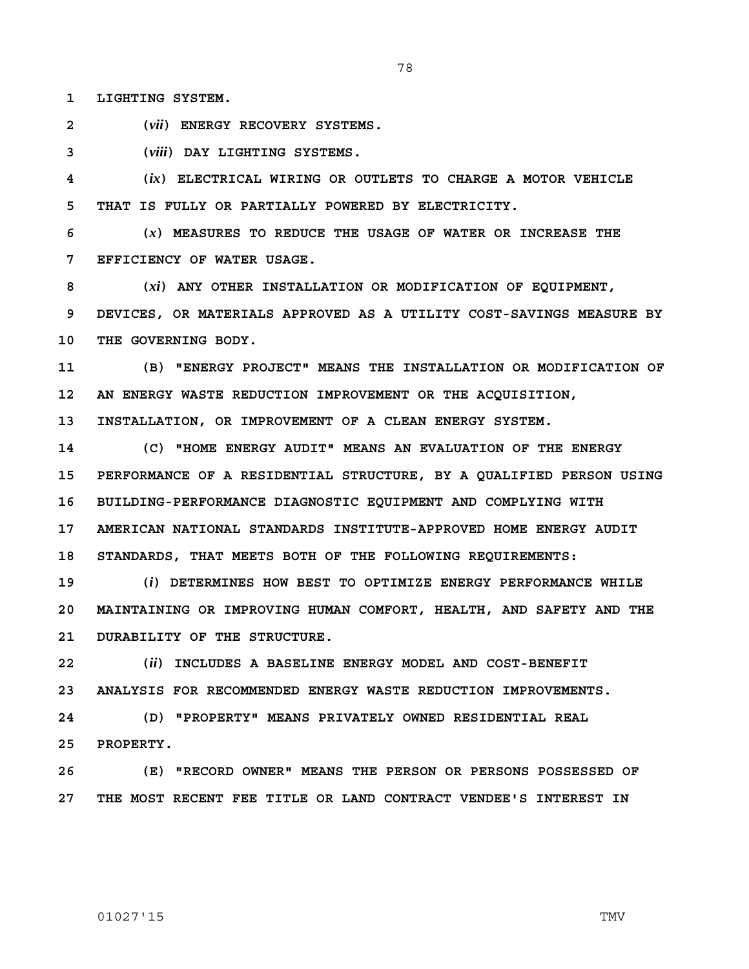**1 LIGHTING SYSTEM.**

**2 (***vii***) ENERGY RECOVERY SYSTEMS.**

**3 (***viii***) DAY LIGHTING SYSTEMS.**

**4 (***ix***) ELECTRICAL WIRING OR OUTLETS TO CHARGE A MOTOR VEHICLE 5 THAT IS FULLY OR PARTIALLY POWERED BY ELECTRICITY.**

**6 (***x***) MEASURES TO REDUCE THE USAGE OF WATER OR INCREASE THE 7 EFFICIENCY OF WATER USAGE.**

**8 (***xi***) ANY OTHER INSTALLATION OR MODIFICATION OF EQUIPMENT, 9 DEVICES, OR MATERIALS APPROVED AS A UTILITY COST-SAVINGS MEASURE BY 10 THE GOVERNING BODY.**

**11 (B) "ENERGY PROJECT" MEANS THE INSTALLATION OR MODIFICATION OF 12 AN ENERGY WASTE REDUCTION IMPROVEMENT OR THE ACQUISITION, 13 INSTALLATION, OR IMPROVEMENT OF A CLEAN ENERGY SYSTEM.**

**14 (C) "HOME ENERGY AUDIT" MEANS AN EVALUATION OF THE ENERGY 15 PERFORMANCE OF A RESIDENTIAL STRUCTURE, BY A QUALIFIED PERSON USING 16 BUILDING-PERFORMANCE DIAGNOSTIC EQUIPMENT AND COMPLYING WITH 17 AMERICAN NATIONAL STANDARDS INSTITUTE-APPROVED HOME ENERGY AUDIT 18 STANDARDS, THAT MEETS BOTH OF THE FOLLOWING REQUIREMENTS:**

**19 (***i***) DETERMINES HOW BEST TO OPTIMIZE ENERGY PERFORMANCE WHILE 20 MAINTAINING OR IMPROVING HUMAN COMFORT, HEALTH, AND SAFETY AND THE 21 DURABILITY OF THE STRUCTURE.**

**22 (***ii***) INCLUDES A BASELINE ENERGY MODEL AND COST-BENEFIT 23 ANALYSIS FOR RECOMMENDED ENERGY WASTE REDUCTION IMPROVEMENTS.**

**24 (D) "PROPERTY" MEANS PRIVATELY OWNED RESIDENTIAL REAL 25 PROPERTY.**

**26 (E) "RECORD OWNER" MEANS THE PERSON OR PERSONS POSSESSED OF 27 THE MOST RECENT FEE TITLE OR LAND CONTRACT VENDEE'S INTEREST IN**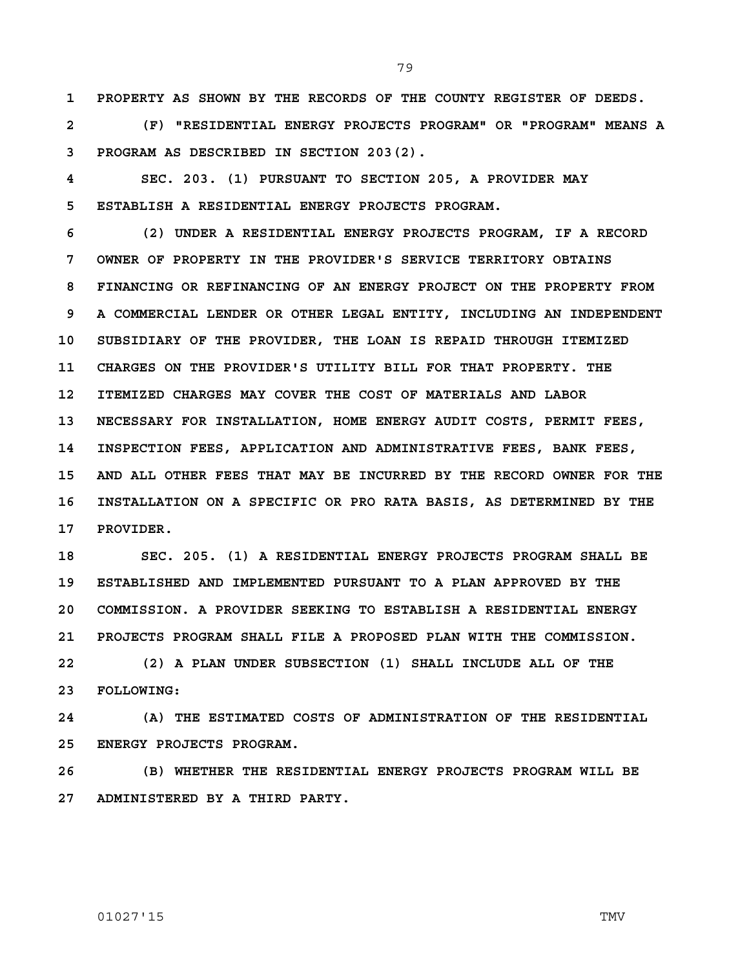**1 PROPERTY AS SHOWN BY THE RECORDS OF THE COUNTY REGISTER OF DEEDS.**

**2 (F) "RESIDENTIAL ENERGY PROJECTS PROGRAM" OR "PROGRAM" MEANS A 3 PROGRAM AS DESCRIBED IN SECTION 203(2).**

**4 SEC. 203. (1) PURSUANT TO SECTION 205, A PROVIDER MAY 5 ESTABLISH A RESIDENTIAL ENERGY PROJECTS PROGRAM.**

**6 (2) UNDER A RESIDENTIAL ENERGY PROJECTS PROGRAM, IF A RECORD 7 OWNER OF PROPERTY IN THE PROVIDER'S SERVICE TERRITORY OBTAINS 8 FINANCING OR REFINANCING OF AN ENERGY PROJECT ON THE PROPERTY FROM 9 A COMMERCIAL LENDER OR OTHER LEGAL ENTITY, INCLUDING AN INDEPENDENT 10 SUBSIDIARY OF THE PROVIDER, THE LOAN IS REPAID THROUGH ITEMIZED 11 CHARGES ON THE PROVIDER'S UTILITY BILL FOR THAT PROPERTY. THE 12 ITEMIZED CHARGES MAY COVER THE COST OF MATERIALS AND LABOR 13 NECESSARY FOR INSTALLATION, HOME ENERGY AUDIT COSTS, PERMIT FEES, 14 INSPECTION FEES, APPLICATION AND ADMINISTRATIVE FEES, BANK FEES, 15 AND ALL OTHER FEES THAT MAY BE INCURRED BY THE RECORD OWNER FOR THE 16 INSTALLATION ON A SPECIFIC OR PRO RATA BASIS, AS DETERMINED BY THE 17 PROVIDER.**

**18 SEC. 205. (1) A RESIDENTIAL ENERGY PROJECTS PROGRAM SHALL BE 19 ESTABLISHED AND IMPLEMENTED PURSUANT TO A PLAN APPROVED BY THE 20 COMMISSION. A PROVIDER SEEKING TO ESTABLISH A RESIDENTIAL ENERGY 21 PROJECTS PROGRAM SHALL FILE A PROPOSED PLAN WITH THE COMMISSION.**

**22 (2) A PLAN UNDER SUBSECTION (1) SHALL INCLUDE ALL OF THE 23 FOLLOWING:**

**24 (A) THE ESTIMATED COSTS OF ADMINISTRATION OF THE RESIDENTIAL 25 ENERGY PROJECTS PROGRAM.**

**26 (B) WHETHER THE RESIDENTIAL ENERGY PROJECTS PROGRAM WILL BE 27 ADMINISTERED BY A THIRD PARTY.**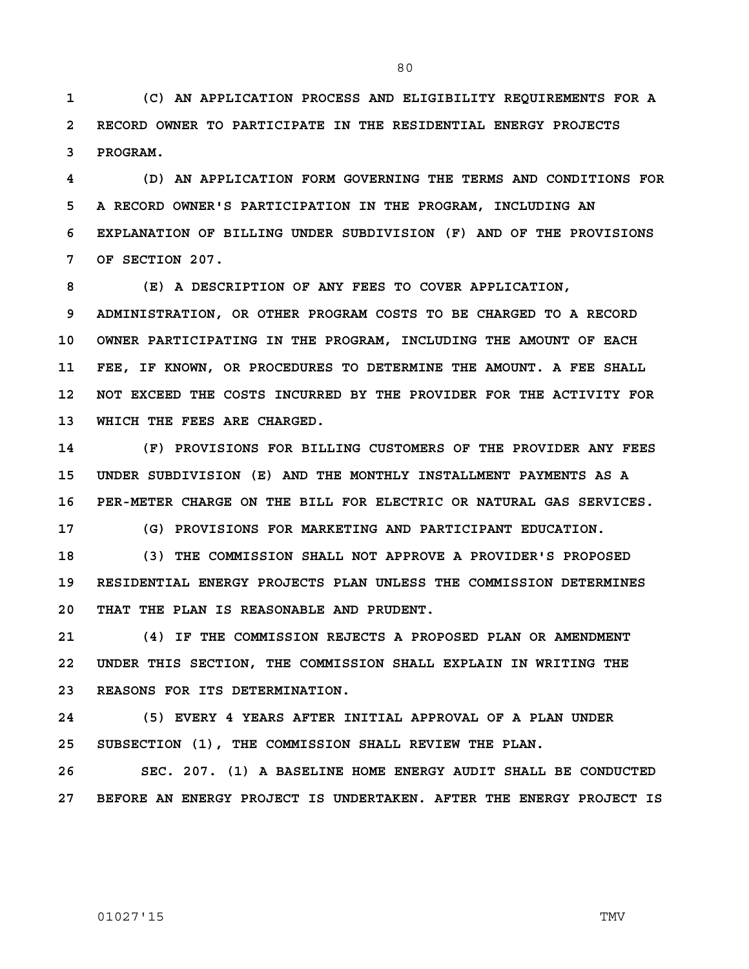**1 (C) AN APPLICATION PROCESS AND ELIGIBILITY REQUIREMENTS FOR A 2 RECORD OWNER TO PARTICIPATE IN THE RESIDENTIAL ENERGY PROJECTS 3 PROGRAM.** 

**4 (D) AN APPLICATION FORM GOVERNING THE TERMS AND CONDITIONS FOR 5 A RECORD OWNER'S PARTICIPATION IN THE PROGRAM, INCLUDING AN 6 EXPLANATION OF BILLING UNDER SUBDIVISION (F) AND OF THE PROVISIONS 7 OF SECTION 207.**

**8 (E) A DESCRIPTION OF ANY FEES TO COVER APPLICATION, 9 ADMINISTRATION, OR OTHER PROGRAM COSTS TO BE CHARGED TO A RECORD 10 OWNER PARTICIPATING IN THE PROGRAM, INCLUDING THE AMOUNT OF EACH 11 FEE, IF KNOWN, OR PROCEDURES TO DETERMINE THE AMOUNT. A FEE SHALL 12 NOT EXCEED THE COSTS INCURRED BY THE PROVIDER FOR THE ACTIVITY FOR 13 WHICH THE FEES ARE CHARGED.**

**14 (F) PROVISIONS FOR BILLING CUSTOMERS OF THE PROVIDER ANY FEES 15 UNDER SUBDIVISION (E) AND THE MONTHLY INSTALLMENT PAYMENTS AS A 16 PER-METER CHARGE ON THE BILL FOR ELECTRIC OR NATURAL GAS SERVICES.**

**17 (G) PROVISIONS FOR MARKETING AND PARTICIPANT EDUCATION.** 

**18 (3) THE COMMISSION SHALL NOT APPROVE A PROVIDER'S PROPOSED 19 RESIDENTIAL ENERGY PROJECTS PLAN UNLESS THE COMMISSION DETERMINES 20 THAT THE PLAN IS REASONABLE AND PRUDENT.** 

**21 (4) IF THE COMMISSION REJECTS A PROPOSED PLAN OR AMENDMENT 22 UNDER THIS SECTION, THE COMMISSION SHALL EXPLAIN IN WRITING THE 23 REASONS FOR ITS DETERMINATION.**

**24 (5) EVERY 4 YEARS AFTER INITIAL APPROVAL OF A PLAN UNDER 25 SUBSECTION (1), THE COMMISSION SHALL REVIEW THE PLAN.** 

**26 SEC. 207. (1) A BASELINE HOME ENERGY AUDIT SHALL BE CONDUCTED 27 BEFORE AN ENERGY PROJECT IS UNDERTAKEN. AFTER THE ENERGY PROJECT IS**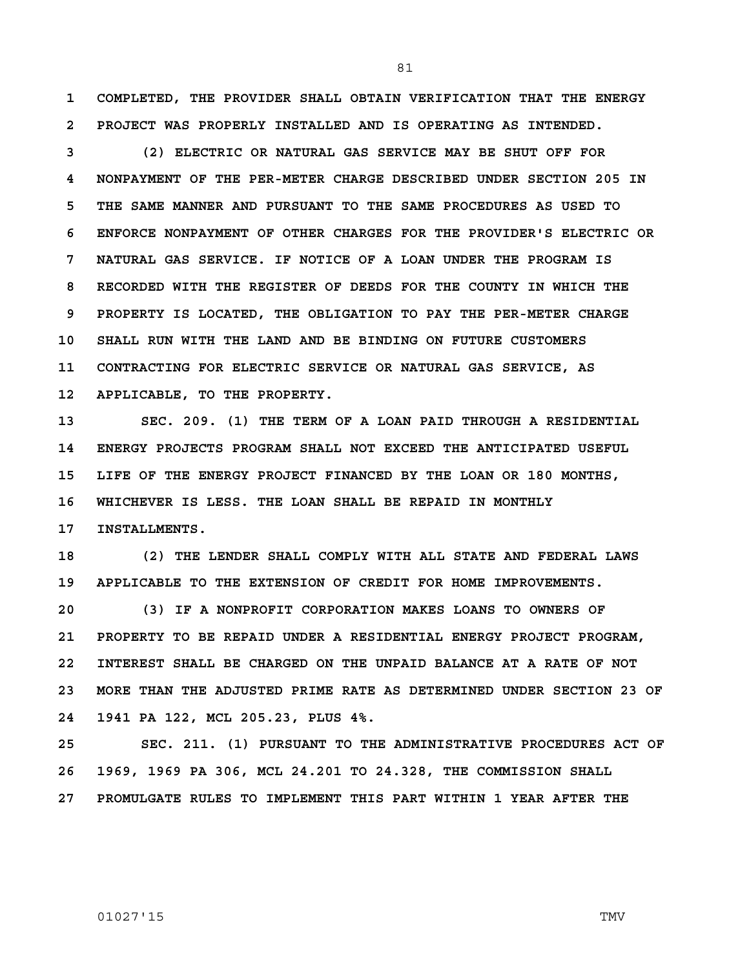**1 COMPLETED, THE PROVIDER SHALL OBTAIN VERIFICATION THAT THE ENERGY 2 PROJECT WAS PROPERLY INSTALLED AND IS OPERATING AS INTENDED.**

**3 (2) ELECTRIC OR NATURAL GAS SERVICE MAY BE SHUT OFF FOR 4 NONPAYMENT OF THE PER-METER CHARGE DESCRIBED UNDER SECTION 205 IN 5 THE SAME MANNER AND PURSUANT TO THE SAME PROCEDURES AS USED TO 6 ENFORCE NONPAYMENT OF OTHER CHARGES FOR THE PROVIDER'S ELECTRIC OR 7 NATURAL GAS SERVICE. IF NOTICE OF A LOAN UNDER THE PROGRAM IS 8 RECORDED WITH THE REGISTER OF DEEDS FOR THE COUNTY IN WHICH THE 9 PROPERTY IS LOCATED, THE OBLIGATION TO PAY THE PER-METER CHARGE 10 SHALL RUN WITH THE LAND AND BE BINDING ON FUTURE CUSTOMERS 11 CONTRACTING FOR ELECTRIC SERVICE OR NATURAL GAS SERVICE, AS 12 APPLICABLE, TO THE PROPERTY.**

**13 SEC. 209. (1) THE TERM OF A LOAN PAID THROUGH A RESIDENTIAL 14 ENERGY PROJECTS PROGRAM SHALL NOT EXCEED THE ANTICIPATED USEFUL 15 LIFE OF THE ENERGY PROJECT FINANCED BY THE LOAN OR 180 MONTHS, 16 WHICHEVER IS LESS. THE LOAN SHALL BE REPAID IN MONTHLY 17 INSTALLMENTS.**

**18 (2) THE LENDER SHALL COMPLY WITH ALL STATE AND FEDERAL LAWS 19 APPLICABLE TO THE EXTENSION OF CREDIT FOR HOME IMPROVEMENTS.** 

**20 (3) IF A NONPROFIT CORPORATION MAKES LOANS TO OWNERS OF 21 PROPERTY TO BE REPAID UNDER A RESIDENTIAL ENERGY PROJECT PROGRAM, 22 INTEREST SHALL BE CHARGED ON THE UNPAID BALANCE AT A RATE OF NOT 23 MORE THAN THE ADJUSTED PRIME RATE AS DETERMINED UNDER SECTION 23 OF 24 1941 PA 122, MCL 205.23, PLUS 4%.**

**25 SEC. 211. (1) PURSUANT TO THE ADMINISTRATIVE PROCEDURES ACT OF 26 1969, 1969 PA 306, MCL 24.201 TO 24.328, THE COMMISSION SHALL 27 PROMULGATE RULES TO IMPLEMENT THIS PART WITHIN 1 YEAR AFTER THE**